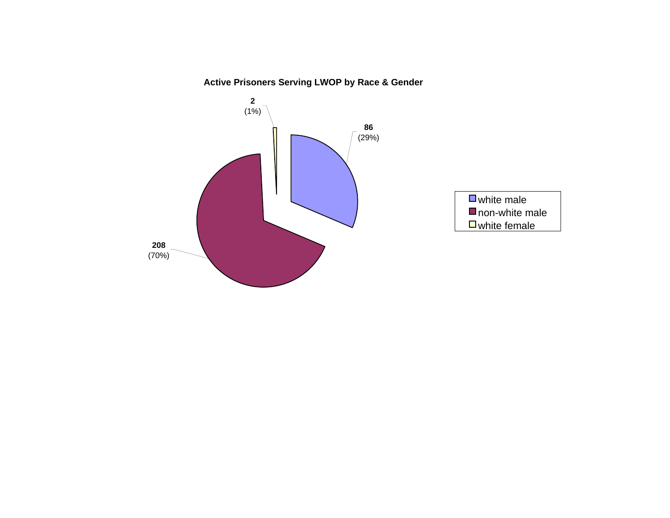# **Active Prisoners Serving LWOP by Race & Gender**

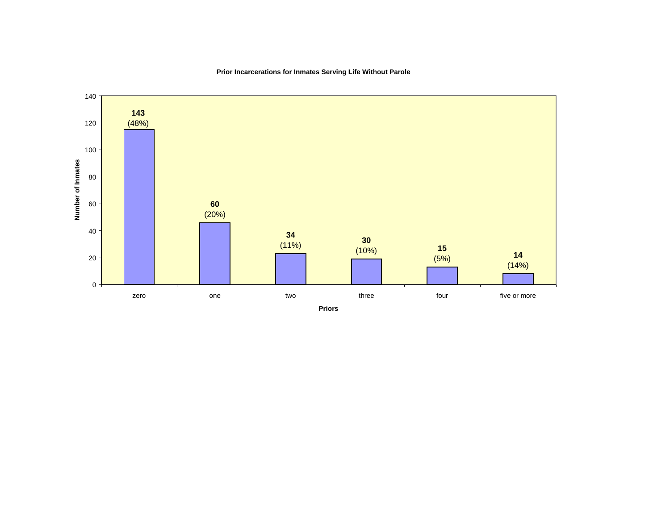

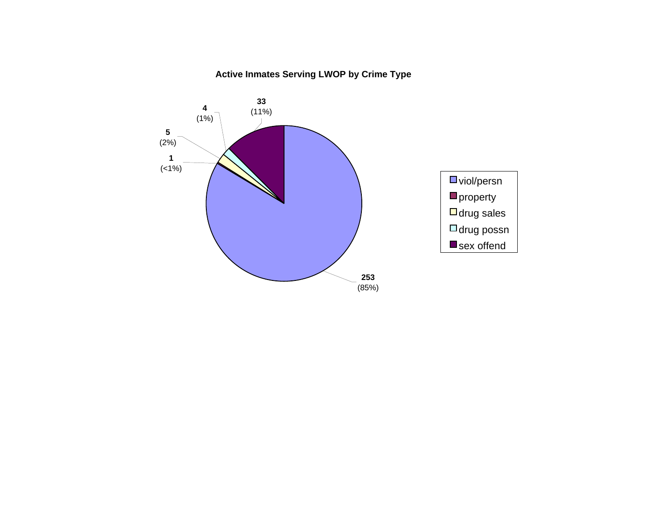## **Active Inmates Serving LWOP by Crime Type**

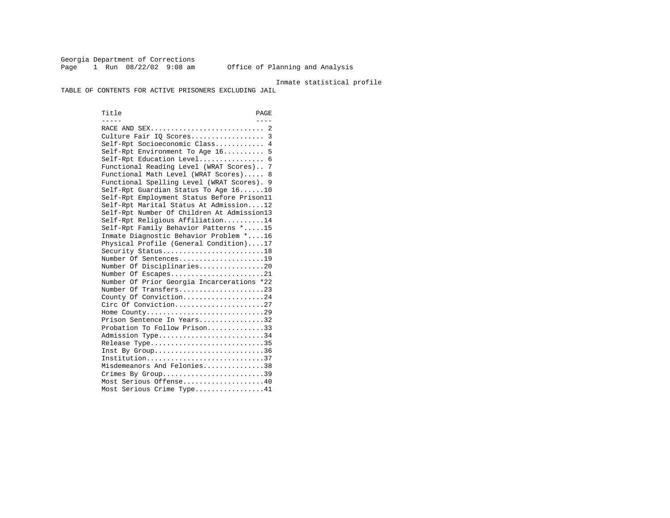Georgia Department of Corrections Page 1 Run 08/22/02 9:08 am Office of Planning and Analysis

### Inmate statistical profile

TABLE OF CONTENTS FOR ACTIVE PRISONERS EXCLUDING JAIL

Title PAGE ----- ---- RACE AND SEX............................ 2 Culture Fair IQ Scores.................. 3 Self-Rpt Socioeconomic Class............ 4 Self-Rpt Environment To Age 16.......... 5 Self-Rpt Education Level................ 6 Functional Reading Level (WRAT Scores).. 7 Functional Math Level (WRAT Scores)..... 8 Functional Spelling Level (WRAT Scores). 9 Self-Rpt Guardian Status To Age 16......10 Self-Rpt Employment Status Before Prison11 Self-Rpt Marital Status At Admission....12 Self-Rpt Number Of Children At Admission13 Self-Rpt Religious Affiliation..........14 Self-Rpt Family Behavior Patterns \*.....15 Inmate Diagnostic Behavior Problem \*....16 Physical Profile (General Condition)....17 Security Status...........................18 Number Of Sentences.....................19 Number Of Disciplinaries................20 Number Of Escapes........................21 Number Of Prior Georgia Incarcerations \*22 Number Of Transfers.....................23 County Of Conviction....................24 Circ Of Conviction......................27 Home County.............................29 Prison Sentence In Years.................32 Probation To Follow Prison..............33Admission Type............................34 Release Type..............................35 Inst By Group..............................36 Institution.............................37 Misdemeanors And Felonies...............38 Crimes By Group.............................39 Most Serious Offense....................40 Most Serious Crime Type.................41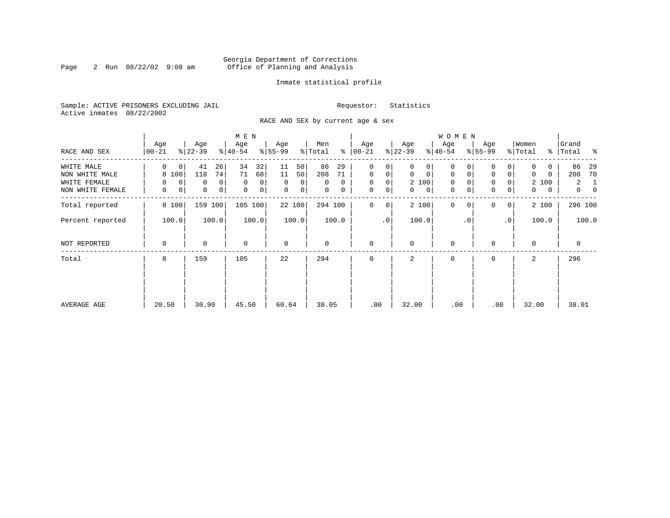### Georgia Department of Corrections<br>2 Run 08/22/02 9:08 am 6ffice of Planning and Analysis Page 2 Run  $08/22/02$  9:08 am Office of Planning and Analysis

### Inmate statistical profile

Sample: ACTIVE PRISONERS EXCLUDING JAIL **Requestor:** Statistics Active inmates 08/22/2002

RACE AND SEX by current age & sex

|                  |                  |                     | M E N            |                  |                      |                   |                   | W O M E N                  |                            |                  |                                |
|------------------|------------------|---------------------|------------------|------------------|----------------------|-------------------|-------------------|----------------------------|----------------------------|------------------|--------------------------------|
| RACE AND SEX     | Age<br>$00 - 21$ | Age<br>$ 22-39 $    | Age<br>$ 40-54 $ | Age<br>$8 55-99$ | Men<br>ႜ<br>% Total  | Age<br>$ 00-21 $  | Age<br>$ 22-39 $  | Age<br>$ 40-54 $           | Age<br>$8 55-99$           | Women<br>% Total | Grand<br>%   Total<br>ႜ        |
| WHITE MALE       | 0<br>0           | 41<br>26            | 32<br>34         | 11<br>50         | 86<br>29             | $\mathbf 0$<br>0  | 0<br>0            | 0                          | 0                          | 0                | 86<br>29                       |
| NON WHITE MALE   | 8 100            | 118<br>74           | 71<br>68         | 50<br>11         | 208<br>71            | $\mathbf{0}$<br>0 | $\mathbf 0$<br>0  | $\mathbf 0$<br>$\mathbf 0$ | 0<br>0                     | 0<br>0           | 70<br>208                      |
| WHITE FEMALE     | 0<br>$\Omega$    | $\overline{0}$<br>0 | $\mathbf 0$<br>0 | $\Omega$<br>0    | $\Omega$<br>$\Omega$ | $\mathbf 0$<br>0  | 2 100             | $\mathbf 0$<br>$\Omega$    | 0                          | 2 100            | $\overline{a}$<br>1            |
| NON WHITE FEMALE | 0<br>0           | 0<br> 0             | $\mathbf 0$<br>0 | $\mathbf 0$<br>0 | 0<br>$\mathbf 0$     | 0<br>0            | 0<br>$\mathbf{0}$ | 0<br>0                     | $\mathbf 0$<br>0           | 0<br>0           | $\mathbf{0}$<br>$\overline{0}$ |
| Total reported   | 8 100            | 159 100             | 105 100          | 22 100           | 294 100              | 0<br>0            | 2 100             | $\mathbf 0$<br>$\Omega$    | $\Omega$<br>$\overline{0}$ | 2 100            | 296 100                        |
| Percent reported | 100.0            | 100.0               | 100.0            | 100.0            | 100.0                | $\cdot$ 0         | 100.0             | . 0                        | $\cdot$ 0                  | 100.0            | 100.0                          |
| NOT REPORTED     | 0                | 0                   | $\mathbf 0$      | $\mathbf 0$      | 0                    | $\mathbf 0$       | $\mathbf 0$       | 0                          | $\Omega$                   | $\mathbf 0$      | 0                              |
| Total            | 8                | 159                 | 105              | 22               | 294                  | $\mathbf 0$       | 2                 | $\mathbf 0$                | $\Omega$                   | 2                | 296                            |
|                  |                  |                     |                  |                  |                      |                   |                   |                            |                            |                  |                                |
|                  |                  |                     |                  |                  |                      |                   |                   |                            |                            |                  |                                |
| AVERAGE AGE      | 20.50            | 30.90               | 45.50            | 60.64            | 38.05                | .00               | 32.00             | .00                        | .00                        | 32.00            | 38.01                          |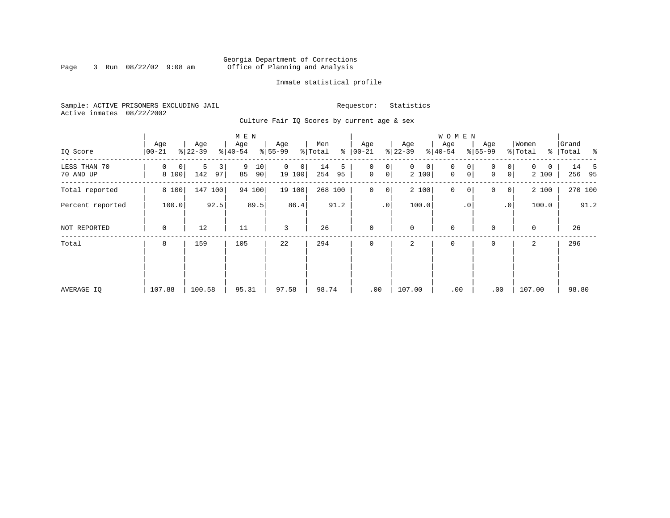### Georgia Department of Corrections<br>3 Run 08/22/02 9:08 am 6ffice of Planning and Analysis Page 3 Run  $08/22/02$  9:08 am Office of Planning and Analysis

### Inmate statistical profile

Sample: ACTIVE PRISONERS EXCLUDING JAIL **Requestor:** Statistics Active inmates 08/22/2002

Culture Fair IQ Scores by current age & sex

| IQ Score                  | Age<br>$00 - 21$ | Age<br>$ 22-39 $    | M E N<br>Age<br>$\frac{1}{6}$   40-54 | Age<br>$8 55-99$        | Men<br>နွ<br>% Total | Age<br>$ 00-21 $                        | Age<br>$ 22-39 $          | WOMEN<br>Age<br>$8 40-54$  | Age<br>$ 55-99 $                       | Women<br>% Total       | Grand<br>% Total % |
|---------------------------|------------------|---------------------|---------------------------------------|-------------------------|----------------------|-----------------------------------------|---------------------------|----------------------------|----------------------------------------|------------------------|--------------------|
| LESS THAN 70<br>70 AND UP | 0<br>0<br>8 100  | 5<br>3<br>142<br>97 | 9<br>10<br>85<br>90                   | $\Omega$<br>0<br>19 100 | 14<br>5<br>254<br>95 | 0<br>0<br>$\mathbf 0$<br>0 <sup>1</sup> | $\mathbf 0$<br>0<br>2 100 | $\mathbf 0$<br>0<br>0<br>0 | $\overline{0}$<br>$\Omega$<br> 0 <br>0 | $\Omega$<br>0<br>2 100 | 14<br>-5<br>256 95 |
| Total reported            | 8 100            | 147<br>100          | 94 100                                | 19 100                  | 268 100              | 0<br>0                                  | 2 100                     | $\mathbf 0$<br>$\mathbf 0$ | 0<br>$\overline{0}$                    | 2 100                  | 270 100            |
| Percent reported          | 100.0            | 92.5                | 89.5                                  | 86.4                    | 91.2                 | .0 <sup>1</sup>                         | 100.0                     | . 0                        | .0 <sup>1</sup>                        | 100.0                  | 91.2               |
| NOT REPORTED              | 0                | 12                  | 11                                    | 3                       | 26                   | $\mathbf 0$                             | $\mathbf 0$               | $\mathbf 0$                | 0                                      | $\mathbf 0$            | 26                 |
| Total                     | 8                | 159                 | 105                                   | 22                      | 294                  | $\mathbf 0$                             | 2                         | 0                          | 0                                      | 2                      | 296                |
| AVERAGE IQ                | 107.88           | 100.58              | 95.31                                 | 97.58                   | 98.74                | .00                                     | 107.00                    | .00                        | .00                                    | 107.00                 | 98.80              |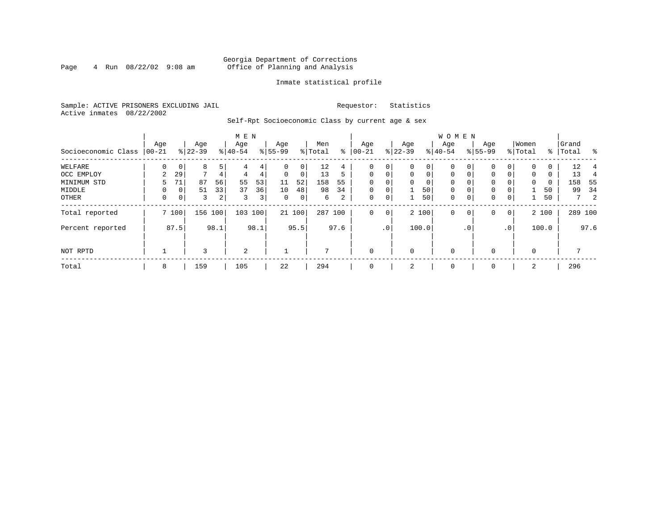### Georgia Department of Corrections Page 4 Run  $08/22/02$  9:08 am Office of Planning and Analysis

### Inmate statistical profile

Sample: ACTIVE PRISONERS EXCLUDING JAIL **Requestor:** Statistics Active inmates 08/22/2002

Self-Rpt Socioeconomic Class by current age & sex

| Socioeconomic Class   00-21 | Age |             | Age<br>$ 22-39 $ |      | M E N<br>Age<br>$8 40-54$ |      | Age<br>$8 55-99$ |              | Men<br>% Total |      | Age<br>$8   00 - 21$ |             | Age<br>$ 22-39$ |                | W O M E N<br>Aqe<br>$8 40-54$ |              | Age<br>$8155 - 99$ |          | Women<br>% Total | ွေ       | Grand<br>Total | ိ       |
|-----------------------------|-----|-------------|------------------|------|---------------------------|------|------------------|--------------|----------------|------|----------------------|-------------|-----------------|----------------|-------------------------------|--------------|--------------------|----------|------------------|----------|----------------|---------|
| WELFARE                     | 0   | 0           | 8                | 5    | 4                         | 4    | $\Omega$         | $\mathbf{0}$ | 12             | 4    | 0                    | 0           |                 | 0 <sup>1</sup> | 0                             | 0            | 0                  | 0        | 0                | 0        | 12             |         |
| OCC EMPLOY                  | 2   | 29          | $\mathcal{L}$    | 4    | 4                         | 4    | $\Omega$         | 0            | 13             | 5    | $\mathbf 0$          | $\mathbf 0$ | $\Omega$        | $\Omega$       | $\mathbf 0$                   |              | $\mathbf{0}$       | $\Omega$ | $\Omega$         | $\Omega$ | 13             |         |
| MINIMUM STD                 | 5.  | 71          | 87               | 56   | 55                        | 53   | 11               | 52           | 158            | 55   | 0                    | 0           | $\Omega$        | $\overline{0}$ | 0                             |              | $\mathbf 0$        |          | $\mathbf 0$      | 0        | 158            | - 55    |
| MIDDLE                      | 0   | 0           | 51               | 33   | 37                        | 36   | 10               | 48           | 98             | 34   | $\mathbf 0$          | 0           |                 | 50             | $\mathbf 0$                   |              | 0                  | 0        |                  | 50       | 99             | 34      |
| OTHER                       | 0   | $\mathbf 0$ | 3                | 2    | 3                         | 3    | $\mathbf{0}$     | 0            | б.             | 2    | 0                    | 0           |                 | 50             | 0                             | 0            | 0                  | 0        |                  | 50       |                | 7<br>2  |
| Total reported              |     | 7 100       | 156              | 100  | 103                       | 100  |                  | 21 100       | 287 100        |      | $\mathbf 0$          | $\mathbf 0$ |                 | 2 100          | 0                             | $\mathbf{0}$ | $\mathbf 0$        | 0        |                  | 2 100    |                | 289 100 |
| Percent reported            |     | 87.5        |                  | 98.1 |                           | 98.1 |                  | 95.5         |                | 97.6 |                      | $\cdot$ 0   |                 | 100.0          |                               | $\cdot$ 0    |                    | .0'      |                  | 100.0    |                | 97.6    |
| NOT RPTD                    |     |             | 3                |      | 2                         |      |                  |              | 7              |      | $\mathbf 0$          |             | $\Omega$        |                | $\mathbf 0$                   |              | $\Omega$           |          | $\Omega$         |          |                |         |
| Total                       | 8   |             | 159              |      | 105                       |      | 22               |              | 294            |      | $\mathbf 0$          |             | 2               |                | 0                             |              | $\mathbf 0$        |          | 2                |          | 296            |         |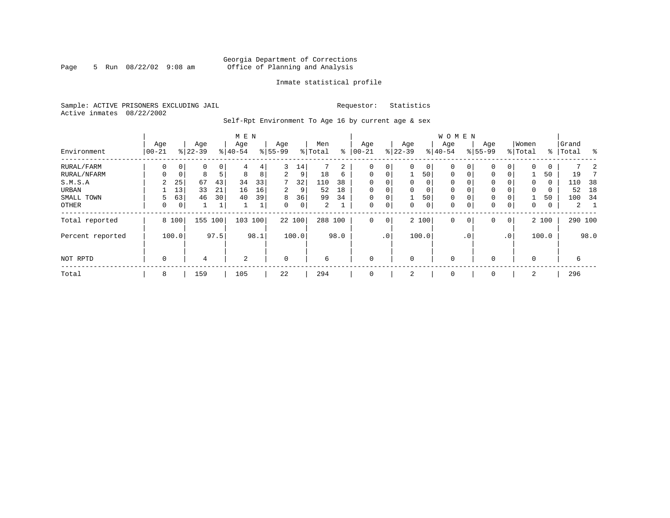### Georgia Department of Corrections<br>5 Run 08/22/02 9:08 am 6ffice of Planning and Analysis Page 5 Run  $08/22/02$  9:08 am Office of Planning and Analysis

### Inmate statistical profile

Sample: ACTIVE PRISONERS EXCLUDING JAIL **Requestor:** Statistics Active inmates 08/22/2002

Self-Rpt Environment To Age 16 by current age & sex

|                  |                   |       |                  |         | M E N            |      |                    |             |                |      |                 |             |                  |                | <b>WOMEN</b>     |           |                    |                 |                  |       |                |      |
|------------------|-------------------|-------|------------------|---------|------------------|------|--------------------|-------------|----------------|------|-----------------|-------------|------------------|----------------|------------------|-----------|--------------------|-----------------|------------------|-------|----------------|------|
| Environment      | Age<br>$ 00 - 21$ |       | Age<br>$8 22-39$ |         | Age<br>$8 40-54$ |      | Age<br>$8155 - 99$ |             | Men<br>% Total | နွ   | Age<br>$ 00-21$ |             | Age<br>$8 22-39$ |                | Age<br>$8 40-54$ |           | Age<br>$8155 - 99$ |                 | Women<br>% Total | ႜ     | Grand<br>Total | ွေ   |
| RURAL/FARM       | 0                 | 0     | 0                | $\circ$ | 4                | 4    | 3                  | 14          |                | 2    | $\Omega$        | 0           | $\Omega$         | 0 <sup>1</sup> | 0                |           | $\mathbf{0}$       | 0               | $\Omega$         | 0     |                |      |
| RURAL/NFARM      | 0                 | 0     | 8                | 5       | 8                | 8    | 2                  | 9           | 18             | 6    | 0               | 0           |                  | 501            | 0                |           | $\mathbf{0}$       | 0               |                  | 50    | 19             |      |
| S.M.S.A          | 2                 | 25    | 67               | 43      | 34               | 33   | 7                  | 32          | 110            | 38   | 0               | 0           | $\Omega$         | $\Omega$       | 0                |           | $\mathbf{0}$       |                 | $\Omega$         | 0     | 110            | 38   |
| URBAN            |                   | 13    | 33               | 21      | 16               | 16   | $\overline{2}$     | 9           | 52             | 18   | $\mathbf 0$     | 0           | $\Omega$         | 0              | $\mathbf 0$      |           | 0                  |                 | $\mathbf 0$      | 0     | 52             | 18   |
| SMALL TOWN       | 5                 | 63    | 46               | 30      | 40               | 39   | 8                  | 36          | 99             | 34   | $\mathbf 0$     | 0           |                  | 50             | 0                | 0         | $\mathbf 0$        |                 |                  | 50    | 100            | 34   |
| OTHER            | 0                 | 0     | 1                |         |                  |      | $\Omega$           | $\mathbf 0$ | 2              |      | $\mathbf 0$     | 0           | $\Omega$         | $\circ$        | 0                |           | 0                  | 0               | $\mathbf 0$      | 0     | $\overline{a}$ |      |
| Total reported   |                   | 8 100 | 155              | 100     | 103 100          |      |                    | 22 100      | 288 100        |      | $\Omega$        | $\mathbf 0$ |                  | 2 100          | $\mathbf 0$      | 0         | 0                  | $\mathbf 0$     |                  | 2 100 | 290 100        |      |
| Percent reported |                   | 100.0 |                  | 97.5    |                  | 98.1 |                    | 100.0       |                | 98.0 |                 | $\cdot$ 0   |                  | 100.0          |                  | $\cdot$ 0 |                    | .0 <sup>°</sup> |                  | 100.0 |                | 98.0 |
| NOT RPTD         | $\mathbf 0$       |       | 4                |         | 2                |      | $\Omega$           |             | 6              |      | $\mathbf 0$     |             |                  |                | $\mathbf 0$      |           | 0                  |                 | $\Omega$         |       | 6              |      |
| Total            | 8                 |       | 159              |         | 105              |      | 22                 |             | 294            |      | $\mathbf 0$     |             | 2                |                | 0                |           | 0                  |                 | 2                |       | 296            |      |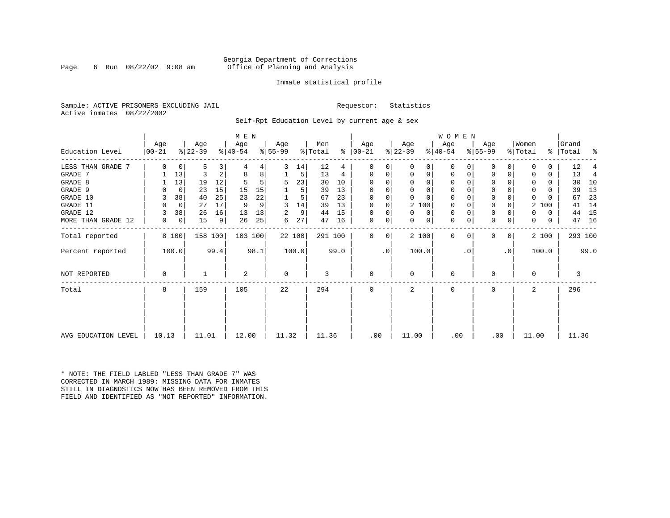### Georgia Department of Corrections<br>6 Run 08/22/02 9:08 am 6ffice of Planning and Analysis Page 6 Run 08/22/02 9:08 am Office of Planning and Analysis

### Inmate statistical profile

Sample: ACTIVE PRISONERS EXCLUDING JAIL **Requestor:** Statistics Active inmates 08/22/2002

Self-Rpt Education Level by current age & sex

|                     | M E N            |             |                  |                |                  |      |                  |        |                |      |                 |           |                  |          | WOMEN            |          |                  |              |                              |       |                    |         |
|---------------------|------------------|-------------|------------------|----------------|------------------|------|------------------|--------|----------------|------|-----------------|-----------|------------------|----------|------------------|----------|------------------|--------------|------------------------------|-------|--------------------|---------|
| Education Level     | Age<br>$ 00-21 $ |             | Age<br>$ 22-39 $ |                | Age<br>$ 40-54 $ |      | Age<br>$ 55-99 $ |        | Men<br>% Total | ⊱    | Age<br>$ 00-21$ |           | Age<br>$ 22-39 $ |          | Age<br>$ 40-54 $ |          | Age<br>$8 55-99$ |              | Women<br>$\frac{1}{2}$ Total |       | Grand<br>%   Total | နွ      |
| LESS THAN GRADE 7   | $\Omega$         | 0           | 5                | 3              |                  | 4    | 3                | 14     | 12             | 4    | $\Omega$        | 0         | $\Omega$         | 0        | 0                | O        | 0                | 0            |                              | 0     | 12                 |         |
| GRADE 7             |                  | 13          | 3                | $\overline{a}$ | 8                | 8    |                  | 5      | 13             | 4    | $\Omega$        | 0         | 0                | 0        | $\mathbf 0$      | $\Omega$ | $\Omega$         |              |                              | 0     | 13                 | 4       |
| GRADE 8             |                  | 13          | 19               | 12             |                  | 5    | 5                | 23     | 30             | 10   | $\Omega$        | 0         | $\Omega$         | 0        | $\mathbf 0$      | $\Omega$ | $\Omega$         |              | <sup>0</sup>                 | 0     | 30                 | 10      |
| GRADE 9             |                  | 0           | 23               | 15             | 15               | 15   |                  | 5      | 39             | 13   | 0               |           | $\Omega$         | $\Omega$ | 0                |          | 0                |              | 0                            | 0     | 39                 | 13      |
| GRADE 10            | 3                | 38          | 40               | 25             | 23               | 22   |                  | 5      | 67             | 23   | $\Omega$        | 0         | $\Omega$         | $\Omega$ | $\mathbf 0$      | $\Omega$ | 0                |              | 0                            | 0     | 67                 | 23      |
| GRADE 11            | $\Omega$         | $\mathbf 0$ | 27               | 17             | 9                | 9    | 3                | 14     | 39             | 13   | $\Omega$        |           |                  | 2 100    | 0                |          | 0                |              | 2                            | 100   | 41                 | 14      |
| GRADE 12            |                  | 38          | 26               | 16             | 13               | 13   | 2                | 9      | 44             | 15   | $\Omega$        | 0         | $\Omega$         | 0        | $\mathbf 0$      | $\Omega$ | 0                |              | O.                           | 0     | 44                 | 15      |
| MORE THAN GRADE 12  | 0                | 0           | 15               | 9              | 26               | 25   | 6                | 27     | 47             | 16   | 0               | 0         | 0                | 0        | $\mathbf 0$      | 0        | $\mathbf 0$      | 0            | 0                            | 0     | 47                 | 16      |
| Total reported      | 8 100            |             | 158 100          |                | 103 100          |      |                  | 22 100 | 291 100        |      | $\Omega$        | 0         |                  | 2 100    | $\mathbf{0}$     | $\Omega$ | $\Omega$         | $\mathbf{0}$ |                              | 2 100 |                    | 293 100 |
| Percent reported    | 100.0            |             |                  | 99.4           |                  | 98.1 |                  | 100.0  |                | 99.0 |                 | $\cdot$ 0 | 100.0            |          |                  | . 0      |                  | $\cdot$ 0    |                              | 100.0 |                    | 99.0    |
| NOT REPORTED        | 0                |             |                  |                | 2                |      | $\mathbf 0$      |        | 3              |      | $\mathbf 0$     |           | 0                |          | $\mathbf 0$      |          | $\Omega$         |              | 0                            |       | 3                  |         |
| Total               | 8                |             | 159              |                | 105              |      | 22               |        | 294            |      | $\Omega$        |           | $\mathbf{2}$     |          | $\Omega$         |          | $\Omega$         |              |                              |       | 296                |         |
|                     |                  |             |                  |                |                  |      |                  |        |                |      |                 |           |                  |          |                  |          |                  |              |                              |       |                    |         |
| AVG EDUCATION LEVEL | 10.13            |             | 11.01            |                | 12.00            |      | 11.32            |        | 11.36          |      | .00             |           | 11.00            |          | .00              |          | .00              |              | 11.00                        |       | 11.36              |         |

\* NOTE: THE FIELD LABLED "LESS THAN GRADE 7" WAS CORRECTED IN MARCH 1989: MISSING DATA FOR INMATES STILL IN DIAGNOSTICS NOW HAS BEEN REMOVED FROM THIS FIELD AND IDENTIFIED AS "NOT REPORTED" INFORMATION.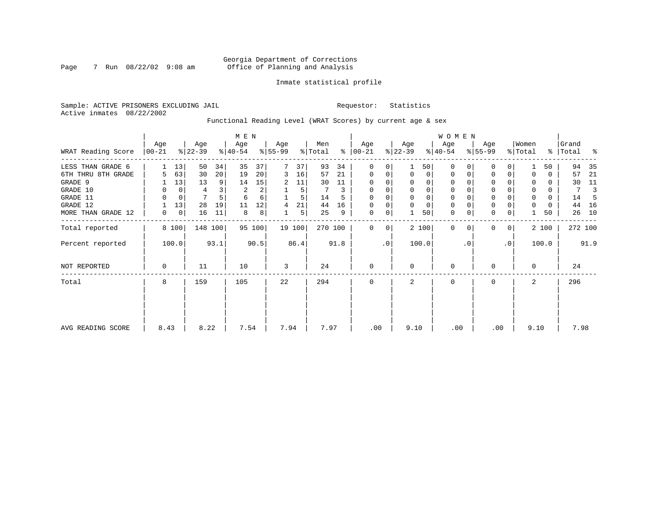### Georgia Department of Corrections<br>7 Run 08/22/02 9:08 am 6ffice of Planning and Analysis Page 7 Run  $08/22/02$  9:08 am Office of Planning and Analysis

### Inmate statistical profile

Sample: ACTIVE PRISONERS EXCLUDING JAIL **Requestor:** Statistics Active inmates 08/22/2002

Functional Reading Level (WRAT Scores) by current age & sex

|                     |                 |       | M E N            |         |                  |        |                  |        |                |             |                      |           | W O M E N        |                |                  |              |                  |             |                  |          |                |      |
|---------------------|-----------------|-------|------------------|---------|------------------|--------|------------------|--------|----------------|-------------|----------------------|-----------|------------------|----------------|------------------|--------------|------------------|-------------|------------------|----------|----------------|------|
| WRAT Reading Score  | Age<br>$ 00-21$ |       | Age<br>$ 22-39 $ |         | Age<br>$ 40-54 $ |        | Age<br>$ 55-99 $ |        | Men<br>% Total |             | Age<br>$8   00 - 21$ |           | Age<br>$ 22-39 $ |                | Age<br>$ 40-54 $ |              | Age<br>$ 55-99 $ |             | Women<br>% Total | %        | Grand<br>Total | ႜ    |
| LESS THAN GRADE 6   |                 | 13    | 50               | 34      | 35               | 37     |                  | 37     | 93             | 34          | $\Omega$             | 0         |                  | 501            | $\Omega$         |              | $\mathbf{0}$     | $\Omega$    |                  | 50       | 94             | 35   |
| 6TH THRU 8TH GRADE  | 5               | 63    | 30               | 20      | 19               | 20     | 3                | 16     | 57             | 21          | $\mathbf 0$          | 0         | $\Omega$         | $\overline{0}$ | 0                | 0            | 0                | 0           |                  | 0        | 57             | 21   |
| GRADE 9             |                 | 13    | 13               | 9       | 14               | 15     | 2                | 11     | 30             | 11          | $\mathbf 0$          | $\Omega$  |                  | $\Omega$       | $\Omega$         |              | 0                |             |                  | 0        | 30             | 11   |
| GRADE 10            | 0               | 0     | 4                |         | $\overline{c}$   | 2      |                  | 5      |                |             | $\mathbf 0$          | 0         |                  | $\Omega$       | 0                |              | $\mathbf 0$      |             | $\mathbf 0$      | 0        | 7              |      |
| GRADE 11            | $\Omega$        | 0     |                  |         | 6                | б.     |                  |        | 14             |             | $\Omega$             |           |                  |                |                  |              | $\mathbf 0$      |             | $\Omega$         | $\Omega$ | 14             |      |
| GRADE 12            |                 | 13    | 28               | 19      | 11               | 12     | 4                | 21     | 44             | 16          | 0                    | 0         | $\Omega$         | $\Omega$       | 0                |              | $\mathbf 0$      |             | 0                | 0        | 44             | 16   |
| MORE THAN GRADE 12  | 0               | 0     | 16               | 11      | 8                | 8      |                  | 5      | 25             | 9           | 0                    | 0         |                  | 50             | $\mathbf 0$      | 0            | $\mathbf 0$      | 0           |                  | 50       | 26             | 10   |
| Total reported      |                 | 8 100 |                  | 148 100 |                  | 95 100 |                  | 19 100 | 270 100        |             | $\Omega$             | 0         |                  | 2 100          | $\mathbf 0$      | $\Omega$     | $\mathbf 0$      | $\mathbf 0$ |                  | 2 100    | 272 100        |      |
| Percent reported    |                 | 100.0 |                  | 93.1    |                  | 90.5   |                  | 86.4   |                | 91.8        |                      | $\cdot$ 0 |                  | 100.0          |                  | $\cdot$ 0    |                  | $\cdot$ 0   |                  | 100.0    |                | 91.9 |
| <b>NOT REPORTED</b> | $\mathbf 0$     |       | 11               |         | 10               |        | 3                |        | 24             |             | $\mathbf 0$          |           | $\Omega$         |                | 0                |              | 0                |             | $\Omega$         |          | 24             |      |
| Total               | 8               | 159   |                  | 105     |                  | 22     |                  | 294    |                | $\mathbf 0$ |                      | 2         |                  | 0              |                  | $\mathbf{0}$ |                  | 2           |                  | 296      |                |      |
|                     |                 |       |                  |         |                  |        |                  |        |                |             |                      |           |                  |                |                  |              |                  |             |                  |          |                |      |
| AVG READING SCORE   | 8.43            |       | 8.22             |         | 7.54             |        | 7.94             |        | 7.97           |             | .00                  |           | 9.10             |                | .00              |              | .00              |             | 9.10             |          | 7.98           |      |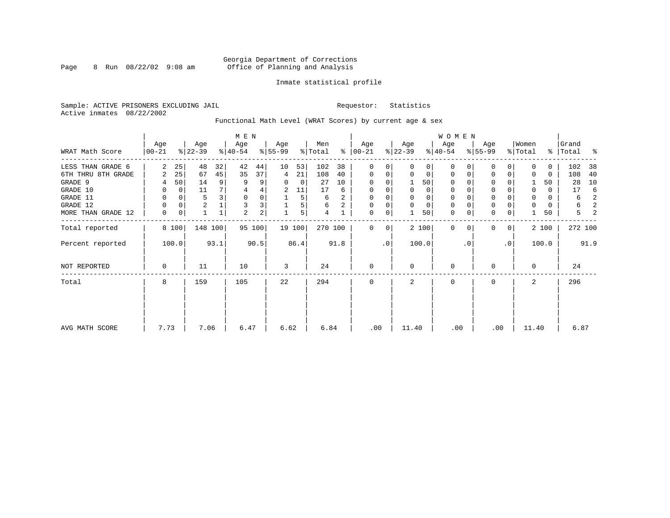### Georgia Department of Corrections<br>8 Run 08/22/02 9:08 am 6ffice of Planning and Analysis Page 8 Run  $08/22/02$  9:08 am Office of Planning and Analysis

### Inmate statistical profile

Sample: ACTIVE PRISONERS EXCLUDING JAIL **Requestor:** Statistics Active inmates 08/22/2002

Functional Math Level (WRAT Scores) by current age & sex

|                    |                 |             |                  |                | M E N            |        |                  |        |                |      |                      |    |                  |             | <b>WOMEN</b>     |           |                  |                |                  |          |                    |      |
|--------------------|-----------------|-------------|------------------|----------------|------------------|--------|------------------|--------|----------------|------|----------------------|----|------------------|-------------|------------------|-----------|------------------|----------------|------------------|----------|--------------------|------|
| WRAT Math Score    | Age<br>$ 00-21$ |             | Age<br>$ 22-39 $ |                | Age<br>$ 40-54 $ |        | Age<br>$8 55-99$ |        | Men<br>% Total |      | Age<br>$8   00 - 21$ |    | Age<br>$ 22-39 $ |             | Age<br>$ 40-54 $ |           | Age<br>$8 55-99$ |                | Women<br>% Total |          | Grand<br>%   Total |      |
| LESS THAN GRADE 6  | 2               | 25          | 48               | 32             | 42               | 44     | 10               | 53     | 102            | 38   | 0                    | 0  | $\Omega$         | 0           | $\Omega$         | 0         | 0                | 0              | $\Omega$         | 0        | 102                | 38   |
| 6TH THRU 8TH GRADE | 2               | 25          | 67               | 45             | 35               | 37     | 4                | 21     | 108            | 40   | 0                    | 0  | 0                | 0           | 0                |           | $\Omega$         | 0              | 0                | 0        | 108                | 40   |
| GRADE 9            | 4               | 50          | 14               | 9 <sup>1</sup> | 9                | 9      | 0                | 0      | 27             | 10   | 0                    |    |                  | 50          | 0                |           | U                |                |                  | 50       | 28                 | 10   |
| GRADE 10           | 0               | $\mathbf 0$ | 11               |                | 4                | 4      | 2                | 11     | 17             | 6    | 0                    |    | 0                | 0           | 0                |           | $\mathbf 0$      |                | 0                | $\Omega$ | 17                 | -6   |
| GRADE 11           | 0               | 0           | 5                |                | 0                | 0      |                  | 5      | 6              | 2    | 0                    |    |                  | 0           | $\Omega$         |           | $\Omega$         |                | 0                | 0        | 6                  | 2    |
| GRADE 12           | 0               | 0           | $\overline{c}$   |                | 3                | 3      |                  | 5      | 6              | 2    | 0                    | 0  | $\Omega$         | $\mathbf 0$ | 0                |           | 0                |                | $\Omega$         | 0        | 6                  | 2    |
| MORE THAN GRADE 12 | $\mathbf 0$     | 0           |                  |                | $\overline{2}$   | 2      |                  | 5      | 4              |      | 0                    | 0  |                  | 50          | $\mathbf 0$      | 0         | $\mathbf 0$      | 0              |                  | 50       | 5                  | 2    |
| Total reported     |                 | 8 100       | 148 100          |                |                  | 95 100 |                  | 19 100 | 270 100        |      | 0                    | 0  |                  | 2 100       | $\Omega$         |           | <sup>0</sup>     | 0 <sup>1</sup> |                  | 2 100    | 272 100            |      |
| Percent reported   |                 | 100.0       |                  | 93.1           |                  | 90.5   |                  | 86.4   |                | 91.8 |                      | .0 |                  | 100.0       |                  | $\cdot$ 0 |                  | $\cdot$ 0      |                  | 100.0    |                    | 91.9 |
| NOT REPORTED       | 0               |             | 11               |                | 10               |        | 3                |        | 24             |      | $\mathbf{0}$         |    | $\Omega$         |             | 0                |           | O                |                | $\Omega$         |          | 24                 |      |
| Total              | 8               |             | 159              |                | 105              |        | 22               |        | 294            |      | 0                    |    | 2                |             | 0                |           | 0                |                | 2                |          | 296                |      |
|                    |                 |             |                  |                |                  |        |                  |        |                |      |                      |    |                  |             |                  |           |                  |                |                  |          |                    |      |
| AVG MATH SCORE     | 7.73            |             | 7.06             |                | 6.47             |        | 6.62             |        | 6.84           |      | .00                  |    | 11.40            |             | .00              |           | .00              |                | 11.40            |          | 6.87               |      |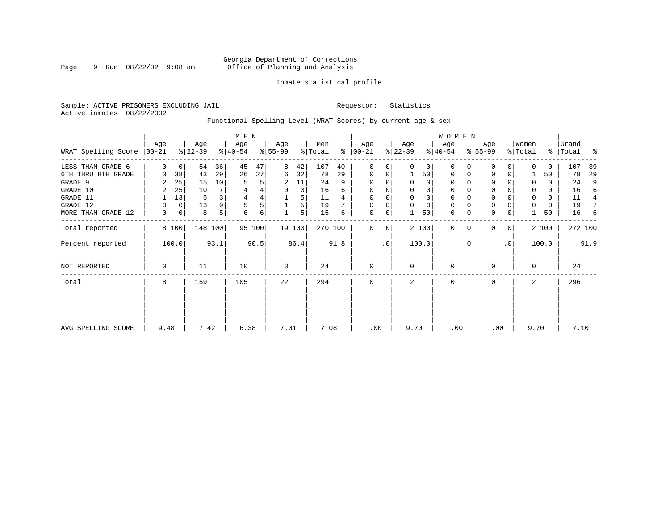### Georgia Department of Corrections<br>9 Run 08/22/02 9:08 am 6ffice of Planning and Analysis Page 9 Run  $08/22/02$  9:08 am Office of Planning and Analysis

### Inmate statistical profile

Sample: ACTIVE PRISONERS EXCLUDING JAIL **Requestor:** Statistics Active inmates 08/22/2002

Functional Spelling Level (WRAT Scores) by current age & sex

|                               |          |                |                  |         | M E N            |        |                 |        |                |      |                  |             |                  |          | W O M E N        |          |                  |           |                  |       |                    |                |
|-------------------------------|----------|----------------|------------------|---------|------------------|--------|-----------------|--------|----------------|------|------------------|-------------|------------------|----------|------------------|----------|------------------|-----------|------------------|-------|--------------------|----------------|
| WRAT Spelling Score $ 00-21 $ | Age      |                | Age<br>$ 22-39 $ |         | Age<br>$ 40-54 $ |        | Age<br>$ 55-99$ |        | Men<br>% Total | ႜ    | Age<br>$00 - 21$ |             | Age<br>$ 22-39 $ |          | Age<br>$ 40-54 $ |          | Age<br>$8 55-99$ |           | Women<br>% Total |       | Grand<br>%   Total | ႜ              |
| LESS THAN GRADE 6             | $\Omega$ | $\overline{0}$ | 54               | 36      | 45               | 47     | 8               | 42     | 107            | 40   | 0                | $\Omega$    | $\Omega$         | $\Omega$ | $\mathbf 0$      | $\Omega$ | $\Omega$         | $\Omega$  | $\cap$           | 0     | 107                | 39             |
| 6TH THRU 8TH GRADE            |          | 38             | 43               | 29      | 26               | 27     | 6               | 32     | 78             | 29   | 0                | 0           |                  | 50       | 0                | 0        | 0                | 0         |                  | 50    | 79                 | 29             |
| GRADE 9                       |          | 25             | 15               | 10      | 5                | 5      | 2               | 11     | 24             | 9    | 0                |             |                  | 0        | 0                |          | $\Omega$         |           | 0                | 0     | 24                 | 9              |
| GRADE 10                      | 2        | 25             | 10               |         |                  |        | 0               | 0      | 16             | 6    | 0                |             | 0                | 0        | 0                |          | 0                |           | 0                | 0     | 16                 | 6              |
| GRADE 11                      |          | 13             | 5                |         | $\overline{4}$   |        |                 | 5      | 11             |      | $\Omega$         |             | $\Omega$         | 0        | 0                |          | $\Omega$         |           |                  | 0     | 11                 | $\overline{4}$ |
| GRADE 12                      |          | 0              | 13               | 9       | 5                | 5      |                 | 5      | 19             |      | 0                | 0           | 0                | 0        | 0                | $\Omega$ | 0                |           | 0                | 0     | 19                 | 7              |
| MORE THAN GRADE 12            | 0        | 0              | 8                | 5       | 6                | 6      |                 | 5      | 15             | 6    | 0                | 0           |                  | 50       | $\mathbf 0$      | 0        | $\mathbf 0$      | 0         |                  | 50    | 16                 | -6             |
| Total reported                |          | 8 100          |                  | 148 100 |                  | 95 100 |                 | 19 100 | 270 100        |      | $\mathbf{0}$     | $\mathbf 0$ |                  | 2 100    | $\mathbf 0$      | $\Omega$ | $\Omega$         | 0         |                  | 2 100 | 272 100            |                |
| Percent reported              |          | 100.0          |                  | 93.1    |                  | 90.5   |                 | 86.4   |                | 91.8 |                  | $\cdot$ 0   |                  | 100.0    |                  | . 0      |                  | $\cdot$ 0 |                  | 100.0 |                    | 91.9           |
| <b>NOT REPORTED</b>           | 0        |                | 11               |         | 10               |        | 3               |        | 24             |      | $\mathbf{0}$     |             | $\Omega$         |          | 0                |          | 0                |           | $\Omega$         |       | 24                 |                |
| Total                         | 8        |                | 159              |         | 105              |        | 22              |        | 294            |      | $\mathbf{0}$     |             | 2                |          | 0                |          | 0                |           | 2                |       | 296                |                |
|                               |          |                |                  |         |                  |        |                 |        |                |      |                  |             |                  |          |                  |          |                  |           |                  |       |                    |                |
| AVG SPELLING SCORE            | 9.48     |                | 7.42             |         | 6.38             |        | 7.01            |        | 7.08           |      | .00              |             | 9.70             |          | .00              |          | .00              |           | 9.70             |       | 7.10               |                |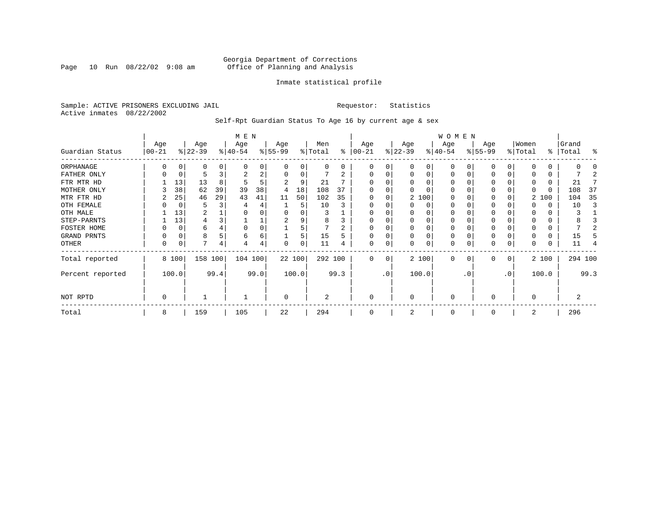Page 10 Run  $08/22/02$  9:08 am

### Inmate statistical profile

Sample: ACTIVE PRISONERS EXCLUDING JAIL **Requestor:** Statistics Active inmates 08/22/2002

Self-Rpt Guardian Status To Age 16 by current age & sex

|                  |                   |             |                  |      | M E N            |      |                 |        |                |              |                  |           |                  |          | WOMEN            |           |                  |           |                  |              |                |         |
|------------------|-------------------|-------------|------------------|------|------------------|------|-----------------|--------|----------------|--------------|------------------|-----------|------------------|----------|------------------|-----------|------------------|-----------|------------------|--------------|----------------|---------|
| Guardian Status  | Age<br>$ 00 - 21$ |             | Age<br>$ 22-39$  |      | Age<br>$ 40-54 $ |      | Age<br>$ 55-99$ |        | Men<br>% Total | ႜ            | Age<br>$00 - 21$ |           | Age<br>$ 22-39 $ |          | Age<br>$ 40-54 $ |           | Age<br>$8 55-99$ |           | Women<br>% Total | ွေ           | Grand<br>Total | န္      |
| ORPHANAGE        | O                 |             | $\left( \right)$ |      |                  | 0    |                 |        |                | <sup>0</sup> | 0                | 0         |                  | 0        | O                |           | 0                |           |                  | <sup>0</sup> |                |         |
| FATHER ONLY      | O                 | 0           |                  |      | 2                | 2    |                 | 0      |                |              | O                | 0         |                  | 0        | $\Omega$         |           | 0                | O         |                  | $\Omega$     |                |         |
| FTR MTR HD       |                   | 13          | 13               |      |                  | 5    |                 | 9      | 21             |              |                  |           |                  |          |                  |           | $\Omega$         |           |                  | $\Omega$     | 21             |         |
| MOTHER ONLY      |                   | 38          | 62               | 39   | 39               | 38   | 4               | 18     | 108            | 37           |                  |           |                  |          | O                |           | 0                |           | $\Omega$         | $\Omega$     | 108            | -37     |
| MTR FTR HD       | 2                 | 25          | 46               | 29   | 43               | 41   | 11              | 50     | 102            | 35           | <sup>0</sup>     | 0         |                  | 2 100    | O                |           | 0                |           |                  | 2 100        | 104            | 35      |
| OTH FEMALE       |                   | 0           | 5                |      |                  | 4    |                 | 5      | 10             |              | 0                |           |                  | 0        | 0                |           | 0                |           |                  | 0            | 10             |         |
| OTH MALE         |                   | 13          | 2                |      |                  | 0    |                 |        |                |              | 0                |           |                  |          | 0                |           | 0                |           |                  | 0            | 3              |         |
| STEP-PARNTS      |                   | 13          | 4                |      |                  |      | 2               |        | 8              |              | O                |           |                  | 0        | 0                |           | 0                |           |                  | 0            | 8              |         |
| FOSTER HOME      |                   | 0           | 6                |      | $\Omega$         | 0    |                 |        | 7              |              | O                |           |                  |          | $\Omega$         |           | 0                |           |                  | $\Omega$     |                |         |
| GRAND PRNTS      |                   | $\mathbf 0$ | 8                |      | 6                | 6    |                 |        | 15             |              | $\Omega$         | 0         |                  | $\Omega$ | $\Omega$         |           | $\mathbf 0$      |           |                  | $\Omega$     | 15             |         |
| OTHER            | 0                 | $\mathbf 0$ | 7                | 4    |                  | 4    |                 |        | 11             |              | $\Omega$         | 0         |                  | $\Omega$ | $\Omega$         |           | 0                | 0         | $\Omega$         | 0            | 11             |         |
| Total reported   |                   | 8 100       | 158 100          |      | 104 100          |      |                 | 22 100 | 292 100        |              | $\Omega$         | 0         |                  | 2 100    | $\Omega$         |           | $\Omega$         | $\Omega$  |                  | 2 100        |                | 294 100 |
| Percent reported |                   | 100.0       |                  | 99.4 |                  | 99.0 |                 | 100.0  |                | 99.3         |                  | $\cdot$ 0 |                  | 100.0    |                  | $\cdot$ 0 |                  | $\cdot$ 0 |                  | 100.0        |                | 99.3    |
| NOT RPTD         | 0                 |             |                  |      |                  |      | $\mathbf 0$     |        | $\overline{2}$ |              | $\Omega$         |           | $\Omega$         |          | 0                |           | 0                |           | $\Omega$         |              | 2              |         |
| Total            | 8                 |             | 159              |      | 105              |      | 22              |        | 294            |              |                  |           |                  |          | 0                |           | 0                |           | 2                |              | 296            |         |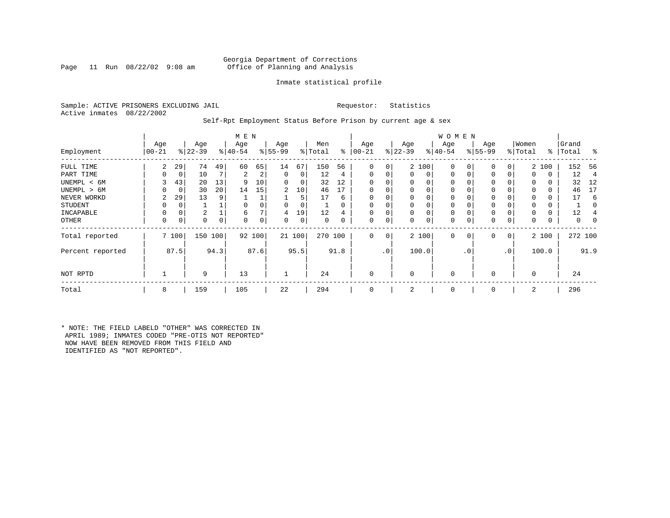### Georgia Department of Corrections<br>Page 11 Run 08/22/02 9:08 am Office of Planning and Analysis Office of Planning and Analysis

### Inmate statistical profile

Sample: ACTIVE PRISONERS EXCLUDING JAIL **Requestor:** Statistics Active inmates 08/22/2002

Self-Rpt Employment Status Before Prison by current age & sex

|                  | M E N     |             |                  |      |           |        |           |        |          |          |              |                 |           |          | <b>WOMEN</b> |           |             |     |                  |          |         |      |
|------------------|-----------|-------------|------------------|------|-----------|--------|-----------|--------|----------|----------|--------------|-----------------|-----------|----------|--------------|-----------|-------------|-----|------------------|----------|---------|------|
|                  | Age       |             | Age<br>$ 22-39 $ |      | Age       |        | Age       |        | Men      | ွေ       | Age          |                 | Age       |          | Age          |           | Age         |     | Women<br>% Total | ႜ        | Grand   | ွေ   |
| Employment       | $00 - 21$ |             |                  |      | $8 40-54$ |        | $8 55-99$ |        | % Total  |          | $ 00-21$     |                 | $8 22-39$ |          | $ 40-54 $    |           | $ 55-99$    |     |                  |          | Total   |      |
| FULL TIME        | 2         | 29          | 74               | 49   | 60        | 65     | 14        | 67     | 150      | 56       | 0            | 0               |           | 2 100    | 0            |           | 0           | 0   |                  | 2 100    | 152     | - 56 |
| PART TIME        | 0         | 0           | 10               | 7    | 2         | 2      | 0         | 0      | 12       | 4        | $\mathbf{0}$ |                 | $\Omega$  | 0        | 0            |           | $\Omega$    | 0   | $\Omega$         | 0        | 12      | 4    |
| UNEMPL < 6M      | 3         | 43          | 20               | 13   | 9         | 10     | 0         | 0      | 32       | 12       | $\Omega$     |                 |           | 0        | 0            |           |             |     |                  | 0        | 32      | 12   |
| UNEMPL > 6M      | 0         | $\mathbf 0$ | 30               | 20   | 14        | 15     | 2         | 10     | 46       | 17       | $\Omega$     |                 | $\Omega$  |          | $\Omega$     |           |             |     | $\Omega$         | 0        | 46      | 17   |
| NEVER WORKD      | 2         | 29          | 13               | 9    |           |        |           | 5      | 17       | 6        | $\Omega$     |                 |           |          | $\Omega$     |           |             |     |                  | 0        | 17      | 6    |
| <b>STUDENT</b>   | 0         | 0           |                  |      |           |        | $\Omega$  | 0      |          | $\Omega$ | 0            |                 |           | $\Omega$ | $\Omega$     |           | $\Omega$    |     | $\Omega$         | 0        |         |      |
| INCAPABLE        | 0         | 0           | 2                |      | 6         |        | 4         | 19     | 12       | 4        | $\Omega$     |                 | $\Omega$  | 0        | $\Omega$     |           |             |     |                  | $\Omega$ | 12      |      |
| OTHER            | 0         | 0           | 0                | 0    | $\Omega$  | 0      | 0         | 0      | $\Omega$ | 0        | 0            | $\Omega$        | $\Omega$  | 0        | 0            |           | $\Omega$    | 0   | $\Omega$         | 0        | 0       |      |
| Total reported   |           | 7 100       | 150 100          |      |           | 92 100 |           | 21 100 | 270 100  |          | $\Omega$     | $\mathbf 0$     |           | 2 100    | $\mathbf{0}$ | 0         | $\mathbf 0$ | 0   |                  | 2 100    | 272 100 |      |
| Percent reported |           | 87.5        |                  | 94.3 |           | 87.6   |           | 95.5   |          | 91.8     |              | .0 <sup>1</sup> |           | 100.0    |              | $\cdot$ 0 |             | .0' |                  | 100.0    |         | 91.9 |
| NOT RPTD         |           |             | 9                |      | 13        |        |           |        | 24       |          | $\Omega$     |                 | $\Omega$  |          | $\Omega$     |           |             |     | $\Omega$         |          | 24      |      |
| Total            | 8         |             | 159              |      | 105       |        | 22        |        | 294      |          | $\mathbf 0$  |                 | 2         |          | 0            |           | $\Omega$    |     | 2                |          | 296     |      |

\* NOTE: THE FIELD LABELD "OTHER" WAS CORRECTED IN APRIL 1989; INMATES CODED "PRE-OTIS NOT REPORTED" NOW HAVE BEEN REMOVED FROM THIS FIELD AND IDENTIFIED AS "NOT REPORTED".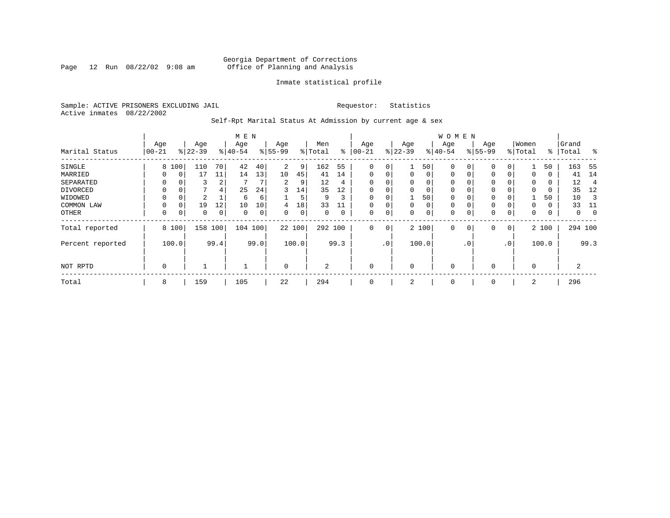Page 12 Run  $08/22/02$  9:08 am

### Inmate statistical profile

Sample: ACTIVE PRISONERS EXCLUDING JAIL **Requestor:** Statistics Active inmates 08/22/2002

Self-Rpt Marital Status At Admission by current age & sex

|                  |          |          |           |     | M E N     |      |                |       |         |      |             |     |             |          | <b>WOMEN</b> |                |             |          |          |       |         |             |
|------------------|----------|----------|-----------|-----|-----------|------|----------------|-------|---------|------|-------------|-----|-------------|----------|--------------|----------------|-------------|----------|----------|-------|---------|-------------|
|                  | Age      |          | Age       |     | Age       |      | Age            |       | Men     |      | Age         |     | Age         |          | Age          |                | Age         |          | Women    |       | Grand   |             |
| Marital Status   | $ 00-21$ |          | $ 22-39 $ |     | $8 40-54$ |      | $8 55-99$      |       | % Total | ွေ   | $100 - 21$  |     | $ 22-39$    |          | $ 40-54 $    |                | $8 55-99$   |          | % Total  | ႜ     | Total   | ွေ          |
| SINGLE           | 8        | 100      | 110       | 70  | 42        | 40   | $\overline{2}$ | 9     | 162     | 55   | 0           | 0   |             | 50       | 0            | $\Omega$       | $\mathbf 0$ | 0        |          | 50    | 163     | - 55        |
| MARRIED          | 0        | 0        | 17        | 11  | 14        | 13   | 10             | 45    | 41      | 14   | $\mathbf 0$ | 0   | $\mathbf 0$ | $\Omega$ | 0            | 0              | 0           | $\Omega$ | 0        | 0     | 41      | 14          |
| SEPARATED        | 0        |          | 3         | 2   |           |      | 2              | 9     | 12      | 4    | $\Omega$    | 0   | $\Omega$    | $\Omega$ | 0            |                | 0           |          | $\Omega$ | 0     | 12      | 4           |
| DIVORCED         | 0        | $\Omega$ |           | 4   | 25        | 24   | 3              | 14    | 35      | 12   | 0           | 0   | $\Omega$    | 0        | 0            |                | 0           |          | $\Omega$ | 0     | 35      | 12          |
| WIDOWED          |          | 0        | 2         |     | 6         | 6    |                | 5     | 9       | 3    | 0           | 0   |             | 50       | 0            |                | 0           |          |          | 50    | 10      |             |
| COMMON LAW       | 0        | $\Omega$ | 19        | 12  | 10        | 10   | 4              | 18    | 33      |      |             | 0   | $\Omega$    | 0        | $\mathbf 0$  |                | 0           |          | $\Omega$ | 0     | 33      | -11         |
| OTHER            | 0        | 0        | 0         | 0   | 0         | 0    | 0              | 0     | 0       | 0    | $\mathbf 0$ | 0   | $\Omega$    | 0        | 0            |                | $\mathbf 0$ | 0        | 0        | 0     | 0       | $\mathbf 0$ |
| Total reported   |          | 8 100    | 158       | 100 | 104 100   |      | 22 100         |       | 292 100 |      | $\mathbf 0$ | 0   |             | 2 100    | 0            | $\overline{0}$ | $\mathbf 0$ | 0        |          | 2 100 | 294 100 |             |
| Percent reported |          | 100.0    | 99.4      |     |           | 99.0 |                | 100.0 |         | 99.3 |             | .0' |             | 100.0    |              | $\cdot$ 0      |             | .0'      |          | 100.0 |         | 99.3        |
| NOT RPTD         | 0        |          |           |     |           |      | $\mathbf 0$    |       | 2       |      | $\mathbf 0$ |     | $\Omega$    |          | 0            |                | 0           |          | $\Omega$ |       | 2       |             |
| Total            | 8        |          | 159       |     | 105       |      | 22             |       | 294     |      | 0           |     | 2           |          | 0            |                | 0           |          | 2        |       | 296     |             |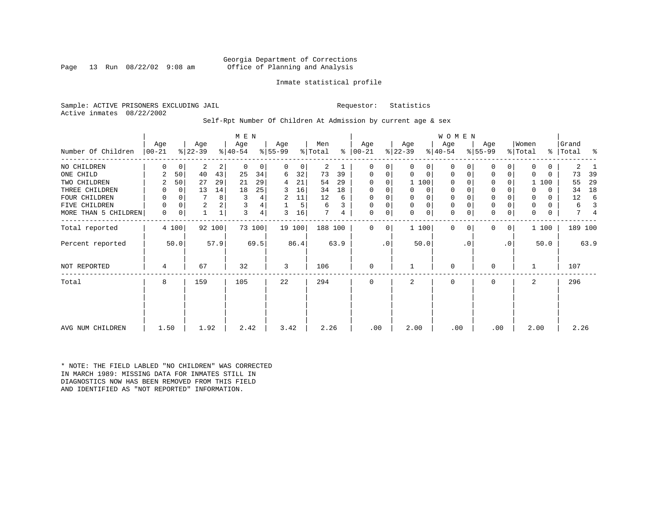### Georgia Department of Corrections<br>Page 13 Run 08/22/02 9:08 am 60ffice of Planning and Analysis Office of Planning and Analysis

### Inmate statistical profile

Sample: ACTIVE PRISONERS EXCLUDING JAIL **Requestor:** Statistics Active inmates 08/22/2002

Self-Rpt Number Of Children At Admission by current age & sex

|                      | Age       |             | Age            |        | M E N<br>Age |        | Age       |        | Men     |      | Age           |           | Age            |             | <b>WOMEN</b><br>Age |           | Age         |           | Women   |              | Grand   |      |
|----------------------|-----------|-------------|----------------|--------|--------------|--------|-----------|--------|---------|------|---------------|-----------|----------------|-------------|---------------------|-----------|-------------|-----------|---------|--------------|---------|------|
| Number Of Children   | $ 00-21 $ |             | $ 22-39 $      |        | $ 40-54 $    |        | $ 55-99 $ |        | % Total |      | $8   00 - 21$ |           | $ 22-39 $      |             | $8 40-54$           |           | $ 55-99 $   |           | % Total | ៖            | Total   | ႜ    |
| NO CHILDREN          | 0         | $\mathbf 0$ | 2              | 2      | 0            | 0      | 0         | 0      | 2       |      | 0             | 0         | 0              | 0           | $\Omega$            |           | 0           | 0         | 0       | $\mathbf{0}$ | 2       |      |
| ONE CHILD            | 2         | 50          | 40             | 43     | 25           | 34     | 6         | 32     | 73      | 39   | 0             | 0         | 0              | 0           | $\mathbf 0$         |           | $\mathbf 0$ | 0         | 0       | 0            | 73      | 39   |
| TWO CHILDREN         | 2         | 50          | 27             | 29     | 21           | 29     | 4         | 21     | 54      | 29   | 0             | 0         |                | 1 100       | $\Omega$            |           | 0           | 0         |         | 1 100        | 55      | 29   |
| THREE CHILDREN       | 0         | 0           | 13             | 14     | 18           | 25     | 3         | 16     | 34      | 18   | 0             | 0         | 0              | 0           | $\mathbf 0$         |           | $\mathbf 0$ | 0         | 0       | 0            | 34      | 18   |
| FOUR CHILDREN        | 0         | $\Omega$    | 7              | 8      |              | 4      | 2         | 11     | 12      | 6    | 0             |           | 0              | 0           | 0                   |           | $\mathbf 0$ |           | 0       | 0            | 12      | 6    |
| FIVE CHILDREN        | 0         | 0           | $\overline{a}$ |        |              | 4      |           | 5      | 6       | 3    | $\mathbf 0$   | 0         | $\mathbf 0$    | $\mathbf 0$ | $\mathbf 0$         |           | $\mathbf 0$ |           | 0       | 0            | 6       |      |
| MORE THAN 5 CHILDREN | 0         | 0           |                |        | 3            | 4      | 3         | 16     | 7       | 4    | 0             | 0         | $\Omega$       | $\mathbf 0$ | $\Omega$            |           | $\mathbf 0$ | 0         | 0       | 0            | 7       |      |
| Total reported       |           | 4 100       |                | 92 100 |              | 73 100 |           | 19 100 | 188 100 |      | 0             | 0         |                | 1 100       | $\Omega$            | $\Omega$  | $\Omega$    | 0         |         | 1 100        | 189 100 |      |
| Percent reported     |           | 50.0        |                | 57.9   |              | 69.5   |           | 86.4   |         | 63.9 |               | $\cdot$ 0 |                | 50.0        |                     | $\cdot$ 0 |             | $\cdot$ 0 |         | 50.0         |         | 63.9 |
| <b>NOT REPORTED</b>  | 4         |             | 67             |        | 32           |        | 3         |        | 106     |      | 0             |           |                |             | 0                   |           | $\Omega$    |           |         |              | 107     |      |
| Total                | 8         |             | 159            |        | 105          |        | 22        |        | 294     |      | 0             |           | $\overline{a}$ |             | $\mathbf 0$         |           | 0           |           | 2       |              | 296     |      |
|                      |           |             |                |        |              |        |           |        |         |      |               |           |                |             |                     |           |             |           |         |              |         |      |
|                      |           |             |                |        |              |        |           |        |         |      |               |           |                |             |                     |           |             |           |         |              |         |      |
| AVG NUM CHILDREN     | 1.50      |             | 1.92           |        | 2.42         |        | 3.42      |        | 2.26    |      | .00           |           | 2.00           |             | .00                 |           | .00         |           | 2.00    |              | 2.26    |      |

\* NOTE: THE FIELD LABLED "NO CHILDREN" WAS CORRECTED IN MARCH 1989: MISSING DATA FOR INMATES STILL IN DIAGNOSTICS NOW HAS BEEN REMOVED FROM THIS FIELD AND IDENTIFIED AS "NOT REPORTED" INFORMATION.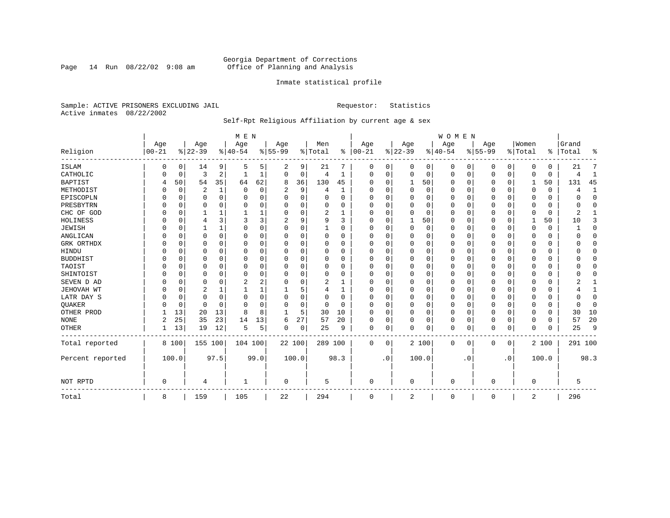Page 14 Run  $08/22/02$  9:08 am

### Inmate statistical profile

Sample: ACTIVE PRISONERS EXCLUDING JAIL **Requestor:** Statistics Active inmates 08/22/2002

### Self-Rpt Religious Affiliation by current age & sex

|                  |           |             |                |          | M E N       |          |           |    |          |              |          |           |              |       | <b>WOMEN</b> |           |          |             |             |          |           |              |
|------------------|-----------|-------------|----------------|----------|-------------|----------|-----------|----|----------|--------------|----------|-----------|--------------|-------|--------------|-----------|----------|-------------|-------------|----------|-----------|--------------|
|                  | Age       |             | Age            |          | Age         |          | Age       |    | Men      |              | Age      |           | Age          |       | Age          |           | Age      |             | Women       |          | Grand     |              |
| Religion         | $00 - 21$ |             | $ 22-39$       |          | $ 40-54$    |          | $8 55-99$ |    | % Total  | ွေ           | $ 00-21$ |           | $ 22-39$     |       | $ 40-54$     |           | $ 55-99$ |             | % Total     |          | %   Total | ႜ            |
| ISLAM            | 0         | 0           | 14             | 9        | 5           | 5        | 2         | 9  | 21       | 7            | 0        | 0         | $\Omega$     | 0     | $\Omega$     | 0         | 0        | 0           | $\Omega$    | $\Omega$ | 21        |              |
| CATHOLIC         |           | 0           | 3              | 2        |             | 1        | $\Omega$  | 0  | 4        | 1            | $\Omega$ | 0         | $\Omega$     | 0     | $\Omega$     | 0         | 0        | 0           | $\Omega$    | $\Omega$ | 4         | 1            |
| <b>BAPTIST</b>   | 4         | 50          | 54             | 35       | 64          | 62       | 8         | 36 | 130      | 45           | $\Omega$ | $\Omega$  | 1            | 50    | $\Omega$     | 0         | 0        | $\Omega$    | 1           | 50       | 131       | 45           |
| METHODIST        | U         | $\mathbf 0$ | $\overline{2}$ | 1        | $\mathbf 0$ | 0        | 2         | 9  | 4        | 1            | $\Omega$ | $\Omega$  | $\Omega$     | 0     | $\Omega$     | $\Omega$  | 0        | $\Omega$    | $\Omega$    | $\Omega$ | 4         | $\mathbf{1}$ |
| EPISCOPLN        |           | $\mathbf 0$ | 0              | $\Omega$ | $\Omega$    | 0        | U         | 0  | $\Omega$ | $\Omega$     | $\Omega$ | $\Omega$  | $\Omega$     | 0     | $\Omega$     | $\Omega$  | 0        | 0           | $\Omega$    | $\Omega$ | U         | $\mathbf 0$  |
| PRESBYTRN        |           | $\Omega$    | U              | $\Omega$ | $\Omega$    | 0        | U         | O  | $\Omega$ | O            | O        | $\Omega$  | $\Omega$     | 0     | O            | $\Omega$  | 0        | $\Omega$    | $\Omega$    | $\Omega$ | O         | $\Omega$     |
| CHC OF GOD       |           | $\Omega$    |                | 1        |             |          | 0         | 0  | 2        | -1           | $\Omega$ | $\Omega$  | $\Omega$     | 0     | $\Omega$     | $\Omega$  | $\Omega$ | $\Omega$    | $\Omega$    | $\Omega$ | 2         | 1            |
| HOLINESS         |           | $\mathbf 0$ | 4              | 3        | 3           | 3        |           | 9  | 9        | ζ            | $\Omega$ | $\Omega$  | -1           | 50    | $\Omega$     | $\Omega$  | 0        | $\Omega$    |             | 50       | 10        | 3            |
| <b>JEWISH</b>    |           | 0           |                | 1        | $\Omega$    | 0        | $\Omega$  | 0  |          | O            | $\Omega$ |           | $\Omega$     | 0     | $\Omega$     | $\Omega$  | 0        | $\Omega$    | $\Omega$    | $\Omega$ |           | $\mathbf 0$  |
| ANGLICAN         |           | 0           | 0              | $\Omega$ | 0           | 0        | U         | 0  | 0        | 0            | $\Omega$ | ∩         | 0            | 0     | $\Omega$     | 0         | 0        | 0           | $\Omega$    | 0        |           | 0            |
| GRK ORTHDX       |           | $\Omega$    | U              | $\Omega$ | $\Omega$    | 0        | U         | O  | O        | <sup>0</sup> | $\Omega$ | $\Omega$  | 0            | 0     | $\Omega$     | 0         | 0        | $\Omega$    | $\Omega$    | 0        |           | $\Omega$     |
| HINDU            |           | $\Omega$    | U              | $\Omega$ | $\Omega$    | $\Omega$ | U         | O  | $\Omega$ | $\Omega$     | $\Omega$ | $\Omega$  | $\Omega$     | 0     | $\Omega$     | $\Omega$  | 0        | $\Omega$    | $\Omega$    | $\Omega$ |           | $\Omega$     |
| <b>BUDDHIST</b>  |           | 0           | 0              | $\Omega$ | $\Omega$    | 0        | U         | 0  | $\Omega$ | 0            | $\Omega$ | $\Omega$  | 0            | 0     | $\Omega$     | $\Omega$  | 0        | $\Omega$    | $\Omega$    | $\Omega$ |           | $\Omega$     |
| TAOIST           |           | $\Omega$    |                | $\Omega$ | $\Omega$    | O        |           | O  | 0        | O            | O        | $\Omega$  | $\Omega$     | 0     | $\Omega$     | 0         | 0        | $\Omega$    | $\Omega$    | $\Omega$ |           | $\Omega$     |
| SHINTOIST        |           | $\Omega$    | U              | $\Omega$ | $\mathbf 0$ | $\Omega$ | U         | O  | $\Omega$ | O            | O        | $\Omega$  | $\Omega$     | 0     | O            | $\Omega$  | 0        | $\Omega$    | $\Omega$    | $\Omega$ |           | $\Omega$     |
| SEVEN D AD       |           | $\Omega$    | U              | $\Omega$ | 2           | 2        | U         | O  | 2        |              | O        | $\Omega$  | $\Omega$     | O     | $\Omega$     | $\Omega$  | 0        | $\Omega$    | $\Omega$    | $\Omega$ |           |              |
| JEHOVAH WT       |           | $\mathbf 0$ | 2              | 1        |             |          |           | 5  | 4        | 1            | $\Omega$ | $\Omega$  | $\Omega$     | 0     | $\Omega$     | $\Omega$  | $\Omega$ | $\Omega$    | $\Omega$    | $\Omega$ |           | $\mathbf{1}$ |
| LATR DAY S       |           | $\Omega$    | 0              | $\Omega$ | $\Omega$    | $\Omega$ | U         | 0  | 0        | O            | $\Omega$ |           | 0            | 0     | $\Omega$     | $\Omega$  | 0        | $\Omega$    | $\Omega$    | $\Omega$ |           | $\Omega$     |
| QUAKER           |           | 0           | 0              | $\Omega$ | $\Omega$    | $\Omega$ | U         | 0  | 0        | $\Omega$     | ∩        | $\Omega$  | 0            | 0     | $\Omega$     | 0         | 0        | 0           | $\Omega$    | 0        | ∩         | 0            |
| OTHER PROD       |           | 13          | 20             | 13       | 8           | 8        | -1        | 5  | 30       | 10           | $\Omega$ | $\Omega$  | $\Omega$     | 0     | $\Omega$     | $\Omega$  | 0        | $\Omega$    | $\Omega$    | $\Omega$ | 30        | 10           |
| <b>NONE</b>      | 2         | 25          | 35             | 23       | 14          | 13       | 6         | 27 | 57       | 20           | $\Omega$ | $\Omega$  | $\Omega$     | 0     | $\Omega$     | 0         | $\Omega$ | $\Omega$    | $\Omega$    | $\Omega$ | 57        | 20           |
| OTHER            |           | 13          | 19             | 12       | .5          | 5        | 0         | 0  | 25       | 9            | 0        | 0         | $\Omega$     | 0     | $\Omega$     | 0         | $\Omega$ | 0           | $\Omega$    | $\Omega$ | 25        | 9            |
| Total reported   |           | 8 100       | 155 100        |          | 104 100     |          | 22 100    |    | 289 100  |              | 0        | 0         |              | 2 100 | $\Omega$     | 0         | 0        | $\mathbf 0$ |             | 2 100    | 291 100   |              |
| Percent reported |           | 100.0       |                | 97.5     |             | 99.0     | 100.0     |    |          | 98.3         |          | $\cdot$ 0 |              | 100.0 |              | $\cdot$ 0 |          | . 0         |             | 100.0    |           | 98.3         |
| NOT RPTD         | $\Omega$  |             | 4              |          |             |          | 0         |    | 5        |              | $\Omega$ |           | <sup>0</sup> |       | $\Omega$     |           | O        |             | $\mathbf 0$ |          | 5         |              |
| Total            | 8         |             | 159            |          | 105         |          | 22        |    | 294      |              | 0        |           | 2            |       | 0            |           | 0        |             | 2           |          | 296       |              |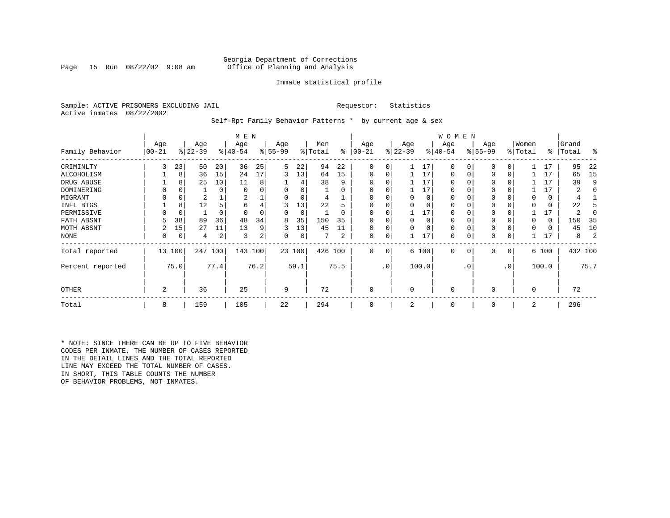### Georgia Department of Corrections<br>Page 15 Run 08/22/02 9:08 am 60ffice of Planning and Analysis Office of Planning and Analysis

### Inmate statistical profile

Sample: ACTIVE PRISONERS EXCLUDING JAIL **Requestor:** Statistics Active inmates 08/22/2002

Self-Rpt Family Behavior Patterns \* by current age & sex

|                  |                 |             |                  |      | M E N            |      |                 |        |                |          |                  |           |                  |          | W O M E N       |           |                 |           |                  |       |                |         |
|------------------|-----------------|-------------|------------------|------|------------------|------|-----------------|--------|----------------|----------|------------------|-----------|------------------|----------|-----------------|-----------|-----------------|-----------|------------------|-------|----------------|---------|
| Family Behavior  | Age<br>$ 00-21$ |             | Age<br>$ 22-39 $ |      | Age<br>$ 40-54 $ |      | Age<br>$ 55-99$ |        | Men<br>% Total | ႜ        | Age<br>$00 - 21$ |           | Age<br>$ 22-39 $ |          | Age<br>$ 40-54$ |           | Age<br>$ 55-99$ |           | Women<br>% Total | ∻     | Grand<br>Total | ႜ       |
| CRIMINLTY        | 3               | 23          | 50               | 20   | 36               | 25   | 5               | 22     | 94             | 22       | $\Omega$         | 0         |                  | 17       | $\Omega$        | 0         | $\Omega$        | 0         |                  | 17    | 95             | 22      |
| ALCOHOLISM       |                 | 8           | 36               | 15   | 24               | 17   | 3               | 13     | 64             | 15       | 0                | 0         |                  | 17       | 0               |           | $\Omega$        | 0         |                  | 17    | 65             | 15      |
| DRUG ABUSE       |                 | 8           | 25               | 10   | 11               | 8    |                 |        | 38             | 9        |                  |           |                  | 17       | U               |           |                 |           |                  | 17    | 39             | 9       |
| DOMINERING       |                 |             |                  | 0    | $\Omega$         |      |                 |        |                | O        |                  |           |                  | 17       | <sup>0</sup>    |           |                 |           |                  | 17    |                |         |
| MIGRANT          |                 | 0           | 2                |      | 2                |      |                 | 0      |                |          |                  |           |                  | 0        | 0               |           | 0               |           |                  | 0     |                |         |
| INFL BTGS        |                 | 8           | 12               |      | 6                | 4    | 3               | 13     | 22             | h        |                  |           |                  | $\Omega$ | 0               |           | $\Omega$        |           |                  | 0     | 22             |         |
| PERMISSIVE       |                 | $\mathbf 0$ |                  | 0    | $\Omega$         | 0    | 0               | 0      |                | $\Omega$ | $\Omega$         | U         |                  | 17       | 0               |           | $\Omega$        |           |                  | 17    |                |         |
| FATH ABSNT       |                 | 38          | 89               | 36   | 48               | 34   | 8               | 35     | 150            | 35       |                  |           |                  | $\Omega$ | 0               |           |                 |           |                  | 0     | 150            | -35     |
| MOTH ABSNT       |                 | 15          | 27               | 11   | 13               | 9    | 3               | 13     | 45             | 11       |                  | 0         |                  |          | 0               |           | $\Omega$        |           |                  | 0     | 45             | 10      |
| NONE             | 0               | 0           | 4                | 2    | 3                | 2    | 0               | 0      |                | 2        | 0                | 0         |                  | 17       | 0               |           | 0               |           |                  | 17    | 8              |         |
| Total reported   |                 | 13 100      | 247              | 100  | 143              | 100  |                 | 23 100 | 426 100        |          | 0                | 0         |                  | 6 100    | $\mathbf 0$     | 0         | 0               | 0         |                  | 6 100 |                | 432 100 |
| Percent reported |                 | 75.0        |                  | 77.4 |                  | 76.2 |                 | 59.1   |                | 75.5     |                  | $\cdot$ 0 |                  | 100.0    |                 | $\cdot$ 0 |                 | $\cdot$ 0 |                  | 100.0 |                | 75.7    |
| <b>OTHER</b>     | 2               |             | 36               |      | 25               |      | 9               |        | 72             |          | 0                |           | $\Omega$         |          | 0               |           | $\Omega$        |           | $\Omega$         |       | 72             |         |
| Total            | 8               |             | 159              |      | 105              |      | 22              |        | 294            |          | 0                |           | 2                |          | 0               |           | 0               |           | 2                |       | 296            |         |

\* NOTE: SINCE THERE CAN BE UP TO FIVE BEHAVIOR CODES PER INMATE, THE NUMBER OF CASES REPORTED IN THE DETAIL LINES AND THE TOTAL REPORTED LINE MAY EXCEED THE TOTAL NUMBER OF CASES. IN SHORT, THIS TABLE COUNTS THE NUMBER OF BEHAVIOR PROBLEMS, NOT INMATES.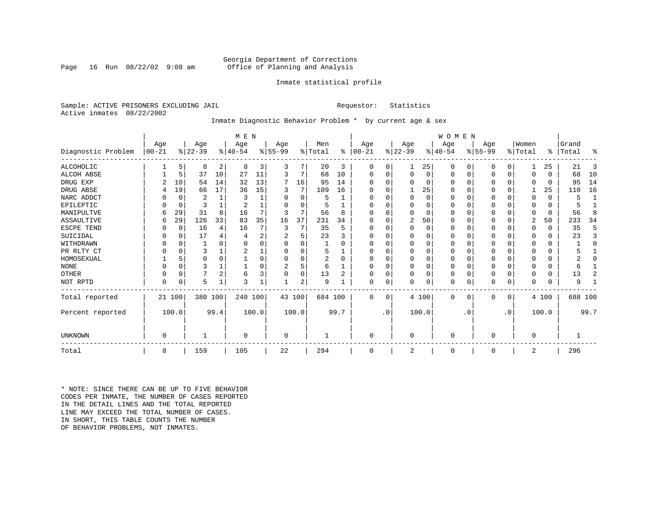### Georgia Department of Corrections<br>Page 16 Run 08/22/02 9:08 am 60ffice of Planning and Analysis Office of Planning and Analysis

### Inmate statistical profile

Sample: ACTIVE PRISONERS EXCLUDING JAIL **Requestor:** Statistics Active inmates 08/22/2002

### Inmate Diagnostic Behavior Problem \* by current age & sex

|                    |            | M E N       |           |          |          |       |           |          |         |          |            |           |             | WOMEN    |          |           |           |           |          |          |         |                |
|--------------------|------------|-------------|-----------|----------|----------|-------|-----------|----------|---------|----------|------------|-----------|-------------|----------|----------|-----------|-----------|-----------|----------|----------|---------|----------------|
|                    | Age        |             | Age       |          | Age      |       | Age       |          | Men     |          | Age        |           | Age         |          | Age      |           | Age       |           | Women    |          | Grand   |                |
| Diagnostic Problem | $ 00 - 21$ |             | $ 22-39 $ |          | $ 40-54$ |       | $8 55-99$ |          | % Total | ႜ        | $ 00 - 21$ |           | $ 22-39 $   |          | $ 40-54$ |           | $ 55-99 $ |           | % Total  | ⊱        | Total   | ፠              |
| <b>ALCOHOLIC</b>   |            | 5           | 8         | 2        | 8        | 3     | 3         | 7        | 20      | 3        | 0          | 0         | 1           | 25       | 0        | 0         | 0         | 0         |          | 25       | 21      | 3              |
| <b>ALCOH ABSE</b>  |            | 5           | 37        | 10       | 27       | 11    | 3         | 7        | 68      | 10       | 0          | $\Omega$  | 0           | $\Omega$ | 0        | 0         | 0         | 0         | $\Omega$ | $\Omega$ | 68      | 10             |
| DRUG EXP           |            | 10          | 54        | 14       | 32       | 13    | 7         | 16       | 95      | 14       |            |           | $\Omega$    | 0        | 0        | 0         |           | $\Omega$  | $\Omega$ | $\Omega$ | 95      | 14             |
| DRUG ABSE          |            | 19          | 66        | 17       | 36       | 15    | 3         | 7        | 109     | 16       | O          |           |             | 25       | $\Omega$ | $\Omega$  | 0         | 0         |          | 25       | 110     | 16             |
| NARC ADDCT         |            | 0           | 2         | 1        | 3        |       |           | $\Omega$ | 5       |          |            | $\Omega$  | $\mathbf 0$ | $\Omega$ | 0        | $\Omega$  |           | $\Omega$  | $\Omega$ | $\Omega$ | 5       | $\mathbf{1}$   |
| EPILEPTIC          |            | $\mathbf 0$ |           |          |          |       |           | O        |         |          | O          |           | $\Omega$    | O        | U        | $\Omega$  | 0         | $\Omega$  | $\Omega$ | $\Omega$ |         |                |
| MANIPULTVE         | 6          | 29          | 31        | 8        | 16       |       | 3         | 7        | 56      | 8        |            |           | $\Omega$    | $\Omega$ | 0        | $\Omega$  | 0         | $\Omega$  | $\Omega$ | 0        | 56      | 8              |
| <b>ASSAULTIVE</b>  | 6          | 29          | 126       | 33       | 83       | 35    | 16        | 37       | 231     | 34       |            |           | 2           | 50       | 0        | 0         | 0         | 0         | 2        | 50       | 233     | 34             |
| ESCPE TEND         |            | 0           | 16        | 4        | 16       |       | 3         | 7        | 35      | 5        |            |           | $\mathbf 0$ | 0        | 0        | $\Omega$  |           | $\Omega$  | $\Omega$ | 0        | 35      | 5              |
| SUICIDAL           |            | 0           | 17        | 4        |          | 2     |           | 5        | 23      |          |            |           | $\Omega$    | U        | U        | $\Omega$  |           | $\Omega$  | $\Omega$ | 0        | 23      | 3              |
| WITHDRAWN          |            | 0           |           | O        |          |       |           | U        |         |          |            |           | $\Omega$    |          | 0        | $\Omega$  |           | O         |          | $\Omega$ |         | $\Omega$       |
| PR RLTY CT         |            | $\Omega$    | 3         |          |          |       |           | O        | 5       |          | O          |           | $\Omega$    | O        | $\Omega$ | $\Omega$  |           | $\Omega$  | $\Omega$ | $\Omega$ |         |                |
| HOMOSEXUAL         |            | 5           | 0         | $\Omega$ |          |       |           | U        | 2       | $\Omega$ |            |           | $\Omega$    | O        | 0        | $\Omega$  |           | $\Omega$  |          | U        |         | $\Omega$       |
| <b>NONE</b>        |            | $\Omega$    | 3         |          |          |       | 2         | 5        | 6       |          | U          |           | $\Omega$    | 0        | 0        | $\Omega$  |           | $\Omega$  |          | $\Omega$ | 6       |                |
| <b>OTHER</b>       |            | $\Omega$    |           | 2        | 6        | 3     | 0         | 0        | 13      | 2        |            |           | 0           | 0        | 0        | $\Omega$  |           | $\Omega$  | $\Omega$ | $\Omega$ | 13      | $\overline{a}$ |
| NOT RPTD           | 0          | 0           | 5         | 1        | 3        |       |           | 2        | 9       |          | O          | 0         | $\Omega$    | 0        | $\Omega$ | 0         | U         | 0         | $\Omega$ | $\Omega$ | 9       |                |
| Total reported     |            | 21 100      | 380       | 100      | 240 100  |       |           | 43 100   | 684 100 |          | $\Omega$   | $\Omega$  |             | 4 100    | $\Omega$ | 0         | 0         | 0         |          | 4 100    | 688 100 |                |
| Percent reported   |            | 100.0       |           | 99.4     |          | 100.0 |           | 100.0    |         | 99.7     |            | $\cdot$ 0 |             | 100.0    |          | $\cdot$ 0 |           | $\cdot$ 0 |          | 100.0    |         | 99.7           |
| UNKNOWN            | 0          |             |           |          | 0        |       | 0         |          |         |          | O          |           | $\mathbf 0$ |          | 0        |           | 0         |           | 0        |          |         |                |
|                    |            |             |           |          |          |       |           |          |         |          |            |           |             |          |          |           |           |           |          |          |         |                |
| Total              | 8          |             | 159       |          | 105      |       | 22        |          | 294     |          | 0          |           | 2           |          | 0        |           | 0         |           | 2        |          | 296     |                |

\* NOTE: SINCE THERE CAN BE UP TO FIVE BEHAVIOR CODES PER INMATE, THE NUMBER OF CASES REPORTED IN THE DETAIL LINES AND THE TOTAL REPORTED LINE MAY EXCEED THE TOTAL NUMBER OF CASES.IN SHORT, THIS TABLE COUNTS THE NUMBER OF BEHAVIOR PROBLEMS, NOT INMATES.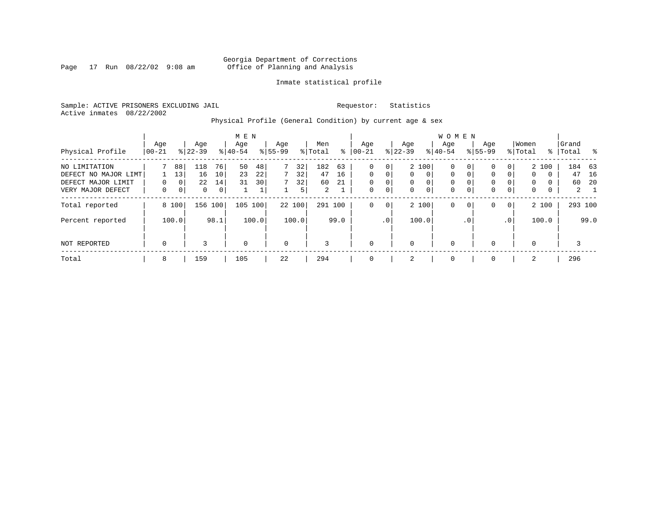Page 17 Run  $08/22/02$  9:08 am

### Inmate statistical profile

Sample: ACTIVE PRISONERS EXCLUDING JAIL **Requestor:** Statistics Active inmates 08/22/2002

Physical Profile (General Condition) by current age & sex

|                      |             |                |              |      | M E N       |       |             |        |                |      |             |             |           |                | W O M E N   |              |              |             |             |          |       |             |
|----------------------|-------------|----------------|--------------|------|-------------|-------|-------------|--------|----------------|------|-------------|-------------|-----------|----------------|-------------|--------------|--------------|-------------|-------------|----------|-------|-------------|
|                      | Age         |                | Age          |      | Age         |       | Age         |        | Men            |      | Age         |             | Age       |                | Aqe         |              | Age          |             | Women       |          | Grand |             |
| Physical Profile     | 00-21       |                | $8 22-39$    |      | $8 40-54$   |       | $8 55-99$   |        | % Total        | ႜ    | $ 00-21$    |             | $ 22-39 $ |                | $8 40-54$   |              | $8155 - 99$  |             | % Total     | ႜ        | Total | - %         |
| NO LIMITATION        |             | 88             | 118          | 76   | 50          | 48    | 7           | 32     | 182            | 63   | $\mathbf 0$ | 0           |           | 2 100          | 0           | $\mathbf{0}$ | $\mathbf{0}$ | 0           |             | 2 100    |       | 184 63      |
| DEFECT NO MAJOR LIMT |             | 13             | 16           | 10   | 23          | 22    |             | 32     | 47             | 16   | $\Omega$    | 0           | $\Omega$  | $\Omega$       | 0           | $\mathbf{0}$ | $\mathbf 0$  | $\Omega$    | $\mathbf 0$ | $\Omega$ | 47    | 16          |
| DEFECT MAJOR LIMIT   | 0           | 0 <sup>1</sup> | 22           | 14   | 31          | 30    |             | 32     | 60             | 21   | $\mathbf 0$ | $\mathbf 0$ | $\Omega$  | $\Omega$       | 0           |              | $\mathbf{0}$ |             | $\Omega$    | $\Omega$ | 60    | - 20        |
| VERY MAJOR DEFECT    | 0           | 0 <sup>1</sup> | $\mathbf{0}$ | 0    |             | Τ.    |             | 5      | $\overline{2}$ |      | $\mathbf 0$ | 0           | 0         | $\overline{0}$ | $\mathbf 0$ | 0            | $\mathbf 0$  | $\mathbf 0$ | 0           | 0        |       | $2 \quad 1$ |
| Total reported       |             | 8 100          | 156          | 100  | 105         | 100   |             | 22 100 | 291 100        |      | $\mathbf 0$ | 0           |           | 2 100          | 0           | $\mathbf{0}$ | $\mathbf{0}$ | $\mathbf 0$ |             | 2 100    |       | 293 100     |
| Percent reported     |             | 100.0          |              | 98.1 |             | 100.0 |             | 100.0  |                | 99.0 |             | $\cdot$ 0   |           | 100.0          |             | $\cdot$ 0    |              | .0'         |             | 100.0    |       | 99.0        |
| NOT REPORTED         | $\mathbf 0$ |                | 3            |      | $\mathbf 0$ |       | $\mathbf 0$ |        | 3              |      | $\mathbf 0$ |             | $\Omega$  |                | $\mathbf 0$ |              | $\mathbf{0}$ |             | $\Omega$    |          | 3     |             |
| Total                | 8           |                | 159          |      | 105         |       | 22          |        | 294            |      | $\mathbf 0$ |             | 2         |                | 0           |              | $\mathbf{0}$ |             | 2           |          | 296   |             |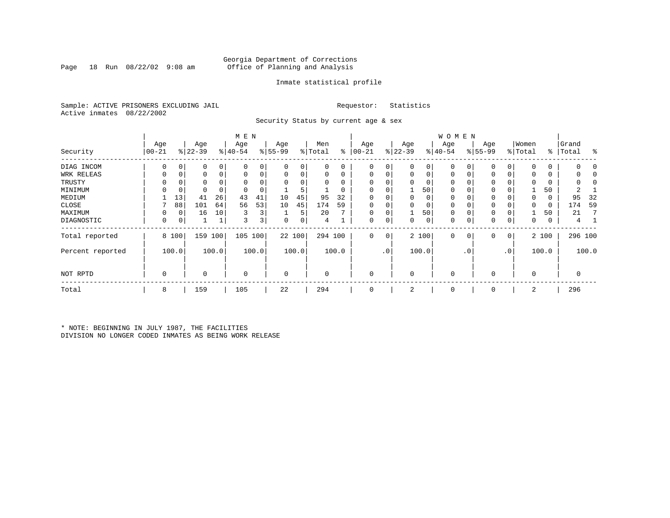### Georgia Department of Corrections<br>Page 18 Run 08/22/02 9:08 am 60ffice of Planning and Analysis Page 18 Run 08/22/02 9:08 am Office of Planning and Analysis

### Inmate statistical profile

Sample: ACTIVE PRISONERS EXCLUDING JAIL **Requestor:** Statistics Active inmates 08/22/2002

Security Status by current age & sex

|                  |           |             |           |       | M E N       |                         |             |        |          |                |            |                 |             |       | W O M E N   |     |             |                |             |               |       |         |
|------------------|-----------|-------------|-----------|-------|-------------|-------------------------|-------------|--------|----------|----------------|------------|-----------------|-------------|-------|-------------|-----|-------------|----------------|-------------|---------------|-------|---------|
|                  | Age       |             | Age       |       | Age         |                         | Age         |        | Men      |                | Age        |                 | Age         |       | Age         |     | Age         |                | Women       |               | Grand |         |
| Security         | $00 - 21$ |             | $ 22-39 $ |       | $ 40-54$    |                         | $8 55-99$   |        | % Total  | ి              | $ 00 - 21$ |                 | $ 22-39 $   |       | $ 40-54 $   |     | $ 55-99 $   |                | % Total     | $\frac{8}{6}$ | Total | ႜ       |
| DIAG INCOM       | $\Omega$  | 0           | 0         | 0     |             | 0                       | 0           | 0      | 0        | 0              | 0          | $\overline{0}$  | $\mathbf 0$ | 0     | 0           |     | 0           | 0              | $\Omega$    | 0             |       | O       |
| WRK RELEAS       |           | 0           | 0         | 0     |             | 0                       | 0           | 0      | 0        | 0              | $\Omega$   | 0               | 0           | 0     | 0           |     | 0           | 0              | $\Omega$    | 0             |       |         |
| TRUSTY           |           |             | 0         |       |             |                         | $\Omega$    | 0      | $\Omega$ | $\Omega$       |            |                 | $\Omega$    | 0     | 0           |     | 0           |                | n           | 0             |       |         |
| MINIMUM          |           | $\mathbf 0$ | 0         | 0     |             |                         |             | 5      |          | 0              |            |                 |             | 50    | 0           |     | $\mathbf 0$ |                |             | 50            |       |         |
| MEDIUM           |           | 13          | 41        | 26    | 43          | 41                      | 10          | 45     | 95       | 32             | 0          |                 | $\mathbf 0$ | 0     | 0           |     | 0           |                | 0           | 0             | 95    | 32      |
| CLOSE            |           | 88          | 101       | 64    | 56          | 53                      | 10          | 45     | 174      | 59             |            |                 | 0           | 0     | 0           |     | 0           |                | $\Omega$    | 0             | 174   | 59      |
| MAXIMUM          | 0         | 0           | 16        | 10    | 3           | 3                       |             | 5      | 20       | $\overline{ }$ | $\Omega$   |                 |             | 50    | 0           |     | 0           |                |             | 50            | 21    |         |
| DIAGNOSTIC       | 0         | 0           |           |       | 3           | $\overline{\mathbf{3}}$ | 0           | 0      | 4        |                | 0          | $\overline{0}$  | 0           | 0     | 0           | 0   | $\mathbf 0$ | 0              | 0           | 0             | 4     |         |
| Total reported   |           | 8 100       | 159       | 100   | 105         | 100                     |             | 22 100 |          | 294 100        | 0          | 0               |             | 2 100 | $\mathbf 0$ | 0   | 0           | $\overline{0}$ |             | 2 100         |       | 296 100 |
| Percent reported |           | 100.0       |           | 100.0 |             | 100.0                   |             | 100.0  |          | 100.0          |            | .0 <sup>1</sup> |             | 100.0 |             | . 0 |             | $\cdot$ 0      |             | 100.0         |       | 100.0   |
| NOT RPTD         | 0         |             | $\Omega$  |       | $\mathbf 0$ |                         | $\mathbf 0$ |        | $\Omega$ |                | $\Omega$   |                 | $\mathbf 0$ |       | $\mathbf 0$ |     | $\Omega$    |                | $\mathbf 0$ |               | 0     |         |
| Total            | 8         |             | 159       |       | 105         |                         | 22          |        | 294      |                | 0          |                 | 2           |       | 0           |     | $\mathbf 0$ |                | 2           |               | 296   |         |

\* NOTE: BEGINNING IN JULY 1987, THE FACILITIES DIVISION NO LONGER CODED INMATES AS BEING WORK RELEASE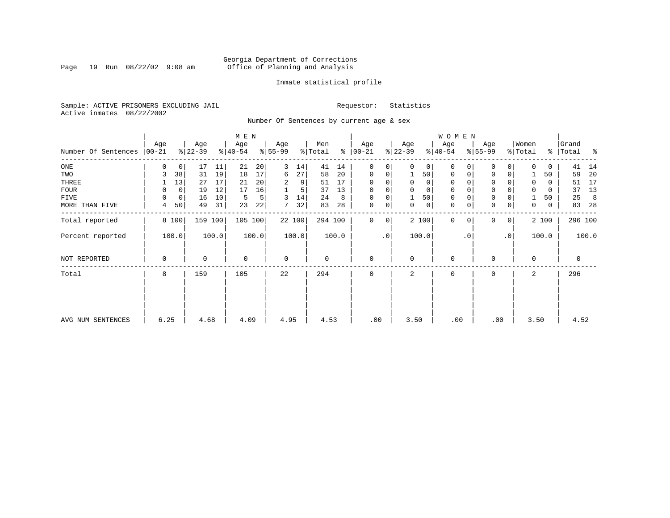Page 19 Run  $08/22/02$  9:08 am

### Inmate statistical profile

Sample: ACTIVE PRISONERS EXCLUDING JAIL **Requestor:** Statistics Active inmates 08/22/2002

Number Of Sentences by current age & sex

|                     |                  |       |                  |       | M E N            |       |                  |        |                |         |                 |           |                  |          | W O M E N        |                |                 |    |                  |          |                 |         |
|---------------------|------------------|-------|------------------|-------|------------------|-------|------------------|--------|----------------|---------|-----------------|-----------|------------------|----------|------------------|----------------|-----------------|----|------------------|----------|-----------------|---------|
| Number Of Sentences | Age<br>$ 00-21 $ |       | Age<br>$ 22-39 $ |       | Age<br>$ 40-54 $ |       | Age<br>$8 55-99$ |        | Men<br>% Total | ႜ       | Age<br>$ 00-21$ |           | Age<br>$ 22-39 $ |          | Age<br>$ 40-54 $ |                | Age<br>$ 55-99$ |    | Women<br>% Total | ွေ       | Grand<br> Total | ႜ       |
| $_{\rm ONE}$        | 0                | 0     | 17               | 11    | 21               | 20    | 3                | 14     | 41             | 14      | $\mathbf 0$     | 0         | $\Omega$         | 0        | $\mathbf 0$      | 0              | 0               | 0  | 0                | 0        | 41              | 14      |
| TWO                 | 3                | 38    | 31               | 19    | 18               | 17    | 6                | 27     | 58             | 20      | $\mathbf 0$     | 0         |                  | 50       | $\mathbf 0$      | 0              | $\Omega$        | 0  |                  | 50       | 59              | 20      |
| THREE               |                  | 13    | 27               | 17    | 21               | 20    | 2                | 9      | 51             | 17      | $\Omega$        |           | $\Omega$         | 0        | 0                |                | $\Omega$        |    | $\Omega$         | 0        | 51              | 17      |
| <b>FOUR</b>         | 0                | 0     | 19               | 12    | 17               | 16    |                  | 5      | 37             | 13      | $\Omega$        | 0         | $\Omega$         | $\Omega$ | $\Omega$         |                | $\Omega$        | 0  | $\Omega$         | $\Omega$ | 37              | 13      |
| FIVE                | 0                | 0     | 16               | 10    | 5                | 5     | 3                | 14     | 24             | 8       | 0               | 0         |                  | 50       | $\mathbf 0$      |                | $\mathbf 0$     |    |                  | 50       | 25              | -8      |
| MORE THAN FIVE      | 4                | 50    | 49               | 31    | 23               | 22    | 7                | 32     | 83             | 28      | $\mathbf 0$     | 0         | 0                | 0        | 0                | 0              | $\mathbf 0$     | 0  | 0                | 0        | 83              | -28     |
| Total reported      |                  | 8 100 | 159 100          |       | 105 100          |       |                  | 22 100 |                | 294 100 | 0               | 0         |                  | 2 100    | $\mathbf 0$      | 0 <sup>1</sup> | $\Omega$        | 0  |                  | 2 100    |                 | 296 100 |
| Percent reported    |                  | 100.0 |                  | 100.0 |                  | 100.0 |                  | 100.0  |                | 100.0   |                 | $\cdot$ 0 |                  | 100.0    |                  | $\cdot$ 0      |                 | .0 |                  | 100.0    |                 | 100.0   |
| NOT REPORTED        | 0                |       | 0                |       | $\mathbf{0}$     |       | $\mathbf 0$      |        | 0              |         | $\mathbf 0$     |           | $\Omega$         |          | $\mathbf 0$      |                | $\mathbf 0$     |    | 0                |          | 0               |         |
| Total               | 8                |       | 159              |       | 105              |       | 22               |        | 294            |         | $\Omega$        |           | $\overline{a}$   |          | $\Omega$         |                | $\mathbf 0$     |    | $\overline{a}$   |          | 296             |         |
|                     |                  |       |                  |       |                  |       |                  |        |                |         |                 |           |                  |          |                  |                |                 |    |                  |          |                 |         |
| AVG NUM SENTENCES   | 6.25             |       | 4.68             |       | 4.09             |       | 4.95             |        | 4.53           |         | .00             |           | 3.50             |          | .00              |                | .00             |    | 3.50             |          | 4.52            |         |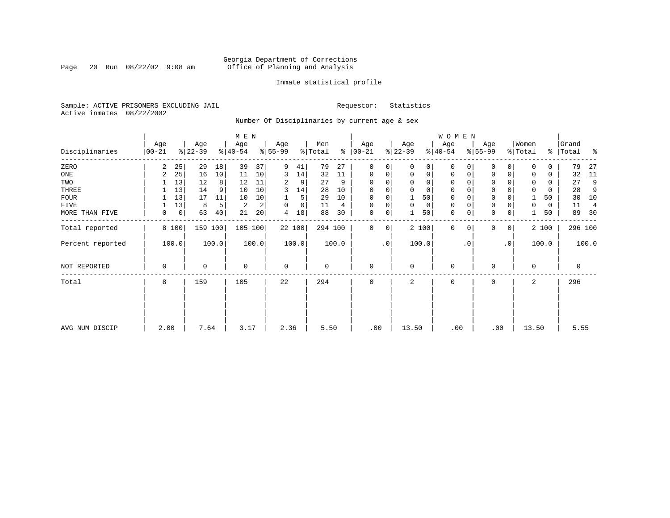Page 20 Run  $08/22/02$  9:08 am

### Inmate statistical profile

Sample: ACTIVE PRISONERS EXCLUDING JAIL **Requestor:** Statistics Active inmates 08/22/2002

Number Of Disciplinaries by current age & sex

|                  |                  |       |                  |                 | M E N            |       |                  |        |                |       |                   |                 |                  |             | W O M E N        |             |                  |              |                  |       |                    |         |
|------------------|------------------|-------|------------------|-----------------|------------------|-------|------------------|--------|----------------|-------|-------------------|-----------------|------------------|-------------|------------------|-------------|------------------|--------------|------------------|-------|--------------------|---------|
| Disciplinaries   | Age<br>$00 - 21$ |       | Age<br>$ 22-39 $ |                 | Age<br>$8 40-54$ |       | Age<br>$8 55-99$ |        | Men<br>% Total | န္    | Age<br>$ 00 - 21$ |                 | Age<br>$ 22-39 $ |             | Age<br>$ 40-54 $ |             | Age<br>$8 55-99$ |              | Women<br>% Total |       | Grand<br>%   Total | ႜ       |
| ZERO             | 2                | 25    | 29               | 18              | 39               | 37    | 9                | 41     | 79             | 27    | $\mathbf 0$       | 0               | $\Omega$         | 0           | $\mathbf 0$      | $\Omega$    | $\Omega$         | $\Omega$     | $\Omega$         | 0     | 79                 | 27      |
| ONE              | 2                | 25    | 16               | 10 <sup>1</sup> | 11               | 10    | 3                | 14     | 32             | 11    | $\mathbf 0$       | 0               | 0                | $\mathbf 0$ | $\mathbf 0$      | $\mathbf 0$ | 0                | $\mathbf 0$  | $\Omega$         | 0     | 32                 | 11      |
| TWO              |                  | 13    | 12               | 8 <sup>1</sup>  | 12               | 11    | 2                | 9      | 27             | 9     | $\Omega$          |                 | $\mathbf 0$      | 0           | $\mathbf 0$      | O           | $\Omega$         |              | 0                | 0     | 27                 | 9       |
| THREE            |                  | 13    | 14               | 9               | 10               | 10    | 3                | 14     | 28             | 10    | $\Omega$          |                 | 0                | 0           | 0                | 0           | 0                |              | $\mathbf 0$      | 0     | 28                 | 9       |
| <b>FOUR</b>      |                  | 13    | 17               | 11              | 10               | 10    |                  | 5      | 29             | 10    | $\Omega$          |                 |                  | 50          | $\mathbf 0$      |             | $\mathbf 0$      |              |                  | 50    | 30                 | 10      |
| FIVE             |                  | 13    | 8                | 5               | $\overline{c}$   | 2     | $\Omega$         | 0      | 11             | 4     | $\Omega$          | 0               | 0                | 0           | 0                | $\Omega$    | 0                |              | 0                | 0     | 11                 | 4       |
| MORE THAN FIVE   | 0                | 0     | 63               | 40              | 21               | 20    | 4                | 18     | 88             | 30    | 0                 | 0               |                  | 50          | $\mathbf 0$      | 0           | $\mathbf 0$      | 0            |                  | 50    | 89                 | 30      |
| Total reported   |                  | 8 100 | 159 100          |                 | 105 100          |       |                  | 22 100 | 294 100        |       | $\Omega$          | 0               |                  | 2 100       | $\mathbf{0}$     | $\mathbf 0$ | 0                | $\mathbf{0}$ |                  | 2 100 |                    | 296 100 |
| Percent reported |                  | 100.0 |                  | 100.0           |                  | 100.0 |                  | 100.0  |                | 100.0 |                   | .0 <sup>1</sup> |                  | 100.0       |                  | $\cdot$ 0   |                  | $\cdot$ 0    |                  | 100.0 |                    | 100.0   |
| NOT REPORTED     | 0                |       | 0                |                 | $\mathbf 0$      |       | $\mathbf 0$      |        | 0              |       | $\mathbf 0$       |                 | 0                |             | $\mathbf 0$      |             | 0                |              | $\Omega$         |       | 0                  |         |
| Total            | 8                |       | 159              |                 | 105              |       | 22               |        | 294            |       | 0                 |                 | 2                |             | $\mathbf 0$      |             | 0                |              | 2                |       | 296                |         |
|                  |                  |       |                  |                 |                  |       |                  |        |                |       |                   |                 |                  |             |                  |             |                  |              |                  |       |                    |         |
| AVG NUM DISCIP   | 2.00             |       | 7.64             |                 | 3.17             |       | 2.36             |        | 5.50           |       | .00               |                 | 13.50            |             | .00              |             | .00              |              | 13.50            |       | 5.55               |         |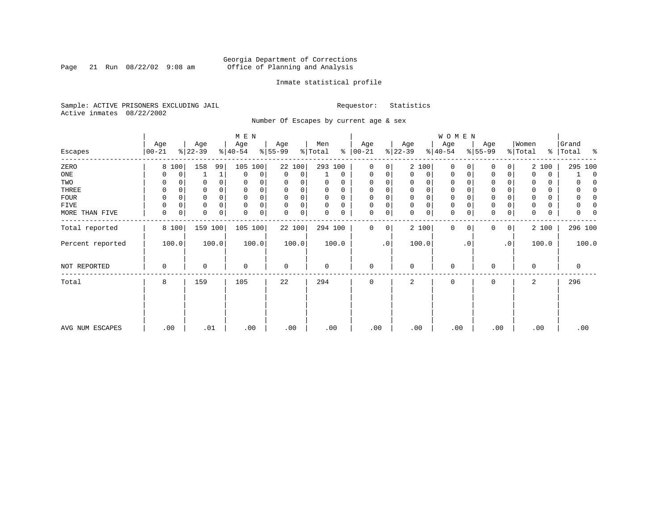Page 21 Run  $08/22/02$  9:08 am

### Inmate statistical profile

Sample: ACTIVE PRISONERS EXCLUDING JAIL **Requestor:** Statistics Active inmates 08/22/2002

Number Of Escapes by current age & sex

|                  |                  |       |                  |       | M E N            |       |                  |        |                |             |                  |           |                 |             | <b>WOMEN</b>     |           |                  |           |                  |       |                |          |
|------------------|------------------|-------|------------------|-------|------------------|-------|------------------|--------|----------------|-------------|------------------|-----------|-----------------|-------------|------------------|-----------|------------------|-----------|------------------|-------|----------------|----------|
| Escapes          | Age<br>$00 - 21$ |       | Age<br>$ 22-39 $ |       | Age<br>$ 40-54 $ |       | Age<br>$ 55-99 $ |        | Men<br>% Total | ៖           | Age<br>$00 - 21$ |           | Age<br>$ 22-39$ |             | Age<br>$ 40-54 $ |           | Age<br>$ 55-99 $ |           | Women<br>% Total | ွေ    | Grand<br>Total | း - ၁    |
| ZERO             |                  | 8 100 | 158              | 99    | 105              | 100   |                  | 22 100 | 293 100        |             | $\mathbf{0}$     | 0         |                 | 2 100       | 0                |           | 0                | 0         |                  | 2 100 | 295 100        |          |
| ONE              |                  | 0     |                  | 1     | 0                | 0     | 0                | 0      |                | $\mathbf 0$ | 0                | 0         | $\Omega$        | 0           | 0                | 0         | 0                | 0         | $\Omega$         | 0     |                | $\Omega$ |
| TWO              | 0                |       |                  |       | 0                |       | 0                |        | 0              | 0           | 0                |           | 0               | 0           | 0                |           | U                |           | 0                | 0     |                |          |
| THREE            | 0                |       |                  |       | $\mathbf 0$      |       | $\Omega$         | 0      | 0              | 0           | 0                |           | 0               | 0           | 0                |           | 0                |           | 0                | 0     |                |          |
| <b>FOUR</b>      | $\Omega$         |       |                  |       | $\Omega$         | 0     | $\Omega$         | 0      | 0              | $\Omega$    | 0                |           | $\Omega$        | $\mathbf 0$ | $\mathbf 0$      |           | $\Omega$         |           | $\Omega$         | 0     |                |          |
| FIVE             |                  | 0     |                  |       | $\mathbf 0$      | 0     | $\Omega$         | 0      | 0              | $\Omega$    | $\Omega$         | 0         | $\Omega$        | $\mathsf 0$ | 0                |           | $\Omega$         |           | 0                | 0     |                |          |
| MORE THAN FIVE   | 0                | 0     | 0                | 0     | 0                | 0     | 0                | 0      | 0              | 0           | 0                | 0         | $\Omega$        | $\mathbf 0$ | $\mathbf 0$      |           | $\Omega$         | 0         | $\Omega$         | 0     |                |          |
| Total reported   |                  | 8 100 | 159 100          |       | 105 100          |       |                  | 22 100 | 294 100        |             | 0                | 0         |                 | 2 100       | $\mathbf{0}$     | $\Omega$  | 0                | $\circ$   |                  | 2 100 | 296 100        |          |
| Percent reported |                  | 100.0 |                  | 100.0 |                  | 100.0 |                  | 100.0  |                | 100.0       |                  | $\cdot$ 0 |                 | 100.0       |                  | $\cdot$ 0 |                  | $\cdot$ 0 |                  | 100.0 | 100.0          |          |
| NOT REPORTED     | $\Omega$         |       | 0                |       | $\mathbf 0$      |       | 0                |        | 0              |             | 0                |           | $\Omega$        |             | 0                |           | 0                |           | $\mathbf 0$      |       | 0              |          |
| Total            | 8                |       | 159              |       | 105              |       | 22               |        | 294            |             | 0                |           | 2               |             | 0                |           | 0                |           | 2                |       | 296            |          |
|                  |                  |       |                  |       |                  |       |                  |        |                |             |                  |           |                 |             |                  |           |                  |           |                  |       |                |          |
| AVG NUM ESCAPES  | .00              |       | .01              |       | .00              |       | .00              |        | .00            |             | .00              |           | .00             |             | .00              |           | .00              |           |                  | .00   | .00            |          |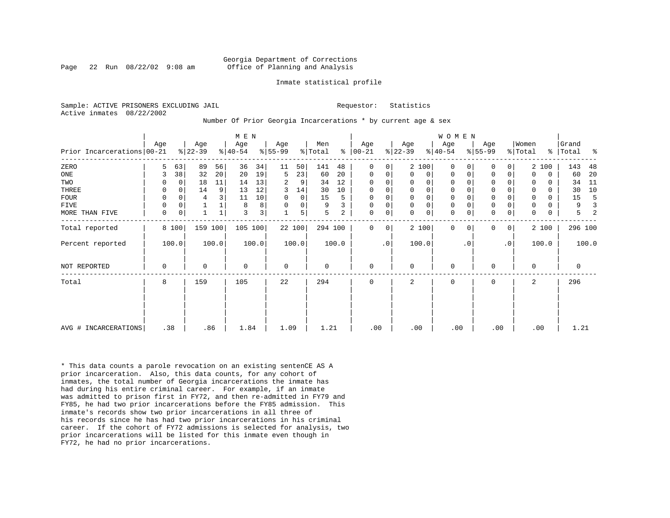Page 22 Run  $08/22/02$  9:08 am

### Inmate statistical profile

Sample: ACTIVE PRISONERS EXCLUDING JAIL **Requestor:** Statistics Active inmates 08/22/2002

Number Of Prior Georgia Incarcerations \* by current age & sex

|                              |     |          |           | M E N           |           |       |           |        |         |       |               |             |                | <b>WOMEN</b> |             |           |             |                |          |          |             |       |
|------------------------------|-----|----------|-----------|-----------------|-----------|-------|-----------|--------|---------|-------|---------------|-------------|----------------|--------------|-------------|-----------|-------------|----------------|----------|----------|-------------|-------|
|                              | Age |          | Age       |                 | Age       |       | Age       |        | Men     |       | Age           |             | Age            |              | Age         |           | Age         |                | Women    |          | Grand       |       |
| Prior Incarcerations   00-21 |     |          | $ 22-39 $ |                 | $ 40-54 $ |       | $ 55-99 $ |        | % Total |       | $8   00 - 21$ |             | $ 22-39 $      |              | $8 40-54$   |           | $ 55-99 $   |                | % Total  |          | %   Total   | ႜ     |
| ZERO                         | 5   | 63       | 89        | 56              | 36        | 34    | 11        | 50     | 141     | 48    | 0             | 0           |                | 2 100        | $\Omega$    |           | 0           | $\Omega$       |          | 2 100    | 143         | 48    |
| $_{\rm ONE}$                 | 3   | 38       | 32        | 20 <sup>1</sup> | 20        | 19    | 5         | 23     | 60      | 20    | 0             | 0           | 0              | 0            | $\Omega$    | 0         | 0           | 0              | 0        | 0        | 60          | 20    |
| TWO                          |     | 0        | 18        | 11              | 14        | 13    | 2         | 9      | 34      | 12    | 0             | 0           |                | 0            | $\Omega$    |           | 0           |                | 0        | $\Omega$ | 34          | 11    |
| THREE                        | 0   | $\Omega$ | 14        | 9               | 13        | 12    | 3         | 14     | 30      | 10    | $\mathbf 0$   | 0           | $\Omega$       | $\mathbf 0$  | $\mathbf 0$ |           | $\mathbf 0$ |                |          | $\Omega$ | 30          | 10    |
| <b>FOUR</b>                  | 0   | $\Omega$ | 4         |                 | 11        | 10    | $\Omega$  | 0      | 15      | 5     | 0             | 0           | $\Omega$       | $\mathbf 0$  | $\mathbf 0$ |           | $\Omega$    |                | 0        | $\Omega$ | 15          |       |
| FIVE                         | 0   | 0        |           |                 | 8         | 8     | $\Omega$  | 0      | 9       |       | $\mathbf 0$   | 0           | $\Omega$       | $\mathbf 0$  | $\mathbf 0$ |           | $\mathbf 0$ |                |          | 0        | 9           |       |
| MORE THAN FIVE               | 0   | 0        |           |                 | 3         | 3     |           | 5      | 5       | 2     | 0             | 0           | $\Omega$       | 0            | $\Omega$    |           | $\Omega$    | 0              | $\Omega$ | 0        | 5           |       |
| Total reported               |     | 8 100    | 159       | 100             | 105 100   |       |           | 22 100 | 294 100 |       | 0             | $\mathbf 0$ |                | 2 100        | $\Omega$    | $\Omega$  | $\Omega$    | $\overline{0}$ |          | 2 100    | 296 100     |       |
| Percent reported             |     | 100.0    |           | 100.0           |           | 100.0 |           | 100.0  |         | 100.0 |               | $\cdot$ 0   |                | 100.0        |             | $\cdot$ 0 |             | $\cdot$ 0      |          | 100.0    |             | 100.0 |
| NOT REPORTED                 | 0   |          | $\Omega$  |                 | 0         |       | 0         |        | 0       |       | $\mathbf{0}$  |             | $\Omega$       |              | 0           |           | 0           |                | $\Omega$ |          | $\mathbf 0$ |       |
| Total                        | 8   |          | 159       |                 | 105       |       | 22        |        | 294     |       | 0             |             | $\overline{a}$ |              | 0           |           | 0           |                | 2        |          | 296         |       |
|                              |     |          |           |                 |           |       |           |        |         |       |               |             |                |              |             |           |             |                |          |          |             |       |
| AVG # INCARCERATIONS         | .38 |          | .86       |                 | 1.84      |       | 1.09      |        | 1.21    |       | .00           |             | .00            |              | .00         |           | .00         |                |          | .00      | 1.21        |       |

\* This data counts a parole revocation on an existing sentenCE AS A prior incarceration. Also, this data counts, for any cohort of inmates, the total number of Georgia incarcerations the inmate has had during his entire criminal career. For example, if an inmate was admitted to prison first in FY72, and then re-admitted in FY79 and FY85, he had two prior incarcerations before the FY85 admission. This inmate's records show two prior incarcerations in all three of his records since he has had two prior incarcerations in his criminal career. If the cohort of FY72 admissions is selected for analysis, two prior incarcerations will be listed for this inmate even though in FY72, he had no prior incarcerations.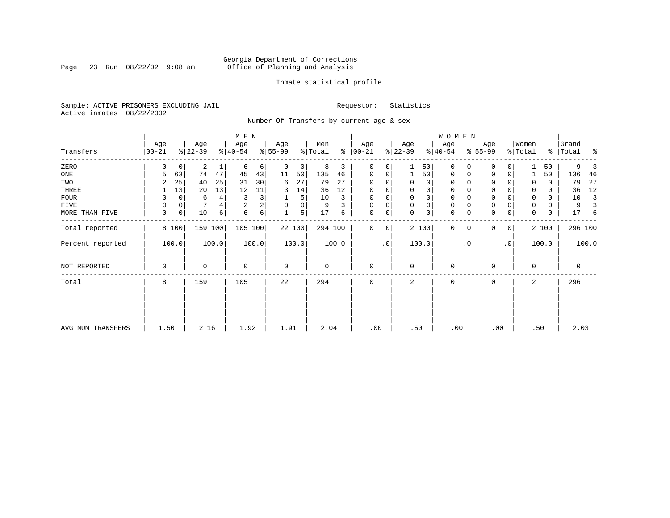Page 23 Run  $08/22/02$  9:08 am

### Inmate statistical profile

Sample: ACTIVE PRISONERS EXCLUDING JAIL **Requestor:** Statistics Active inmates 08/22/2002

Number Of Transfers by current age & sex

|                   |                |       |                  |       | M E N            |                |                  |       |                |       |                      |           |                  |       | W O M E N        |          |                  |                |                  |       |                    |                |
|-------------------|----------------|-------|------------------|-------|------------------|----------------|------------------|-------|----------------|-------|----------------------|-----------|------------------|-------|------------------|----------|------------------|----------------|------------------|-------|--------------------|----------------|
| Transfers         | Age<br>  00-21 |       | Age<br>$ 22-39 $ |       | Age<br>$8 40-54$ |                | Age<br>$ 55-99 $ |       | Men<br>% Total |       | Age<br>$8   00 - 21$ |           | Age<br>$ 22-39 $ |       | Age<br>$ 40-54 $ |          | Age<br>$8 55-99$ |                | Women<br>% Total |       | Grand<br>% Total % |                |
| ZERO              | O              | 0     | 2                |       | 6                | 6              | 0                | 0     | 8              | 3     | 0                    | 0         |                  | 50    | 0                | 0        | $\Omega$         |                |                  | 50    | 9                  |                |
| ONE               | 5              | 63    | 74               | 47    | 45               | 43             | 11               | 50    | 135            | 46    | 0                    | 0         |                  | 50    | 0                | 0        | 0                | 0              |                  | 50    | 136                | -46            |
| TWO               |                | 25    | 40               | 25    | 31               | 30             | 6                | 27    | 79             | 27    | $\Omega$             |           |                  | 0     | 0                |          | $\Omega$         |                | 0                | 0     | 79                 | 27             |
| THREE             |                | 13    | 20               | 13    | 12               | 11             | 3                | 14    | 36             | 12    | $\Omega$             |           | 0                | 0     | 0                |          | $\Omega$         |                |                  | 0     | 36                 | 12             |
| <b>FOUR</b>       | 0              | 0     | 6                | 4     | 3                | 3              |                  | 5     | 10             | 3     | $\Omega$             |           | $\Omega$         | 0     | $\Omega$         |          | $\Omega$         |                | $\Omega$         | 0     | 10                 | $\overline{3}$ |
| FIVE              | 0              | 0     |                  | 4     | $\overline{2}$   | $\overline{a}$ | $\mathbf 0$      | 0     | 9              |       | $\Omega$             | 0         | $\Omega$         | 0     | $\mathbf 0$      |          | $\mathbf 0$      |                | 0                | 0     | 9                  |                |
| MORE THAN FIVE    | 0              | 0     | 10               | 6     | 6                | $6 \mid$       |                  | 5     | 17             | 6     | 0                    | 0         | $\Omega$         | 0     | $\mathbf 0$      | 0        | $\Omega$         | 0              | 0                | 0     | 17                 | 6              |
| Total reported    |                | 8 100 | 159 100          |       | 105 100          |                |                  | 22100 | 294 100        |       | $\Omega$             | 0         |                  | 2 100 | 0                | $\Omega$ | $\Omega$         | 0 <sup>1</sup> |                  | 2 100 | 296 100            |                |
| Percent reported  |                | 100.0 |                  | 100.0 |                  | 100.0          |                  | 100.0 |                | 100.0 |                      | $\cdot$ 0 |                  | 100.0 |                  | . 0      |                  | $\cdot$ 0      |                  | 100.0 |                    | 100.0          |
| NOT REPORTED      | 0              |       | $\Omega$         |       | $\mathbf 0$      |                | 0                |       | 0              |       | $\mathbf 0$          |           | $\Omega$         |       | $\mathbf 0$      |          | O                |                | $\mathbf 0$      |       | $\mathbf 0$        |                |
| Total             | 8              |       | 159              |       | 105              |                | 22               |       | 294            |       | 0                    |           | 2                |       | 0                |          | 0                |                | 2                |       | 296                |                |
|                   |                |       |                  |       |                  |                |                  |       |                |       |                      |           |                  |       |                  |          |                  |                |                  |       |                    |                |
|                   |                |       |                  |       |                  |                |                  |       |                |       |                      |           |                  |       |                  |          |                  |                |                  |       |                    |                |
| AVG NUM TRANSFERS | 1.50           |       | 2.16             |       | 1.92             |                | 1.91             |       | 2.04           |       | .00                  |           | .50              |       | .00              |          | .00              |                |                  | .50   | 2.03               |                |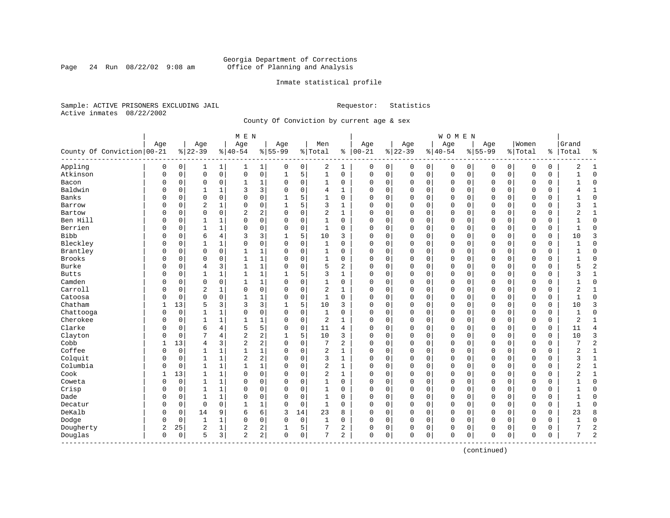### Georgia Department of Corrections<br>Page 24 Run 08/22/02 9:08 am 60ffice of Planning and Analysis Page 24 Run 08/22/02 9:08 am Office of Planning and Analysis

### Inmate statistical profile

Sample: ACTIVE PRISONERS EXCLUDING JAIL **Requestor:** Statistics Active inmates 08/22/2002

County Of Conviction by current age & sex

|                              |     |          |                 |              | M E N                   |                         |                  |             |                |                |                   |          |                 |             | WOMEN            |             |                    |             |                  |               |                |                |
|------------------------------|-----|----------|-----------------|--------------|-------------------------|-------------------------|------------------|-------------|----------------|----------------|-------------------|----------|-----------------|-------------|------------------|-------------|--------------------|-------------|------------------|---------------|----------------|----------------|
| County Of Conviction   00-21 | Age |          | Age<br>$ 22-39$ |              | Age<br>$ 40-54$         |                         | Age<br>$8 55-99$ |             | Men<br>% Total |                | Age<br>$% 100-21$ |          | Age<br>$ 22-39$ |             | Age<br>$8 40-54$ |             | Age<br>$8155 - 99$ |             | Women<br>% Total | $\frac{8}{6}$ | Grand<br>Total | နွ             |
| Appling                      | 0   | 0        | 1               | $\mathbf{1}$ | 1                       | $\mathbf{1}$            | 0                | 0           | 2              | 1              | 0                 | 0        | 0               | 0           | 0                | 0           | 0                  | 0           | 0                | 0             | 2              | 1              |
| Atkinson                     | 0   | 0        | $\mathbf{0}$    | $\mathsf{O}$ | 0                       | 0                       | $\mathbf{1}$     | 5           | $\mathbf{1}$   | 0              | $\mathbf 0$       | 0        | $\mathbf 0$     | $\mathsf 0$ | 0                | $\mathbf 0$ | $\mathbf 0$        | $\mathbf 0$ | $\mathbf 0$      | 0             | $\mathbf{1}$   | $\Omega$       |
| Bacon                        | 0   | 0        | $\mathbf 0$     | 0            | $\mathbf{1}$            | 1                       | $\Omega$         | 0           | 1              | 0              | 0                 | 0        | $\mathbf 0$     | 0           | 0                | $\mathbf 0$ | $\mathbf 0$        | $\mathbf 0$ | 0                | 0             |                | $\Omega$       |
| Baldwin                      | O   | 0        | 1               | $\mathbf{1}$ | 3                       | 3                       | $\Omega$         | $\mathbf 0$ | 4              | $\mathbf{1}$   | $\Omega$          | 0        | $\mathbf 0$     | 0           | $\Omega$         | $\mathbf 0$ | $\Omega$           | $\Omega$    | $\Omega$         | 0             |                | $\mathbf{1}$   |
| Banks                        | U   | $\Omega$ | $\Omega$        | $\Omega$     | $\Omega$                | 0                       | 1                | 5           | $\mathbf{1}$   | $\Omega$       | $\Omega$          | O        | $\Omega$        | $\Omega$    | $\Omega$         | $\Omega$    | $\Omega$           | $\Omega$    | $\Omega$         | $\Omega$      |                | $\Omega$       |
| Barrow                       | 0   | 0        | $\overline{2}$  | 1            | $\Omega$                | 0                       | 1                | 5           | 3              | 1              | $\Omega$          | 0        | $\mathbf 0$     | 0           | 0                | $\mathbf 0$ | $\Omega$           | $\Omega$    | $\mathbf 0$      | 0             | 3              | 1              |
| Bartow                       | 0   | 0        | $\mathbf 0$     | $\mathbf 0$  | 2                       | 2                       | $\Omega$         | 0           | $\overline{c}$ | $\mathbf{1}$   | 0                 | 0        | 0               | 0           | 0                | 0           | 0                  | 0           | $\mathbf 0$      | 0             | 2              | 1              |
| Ben Hill                     | O   | 0        | $\mathbf{1}$    | $\mathbf{1}$ | $\Omega$                | 0                       | $\Omega$         | $\mathbf 0$ | $\mathbf{1}$   | $\Omega$       | $\Omega$          | 0        | $\Omega$        | 0           | $\Omega$         | 0           | $\Omega$           | $\Omega$    | $\Omega$         | 0             |                | $\Omega$       |
| Berrien                      | O   | 0        | -1              | $\mathbf{1}$ | 0                       | 0                       | $\Omega$         | $\mathbf 0$ | 1              | 0              | $\Omega$          | 0        | $\mathbf 0$     | $\mathbf 0$ | $\Omega$         | $\mathbf 0$ | $\mathbf{0}$       | $\mathbf 0$ | $\Omega$         | 0             | -1             | $\Omega$       |
| <b>Bibb</b>                  | U   | 0        | 6               | 4            | 3                       | 3                       |                  | 5           | 10             | 3              | $\Omega$          | 0        | $\mathbf 0$     | 0           | $\Omega$         | 0           | $\Omega$           | 0           | $\Omega$         | 0             | 10             | 3              |
| Bleckley                     | O   | 0        | $\mathbf{1}$    | 1            | 0                       | 0                       | $\mathbf 0$      | $\Omega$    | 1              | 0              | 0                 | 0        | $\mathbf 0$     | 0           | $\Omega$         | $\mathbf 0$ | $\Omega$           | $\Omega$    | $\mathbf 0$      | 0             |                | $\Omega$       |
| Brantley                     | 0   | $\Omega$ | $\mathbf 0$     | $\Omega$     | $\mathbf{1}$            | 1                       | $\Omega$         | $\Omega$    | $\mathbf{1}$   | $\Omega$       | $\Omega$          | 0        | $\Omega$        | 0           | $\Omega$         | $\mathbf 0$ | $\Omega$           | $\Omega$    | $\Omega$         | 0             |                | $\Omega$       |
| Brooks                       | O   | 0        | $\Omega$        | 0            | $\mathbf{1}$            | 1                       | $\Omega$         | $\mathbf 0$ | $\mathbf{1}$   | 0              | $\Omega$          | 0        | $\Omega$        | 0           | $\Omega$         | $\mathbf 0$ | $\Omega$           | 0           | $\mathbf 0$      | 0             |                | $\Omega$       |
| Burke                        | U   | 0        | $\overline{4}$  | 3            | $\mathbf{1}$            | 1                       | $\Omega$         | $\mathbf 0$ | 5              | 2              | $\mathbf 0$       | 0        | $\Omega$        | 0           | 0                | 0           | $\Omega$           | 0           | $\mathbf 0$      | 0             | 5              | $\overline{c}$ |
| <b>Butts</b>                 | U   | 0        | 1               | 1            | 1                       | 1                       |                  | 5           | 3              | 1              | $\Omega$          | 0        | $\mathbf 0$     | 0           | 0                | 0           | 0                  | 0           | 0                | 0             | ς              | 1              |
| Camden                       | O   | $\Omega$ | $\mathbf 0$     | $\Omega$     | 1                       | 1                       | $\Omega$         | $\mathbf 0$ | 1              | 0              | $\Omega$          | 0        | $\mathbf 0$     | 0           | $\Omega$         | $\Omega$    | $\Omega$           | $\Omega$    | $\Omega$         | $\Omega$      |                | $\Omega$       |
| Carroll                      | O   | 0        | $\overline{2}$  | 1            | $\Omega$                | 0                       | $\Omega$         | $\Omega$    | $\overline{2}$ | 1              | $\Omega$          | $\Omega$ | $\Omega$        | $\Omega$    | $\Omega$         | $\mathbf 0$ | $\Omega$           | $\Omega$    | $\mathbf 0$      | $\Omega$      | $\overline{2}$ | $\mathbf{1}$   |
| Catoosa                      | 0   | $\Omega$ | $\mathbf 0$     | $\mathbf 0$  | $\mathbf{1}$            | 1                       | $\Omega$         | $\mathbf 0$ | $\mathbf{1}$   | 0              | $\Omega$          | 0        | $\mathbf 0$     | 0           | 0                | $\mathbf 0$ | $\Omega$           | $\Omega$    | 0                | 0             | -1             | $\Omega$       |
| Chatham                      | 1   | 13       | 5               | 3            | 3                       | 3                       |                  | 5           | 10             | 3              | 0                 | 0        | 0               | $\mathbf 0$ | 0                | 0           | 0                  | 0           | $\mathbf 0$      | 0             | 10             | 3              |
| Chattooga                    | O   | 0        | 1               | 1            | 0                       | 0                       | $\Omega$         | 0           | $\mathbf{1}$   | 0              | 0                 | 0        | 0               | 0           | 0                | $\mathbf 0$ | 0                  | 0           | 0                | 0             | $\mathbf{1}$   | $\Omega$       |
| Cherokee                     | 0   | 0        | $\mathbf{1}$    | $\mathbf{1}$ | $\mathbf{1}$            | 1                       | $\Omega$         | $\mathbf 0$ | 2              | 1              | $\Omega$          | 0        | $\mathbf 0$     | $\mathbf 0$ | $\Omega$         | $\mathbf 0$ | $\mathbf{0}$       | $\mathbf 0$ | $\Omega$         | 0             | $\overline{c}$ | $\mathbf{1}$   |
| Clarke                       | U   | 0        | 6               | 4            | 5                       | 5                       | $\Omega$         | 0           | 11             | 4              | 0                 | 0        | $\mathbf 0$     | 0           | 0                | 0           | 0                  | 0           | 0                | 0             | 11             | $\overline{4}$ |
| Clayton                      | U   | 0        | 7               | 4            | 2                       | 2                       |                  | 5           | 10             | 3              | 0                 | 0        | $\mathbf 0$     | $\Omega$    | 0                | 0           | $\Omega$           | 0           | $\mathbf 0$      | 0             | 10             | 3              |
| Cobb                         |     | 13       | 4               | 3            | $\overline{2}$          | 2                       | $\Omega$         | 0           | 7              | $\overline{a}$ | 0                 | 0        | $\mathbf 0$     | 0           | 0                | $\mathbf 0$ | $\Omega$           | 0           | $\mathbf 0$      | 0             | 7              | $\overline{2}$ |
| Coffee                       | 0   | 0        | 1               | $\mathbf 1$  | $\mathbf{1}$            | 1                       | $\Omega$         | $\mathbf 0$ | 2              | 1              | 0                 | 0        | $\mathbf 0$     | 0           | 0                | $\mathbf 0$ | 0                  | $\Omega$    | $\mathbf 0$      | 0             | 2              | $\mathbf{1}$   |
| Colquit                      | O   | 0        | $\mathbf{1}$    | $\mathbf{1}$ | $\overline{\mathbf{c}}$ | $\overline{\mathbf{c}}$ | $\Omega$         | $\mathbf 0$ | 3              | $\mathbf{1}$   | $\Omega$          | 0        | $\Omega$        | 0           | 0                | 0           | $\Omega$           | 0           | $\mathbf 0$      | 0             | 3              | $\mathbf{1}$   |
| Columbia                     | O   | 0        | 1               | 1            | 1                       | $\mathbf 1$             | $\Omega$         | 0           | 2              | 1              | $\Omega$          | 0        | $\mathbf 0$     | 0           | 0                | 0           | $\mathbf 0$        | 0           | $\mathbf 0$      | 0             | 2              | $\mathbf{1}$   |
| Cook                         |     | 13       | $\mathbf{1}$    | 1            | $\Omega$                | 0                       | $\Omega$         | 0           | 2              | 1              | $\Omega$          | 0        | $\mathbf 0$     | 0           | $\Omega$         | $\mathbf 0$ | $\Omega$           | $\Omega$    | $\Omega$         | 0             |                | $\mathbf{1}$   |
| Coweta                       | O   | 0        | $\mathbf{1}$    | $\mathbf{1}$ | $\Omega$                | 0                       | $\Omega$         | $\Omega$    | $\mathbf{1}$   | $\Omega$       | $\Omega$          | $\Omega$ | $\mathbf 0$     | $\Omega$    | $\Omega$         | $\mathbf 0$ | $\Omega$           | $\Omega$    | $\mathbf 0$      | 0             |                | $\Omega$       |
| Crisp                        | U   | 0        | $\mathbf{1}$    | 1            | 0                       | 0                       | $\Omega$         | $\Omega$    | $\mathbf{1}$   | $\Omega$       | $\Omega$          | O        | $\mathbf 0$     | $\Omega$    | $\Omega$         | $\mathbf 0$ | $\Omega$           | $\Omega$    | $\mathbf 0$      | 0             |                | $\Omega$       |
| Dade                         | 0   | 0        | 1               | 1            | $\Omega$                | 0                       | O                | $\mathbf 0$ | 1              | 0              | 0                 | 0        | $\mathbf 0$     | 0           | 0                | 0           | 0                  | 0           | 0                | 0             |                | $\Omega$       |
| Decatur                      | O   | 0        | $\mathbf 0$     | $\mathbf 0$  | 1                       | 1                       | $\Omega$         | $\mathbf 0$ | $\mathbf{1}$   | 0              | 0                 | 0        | $\mathbf 0$     | 0           | 0                | $\mathbf 0$ | 0                  | 0           | 0                | 0             | $\mathbf{1}$   | $\Omega$       |
| DeKalb                       | O   | 0        | 14              | 9            | 6                       | 6                       | 3                | 14          | 23             | 8              | $\Omega$          | 0        | $\mathbf 0$     | $\mathbf 0$ | $\Omega$         | 0           | $\mathbf{0}$       | 0           | $\Omega$         | 0             | 23             | 8              |
| Dodge                        | 0   | 0        | $\mathbf{1}$    | 1            | 0                       | 0                       | $\Omega$         | 0           | 1              | 0              | $\Omega$          | 0        | $\mathbf 0$     | $\mathbf 0$ | 0                | 0           | 0                  | $\mathbf 0$ | 0                | 0             |                | $\Omega$       |
| Dougherty                    | 2   | 25       | $\overline{a}$  | 1            | 2                       | 2                       |                  | 5           | 7              | 2              | 0                 | 0        | 0               | 0           | 0                | 0           | 0                  | 0           | 0                | 0             |                | $\overline{c}$ |
| Douglas<br>----------        | 0   | 0        | 5               | 3            | $\overline{2}$          | 2 <sup>1</sup>          | $\mathbf 0$      | $\mathbf 0$ | 7              | 2              | $\mathbf{0}$      | 0        | $\Omega$        | $\mathbf 0$ | $\Omega$         | 0           | $\mathbf 0$        | 0           | $\mathbf 0$      | 0             | 7              | $\overline{c}$ |

(continued)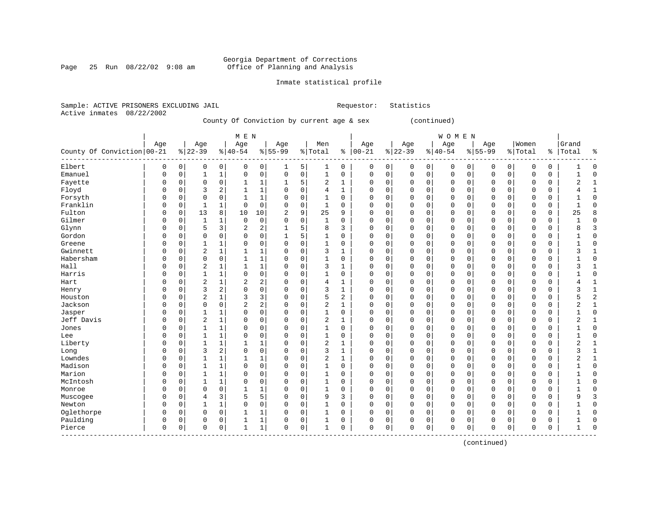Page 25 Run  $08/22/02$  9:08 am

### Inmate statistical profile

|  | Sample: ACTIVE PRISONERS EXCLUDING JAIL |  |                                           |  |  | Requestor: Statistics |  |
|--|-----------------------------------------|--|-------------------------------------------|--|--|-----------------------|--|
|  | Active inmates 08/22/2002               |  |                                           |  |  |                       |  |
|  |                                         |  | County Of Conviction by current age & sex |  |  | (continued)           |  |

|                            |             |             |                |              | M E N          |                |           |          |                |              |            |             |             |             | <b>WOMEN</b> |             |             |              |             |             |                |              |
|----------------------------|-------------|-------------|----------------|--------------|----------------|----------------|-----------|----------|----------------|--------------|------------|-------------|-------------|-------------|--------------|-------------|-------------|--------------|-------------|-------------|----------------|--------------|
|                            | Age         |             | Age            |              | Age            |                | Age       |          | Men            |              | Age        |             | Age         |             | Age          |             | Age         |              | Women       |             | Grand          |              |
| County Of Conviction 00-21 |             |             | $ 22-39$       |              | $8 40-54$      |                | $8 55-99$ |          | % Total        |              | $% 100-21$ |             | $ 22-39$    |             | $8 40-54$    |             | $8155 - 99$ |              | % Total     | ႜ           | Total          | ႜ            |
| Elbert                     | 0           | 0           | 0              | 0            | 0              | 0              | 1         | 5        | 1              | 0            | 0          | 0           | 0           | 0           | 0            | 0           | 0           | 0            | 0           | 0           |                | $\Omega$     |
| Emanuel                    | $\mathbf 0$ | $\mathbf 0$ | 1              | $\mathbf 1$  | $\mathbf 0$    | $\mathbf 0$    | 0         | 0        | 1              | 0            | 0          | $\mathsf 0$ | $\mathbf 0$ | $\mathbf 0$ | $\mathbf 0$  | $\mathbf 0$ | $\mathbf 0$ | $\mathsf{O}$ | $\mathbf 0$ | $\mathbf 0$ |                | $\Omega$     |
| Fayette                    | $\Omega$    | $\Omega$    | $\Omega$       | 0            | 1              | 1              | 1         | 5        | 2              | 1            | $\Omega$   | $\mathbf 0$ | $\Omega$    | 0           | 0            | 0           | $\mathbf 0$ | $\mathbf 0$  | 0           | 0           | 2              | $\mathbf{1}$ |
| Floyd                      | $\Omega$    | $\Omega$    | 3              | 2            |                | $\mathbf{1}$   | 0         | 0        | $\overline{4}$ | 1            | $\Omega$   | 0           | $\Omega$    | $\mathbf 0$ | 0            | 0           | $\mathbf 0$ | $\mathbf 0$  | $\Omega$    | $\mathbf 0$ | 4              | $\mathbf{1}$ |
| Forsyth                    | $\Omega$    | $\Omega$    | $\Omega$       | 0            | $\mathbf{1}$   | $\mathbf 1$    | 0         | 0        | 1              | $\mathbf 0$  | $\Omega$   | 0           | $\Omega$    | $\mathbf 0$ | $\mathsf 0$  | 0           | $\mathbf 0$ | 0            | $\mathbf 0$ | $\mathbf 0$ |                | $\Omega$     |
| Franklin                   | $\Omega$    | $\Omega$    | $\mathbf{1}$   | $\mathbf 1$  | $\mathbf 0$    | $\mathbf 0$    | 0         | 0        | 1              | 0            | $\Omega$   | 0           | 0           | $\mathbf 0$ | $\mathsf 0$  | 0           | $\mathbf 0$ | $\mathbf 0$  | $\mathbf 0$ | 0           | 1              | $\Omega$     |
| Fulton                     | $\Omega$    | 0           | 13             | 8            | 10             | 10             | 2         | 9        | 25             | 9            | 0          | $\mathbf 0$ | 0           | $\mathbf 0$ | $\mathbf 0$  | 0           | $\mathbf 0$ | $\mathbf 0$  | 0           | 0           | 25             | 8            |
| Gilmer                     | 0           | 0           | 1              | 1            | $\mathbf 0$    | $\mathbf 0$    | 0         | 0        | 1              | $\Omega$     | $\Omega$   | 0           | $\Omega$    | $\mathbf 0$ | 0            | 0           | $\mathbf 0$ | 0            | 0           | 0           |                | $\Omega$     |
| Glynn                      | $\Omega$    | $\Omega$    | 5              | 3            | $\overline{2}$ | 2              | 1         | 5        | 8              | 3            | $\Omega$   | $\mathbf 0$ | $\Omega$    | 0           | 0            | 0           | $\mathbf 0$ | 0            | $\Omega$    | $\mathbf 0$ | 8              | 3            |
| Gordon                     | $\Omega$    | $\Omega$    | $\Omega$       | 0            | $\Omega$       | $\Omega$       | 1         | 5        | 1              | $\Omega$     | $\Omega$   | 0           | $\Omega$    | $\mathbf 0$ | 0            | $\Omega$    | $\mathbf 0$ | 0            | 0           | 0           |                | $\Omega$     |
| Greene                     | $\Omega$    | $\Omega$    | 1              | $\mathbf 1$  | $\mathbf 0$    | $\Omega$       | $\Omega$  | $\Omega$ | 1              | 0            | 0          | $\mathbf 0$ | $\Omega$    | 0           | $\mathbf 0$  | $\Omega$    | $\mathbf 0$ | $\mathbf 0$  | $\mathbf 0$ | $\mathbf 0$ |                | $\cap$       |
| Gwinnett                   | $\Omega$    | $\Omega$    | 2              | $\mathbf 1$  |                | 1              | 0         | 0        | 3              | 1            | $\Omega$   | $\mathbf 0$ | 0           | $\mathbf 0$ | $\mathsf 0$  | 0           | 0           | $\mathbf 0$  | 0           | 0           | 3              |              |
| Habersham                  | O           | O           | $\Omega$       | 0            |                | $\mathbf 1$    | 0         | 0        | 1              | 0            | $\Omega$   | $\mathbf 0$ | 0           | $\mathbf 0$ | $\mathbf 0$  | 0           | $\mathbf 0$ | $\mathbf 0$  | 0           | $\mathbf 0$ |                | $\Omega$     |
| Hall                       | $\Omega$    | O           | $\overline{2}$ | $\mathbf{1}$ | 1              | $\mathbf 1$    | 0         | 0        | 3              | 1            | $\Omega$   | $\mathbf 0$ | 0           | $\mathbf 0$ | $\mathbf 0$  | 0           | $\mathbf 0$ | $\mathbf 0$  | 0           | $\mathbf 0$ | 3              | $\mathbf{1}$ |
| Harris                     | n           | O           | $\mathbf{1}$   | $\mathbf 1$  | $\Omega$       | $\mathbf 0$    | O         | 0        | 1              | $\Omega$     | $\Omega$   | $\mathbf 0$ | $\Omega$    | 0           | $\mathbf 0$  | 0           | $\Omega$    | $\Omega$     | $\Omega$    | $\mathbf 0$ | 1              | $\Omega$     |
| Hart                       | $\Omega$    | $\Omega$    | $\overline{2}$ | 1            | 2              | 2              | O         | 0        | $\overline{4}$ | 1            | $\Omega$   | $\mathbf 0$ | $\Omega$    | $\mathbf 0$ | 0            | 0           | $\mathbf 0$ | 0            | 0           | 0           | 4              | $\mathbf{1}$ |
| Henry                      | $\Omega$    | $\Omega$    | 3              | 2            | $\Omega$       | $\mathbf 0$    | O         | $\Omega$ | 3              |              | 0          | 0           | 0           | 0           | $\mathsf 0$  | 0           | $\mathbf 0$ | $\mathbf 0$  | 0           | 0           | 3              | $\mathbf{1}$ |
| Houston                    | O           | $\Omega$    | $\overline{2}$ | 1            | 3              | 3              | O         | 0        | 5              | 2            | $\Omega$   | 0           | 0           | 0           | $\mathsf 0$  | 0           | 0           | 0            | $\Omega$    | $\mathsf 0$ | 5              | 2            |
| Jackson                    | $\Omega$    | $\Omega$    | 0              | 0            | $\overline{2}$ | $\overline{2}$ | $\Omega$  | $\Omega$ | $\overline{c}$ | 1            | $\Omega$   | $\mathbf 0$ | $\Omega$    | $\mathbf 0$ | $\mathbf 0$  | 0           | $\mathbf 0$ | 0            | $\mathbf 0$ | $\mathbf 0$ | $\overline{2}$ | $\mathbf{1}$ |
| Jasper                     | $\Omega$    | $\Omega$    | 1              | 1            | $\Omega$       | $\mathbf 0$    | $\Omega$  | $\Omega$ | 1              | 0            | 0          | $\mathbf 0$ | 0           | 0           | $\mathbf 0$  | 0           | $\mathbf 0$ | 0            | $\mathbf 0$ | $\mathbf 0$ | 1              | $\Omega$     |
| Jeff Davis                 | O           | $\Omega$    | $\overline{2}$ | $\mathbf{1}$ | $\Omega$       | $\Omega$       | 0         | $\Omega$ | $\overline{2}$ | 1            | $\Omega$   | $\mathbf 0$ | $\Omega$    | $\mathbf 0$ | $\mathbf 0$  | $\Omega$    | $\mathbf 0$ | $\mathbf 0$  | $\Omega$    | 0           | 2              |              |
| Jones                      | O           | $\Omega$    |                | 1            | $\Omega$       | 0              | 0         | 0        |                | 0            | $\Omega$   | $\mathbf 0$ | 0           | $\mathbf 0$ | 0            | 0           | 0           | 0            | 0           | 0           |                | $\Omega$     |
| Lee                        | O           | $\Omega$    | 1              | 1            | 0              | $\mathbf 0$    | 0         | 0        | 1              | $\mathbf 0$  | $\Omega$   | 0           | 0           | $\mathbf 0$ | $\mathsf 0$  | 0           | 0           | 0            | 0           | 0           |                | $\Omega$     |
| Liberty                    | O           | $\Omega$    | $\mathbf{1}$   | $\mathbf 1$  |                | 1              | 0         | 0        | $\overline{c}$ | $\mathbf{1}$ | $\Omega$   | $\mathbf 0$ | 0           | $\mathbf 0$ | $\mathbf 0$  | 0           | $\mathbf 0$ | $\mathbf 0$  | $\mathbf 0$ | $\mathbf 0$ | $\overline{2}$ | $\mathbf{1}$ |
| Long                       | $\Omega$    | O           | 3              | 2            | $\mathbf 0$    | $\mathbf 0$    | O         | 0        | 3              | 1            | $\Omega$   | $\mathbf 0$ | $\Omega$    | $\mathbf 0$ | $\mathbf 0$  | 0           | $\mathbf 0$ | $\mathbf 0$  | $\mathbf 0$ | $\mathbf 0$ | 3              | 1            |
| Lowndes                    | $\Omega$    | O           | 1              | 1            |                | 1              | 0         | 0        | $\overline{2}$ | 1            | 0          | $\mathbf 0$ | 0           | $\mathbf 0$ | $\mathbf 0$  | 0           | $\mathbf 0$ | $\mathbf 0$  | 0           | 0           | 2              | -1           |
| Madison                    | $\Omega$    | U           | 1              | 1            | $\Omega$       | $\mathbf 0$    | 0         | $\Omega$ | 1              | $\Omega$     | $\Omega$   | $\mathbf 0$ | $\Omega$    | 0           | $\mathbf 0$  | 0           | $\mathbf 0$ | $\mathbf 0$  | $\Omega$    | $\mathbf 0$ |                | $\Omega$     |
| Marion                     | $\Omega$    | $\Omega$    | 1              | 1            | $\Omega$       | 0              | $\Omega$  | $\Omega$ | 1              | 0            | $\Omega$   | 0           | 0           | 0           | 0            | $\Omega$    | 0           | 0            | $\Omega$    | 0           |                | $\Omega$     |
| McIntosh                   | $\cap$      | $\Omega$    | 1              | 1            | $\Omega$       | $\Omega$       | $\Omega$  | $\Omega$ | 1              | $\Omega$     | $\Omega$   | $\mathbf 0$ | $\Omega$    | $\mathbf 0$ | $\mathbf 0$  | $\Omega$    | $\mathbf 0$ | 0            | $\mathbf 0$ | $\mathbf 0$ |                | $\Omega$     |
| Monroe                     | $\Omega$    | $\Omega$    | $\Omega$       | 0            | 1              | 1              | U         | $\Omega$ | 1              | 0            | $\Omega$   | $\mathbf 0$ | $\Omega$    | 0           | $\mathbf 0$  | $\Omega$    | $\mathbf 0$ | 0            | 0           | $\mathbf 0$ |                | $\cap$       |
| Muscogee                   | $\Omega$    | $\Omega$    | 4              | 3            | 5              | 5              | 0         | 0        | 9              | 3            | 0          | $\mathbf 0$ | $\Omega$    | $\mathbf 0$ | $\mathbf 0$  | 0           | $\mathbf 0$ | $\mathbf 0$  | 0           | $\mathbf 0$ | 9              | 3            |
| Newton                     | 0           | $\Omega$    | 1              | $\mathbf 1$  | $\Omega$       | $\mathbf 0$    | 0         | 0        | 1              | $\mathbf 0$  | $\Omega$   | $\mathbf 0$ | $\Omega$    | $\mathbf 0$ | $\mathbf 0$  | 0           | $\mathbf 0$ | $\Omega$     | $\Omega$    | $\mathbf 0$ |                | $\Omega$     |
| Oglethorpe                 | $\Omega$    | $\Omega$    | $\Omega$       | 0            |                | 1              | 0         | 0        |                | 0            | $\Omega$   | 0           | $\Omega$    | $\mathbf 0$ | 0            | 0           | 0           | 0            | $\Omega$    | 0           |                | $\Omega$     |
| Paulding                   | $\Omega$    | $\Omega$    | 0              | 0            |                | 1              | 0         | 0        | 1              | 0            | $\Omega$   | 0           | $\Omega$    | 0           | 0            | 0           | 0           | 0            | $\Omega$    | 0           |                | $\Omega$     |
| Pierce                     | $\mathbf 0$ | 0           | 0              | 0            | -1             | $\mathbf 1$    | 0         | 0        | 1              | 0            | $\Omega$   | 0           | 0           | $\mathbf 0$ | $\mathbf 0$  | 0           | $\mathbf 0$ | 0            | 0           | $\mathbf 0$ | 1              | $\Omega$     |

(continued)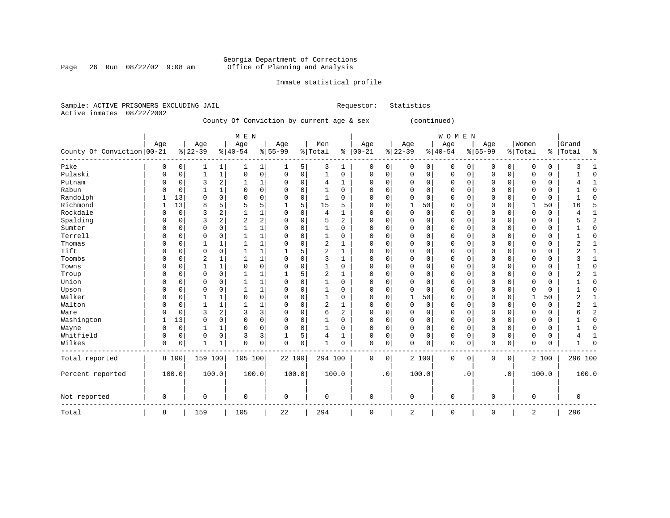Page 26 Run  $08/22/02$  9:08 am

### Inmate statistical profile

|  | Sample: ACTIVE PRISONERS EXCLUDING JAIL |  |                                           | Requestor: | Statistics  |
|--|-----------------------------------------|--|-------------------------------------------|------------|-------------|
|  | Active inmates 08/22/2002               |  |                                           |            |             |
|  |                                         |  | County Of Conviction by current age & sex |            | (continued) |

|                            |             |             |                |              | M E N       |                |             |             |                |              |             |           |          |             | WOMEN       |             |             |              |              |       |           |                |
|----------------------------|-------------|-------------|----------------|--------------|-------------|----------------|-------------|-------------|----------------|--------------|-------------|-----------|----------|-------------|-------------|-------------|-------------|--------------|--------------|-------|-----------|----------------|
|                            | Age         |             | Age            |              | Age         |                | Age         |             | Men            |              | Age         |           | Age      |             | Age         |             | Age         |              | Women        |       | Grand     |                |
| County Of Conviction 00-21 |             |             | $ 22-39$       |              | $ 40-54$    |                | $8 55-99$   |             | % Total        | ႜ            | $ 00-21$    |           | $ 22-39$ |             | $ 40-54$    |             | $8 55-99$   |              | % Total      |       | %   Total | ႜ              |
| Pike                       | 0           | 0           | 1              | 1            |             | 1              | 1           | 5           | 3              | 1            | 0           | 0         | $\Omega$ | 0           | 0           | 0           | 0           | 0            | 0            | 0     |           |                |
| Pulaski                    | $\Omega$    | 0           | $\mathbf{1}$   | $\mathbf 1$  | $\Omega$    | $\mathsf 0$    | $\Omega$    | $\mathbf 0$ | $\mathbf 1$    | $\mathbf 0$  | 0           | 0         | $\Omega$ | $\mathsf 0$ | 0           | 0           | $\Omega$    | 0            | 0            | 0     |           | $\Omega$       |
| Putnam                     | 0           | $\mathbf 0$ | 3              | 2            |             | 1              | 0           | $\mathbf 0$ | 4              | $\mathbf{1}$ | 0           | 0         | $\Omega$ | $\mathbf 0$ | 0           | $\mathbf 0$ | $\Omega$    | $\Omega$     | $\Omega$     | 0     |           |                |
| Rabun                      | $\Omega$    | $\Omega$    |                | 1            | 0           | $\mathbf 0$    | 0           | $\mathbf 0$ | 1              | $\Omega$     | 0           | $\Omega$  | $\Omega$ | 0           | 0           | $\Omega$    | $\Omega$    | $\Omega$     | 0            | 0     |           | O              |
| Randolph                   |             | 13          | $\Omega$       | 0            | O           | $\mathbf 0$    | 0           | $\mathbf 0$ | 1              | $\Omega$     | 0           | 0         | $\Omega$ | 0           | 0           | $\Omega$    | $\Omega$    | $\Omega$     | $\Omega$     | 0     |           |                |
| Richmond                   |             | 13          | 8              | 5            | 5           | 5              |             | 5           | 15             | 5            | C           | 0         |          | 50          | 0           | $\Omega$    | $\Omega$    | $\Omega$     | 1            | 50    | 16        | 5              |
| Rockdale                   | $\Omega$    | $\Omega$    | 3              | 2            |             | $\mathbf 1$    | $\Omega$    | $\mathbf 0$ | $\overline{4}$ | $\mathbf{1}$ | 0           | $\Omega$  | $\Omega$ | $\Omega$    | 0           | $\Omega$    | $\Omega$    | $\Omega$     | $\Omega$     | 0     |           |                |
| Spalding                   | O           | O           | 3              | 2            | 2           | $\overline{c}$ | $\Omega$    | $\mathbf 0$ | 5              | 2            | U           | $\Omega$  | $\Omega$ | $\Omega$    | 0           | $\Omega$    | $\Omega$    | $\Omega$     | $\Omega$     | 0     |           | 2              |
| Sumter                     | $\Omega$    | O           | $\mathbf 0$    | 0            | 1           | 1              | $\Omega$    | $\mathbf 0$ | $\mathbf 1$    | 0            | U           | 0         | $\Omega$ | 0           | 0           | $\Omega$    | $\Omega$    | $\Omega$     | $\Omega$     | 0     |           | $\Omega$       |
| Terrell                    | $\Omega$    | O           | $\Omega$       | $\Omega$     | 1           | 1              | 0           | $\Omega$    | 1              | $\Omega$     | 0           | $\Omega$  | $\Omega$ | $\Omega$    | 0           | $\Omega$    | $\Omega$    | $\Omega$     | $\Omega$     | 0     |           | $\Omega$       |
| Thomas                     | $\Omega$    | O           | 1              | 1            | 1           | 1              | O           | $\Omega$    | $\overline{2}$ | 1            | C           | $\Omega$  | $\Omega$ | $\Omega$    | 0           | $\Omega$    | $\Omega$    | $\Omega$     | $\Omega$     | 0     | 2         | $\mathbf{1}$   |
| Tift                       | $\Omega$    | O           | $\Omega$       | 0            | 1           | 1              |             | 5           | $\overline{2}$ | 1            | C           | $\Omega$  | $\Omega$ | $\Omega$    | 0           | $\Omega$    | $\Omega$    | $\Omega$     | $\Omega$     | 0     | 2         | 1              |
| Toombs                     | $\Omega$    | O           | $\overline{2}$ | 1            | 1           | $\mathbf 1$    | $\Omega$    | $\mathbf 0$ | 3              | $\mathbf{1}$ | C           | 0         | ∩        | $\Omega$    | 0           | $\Omega$    | $\Omega$    | $\Omega$     | $\Omega$     | 0     | ζ         | 1              |
| Towns                      | $\Omega$    | O           | $\mathbf{1}$   | $\mathbf 1$  | $\Omega$    | $\mathbf 0$    | $\Omega$    | $\mathbf 0$ | $\mathbf{1}$   | $\Omega$     | C           | $\Omega$  | $\Omega$ | $\Omega$    | 0           | 0           | $\Omega$    | $\Omega$     | $\Omega$     | 0     |           | $\Omega$       |
| Troup                      | $\Omega$    | O           | $\Omega$       | 0            | 1           | 1              |             | 5           | $\overline{2}$ | 1            | C           | 0         | $\Omega$ | $\Omega$    | 0           | $\Omega$    | $\Omega$    | <sup>0</sup> | $\Omega$     | 0     | 2         | -1             |
| Union                      | $\Omega$    | 0           | $\Omega$       | 0            |             | 1              | $\Omega$    | $\mathbf 0$ | 1              | $\mathbf 0$  | C           | 0         | $\Omega$ | $\Omega$    | 0           | 0           | $\Omega$    | 0            | $\Omega$     | 0     |           | $\Omega$       |
| Upson                      | $\Omega$    | 0           | 0              | 0            |             | 1              | $\Omega$    | $\mathbf 0$ | 1              | $\Omega$     | C           | 0         | $\Omega$ | $\Omega$    | 0           | 0           | $\Omega$    | $\Omega$     | $\Omega$     | 0     |           | $\Omega$       |
| Walker                     | $\Omega$    | $\Omega$    |                | 1            | $\mathbf 0$ | 0              | $\Omega$    | 0           | 1              | $\Omega$     | $\Omega$    | 0         |          | 50          | 0           | $\Omega$    | $\Omega$    | $\Omega$     | $\mathbf{1}$ | 50    | ∠         | 1              |
| Walton                     | $\Omega$    | 0           | $\mathbf{1}$   | 1            |             | 1              | $\Omega$    | $\mathbf 0$ | 2              | 1            | C           | 0         | $\Omega$ | 0           | 0           | 0           | $\Omega$    | 0            | 0            | 0     | 4         | 1              |
| Ware                       | $\Omega$    | 0           | 3              | 2            | 3           | 3              | 0           | 0           | 6              | 2            | 0           | 0         | $\Omega$ | $\Omega$    | 0           | 0           | 0           | 0            | 0            | 0     |           | $\overline{2}$ |
| Washington                 | 1           | 13          | $\Omega$       | 0            | $\Omega$    | 0              | $\Omega$    | 0           | 1              | $\Omega$     | $\Omega$    | 0         | $\Omega$ | $\Omega$    | 0           | $\Omega$    | $\Omega$    | $\Omega$     | $\Omega$     | 0     |           | $\Omega$       |
| Wayne                      | $\Omega$    | $\mathbf 0$ |                | 1            | 0           | $\mathbf 0$    | 0           | $\mathbf 0$ |                | 0            | 0           | 0         | $\Omega$ | 0           | 0           | 0           | 0           | 0            | 0            | 0     |           | $\Omega$       |
| Whitfield                  | $\Omega$    | $\Omega$    | $\Omega$       | 0            | 3           | 3              |             | 5           | 4              | 1            | 0           | 0         | $\Omega$ | 0           | 0           | $\Omega$    | 0           | 0            | 0            | 0     |           | $\mathbf{1}$   |
| Wilkes                     | 0           | 0           | -1             | $\mathbf{1}$ | $\Omega$    | 0              | $\Omega$    | 0           | 1              | 0            | 0           | 0         | $\Omega$ | 0           | 0           | 0           | $\mathbf 0$ | 0            | $\Omega$     | 0     |           | $\Omega$       |
| Total reported             |             | 8 100       | 159 100        |              | 105 100     |                | 22 100      |             | 294 100        |              | 0           | 0         |          | 2 100       | $\mathbf 0$ | 0           | $\mathbf 0$ | 0            |              | 2 100 | 296 100   |                |
| Percent reported           |             | 100.0       | 100.0          |              |             | 100.0          | 100.0       |             |                | 100.0        |             | $\cdot$ 0 |          | 100.0       |             | . 0         |             | $\cdot$ 0    |              | 100.0 |           | 100.0          |
| Not reported               | $\mathbf 0$ |             | $\mathbf 0$    |              | 0           |                | $\mathbf 0$ |             | 0              |              | 0           |           | 0        |             | 0           |             | 0           |              | $\mathbf 0$  |       | 0         |                |
| Total                      | 8           |             | 159            |              | 105         |                | 22          |             | 294            |              | $\mathbf 0$ |           | 2        |             | $\mathbf 0$ |             | 0           |              | 2            |       | 296       |                |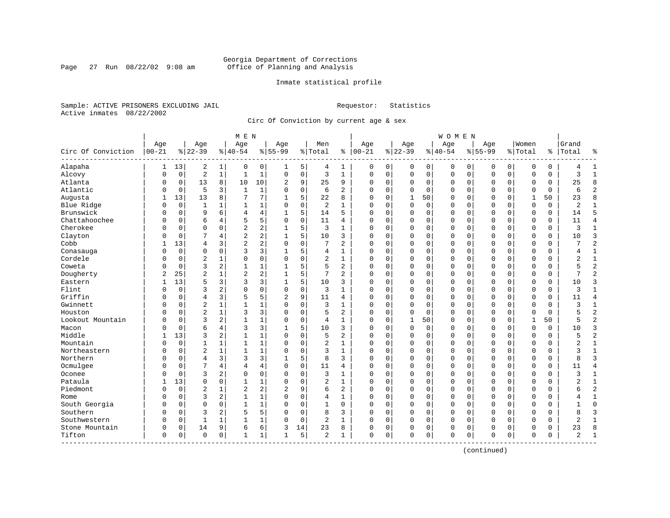### Georgia Department of Corrections<br>Page 27 Run 08/22/02 9:08 am 60ffice of Planning and Analysis Page 27 Run 08/22/02 9:08 am Office of Planning and Analysis

### Inmate statistical profile

Sample: ACTIVE PRISONERS EXCLUDING JAIL **Requestor:** Statistics Active inmates 08/22/2002

Circ Of Conviction by current age & sex

| Age<br>Women<br>Age<br>Age<br>Men<br>Age<br>Grand<br>Age<br>Age<br>Age<br>Age<br>Circ Of Conviction<br>$ 00 - 21$<br>$8 22-39$<br>$8 40-54$<br>$8 55-99$<br>$ 00-21$<br>$8 22-39$<br>$8 40-54$<br>$8155 - 99$<br>% Total<br>ి<br>% Total<br>%   Total<br>٩,<br>Alapaha<br>13<br>2<br>0<br>5<br>0<br>$\mathbf 0$<br>0<br>0<br>0<br>1<br>1<br>0<br>4<br>1<br>0<br>0<br>0<br>0<br>0<br>Alcovy<br>$\sqrt{2}$<br>$\mathbf 1$<br>$\mathsf 0$<br>3<br>$\mathbf{1}$<br>$\mathbf{1}$<br>$\mathbf 0$<br>$\mathbf 1$<br>$\mathbf{1}$<br>$\mathbf 0$<br>$\mathbf 0$<br>$\mathsf 0$<br>0<br>$\mathsf 0$<br>$\mathbf 0$<br>$\mathbf 0$<br>0<br>$\mathbf 0$<br>0<br>3<br>$\Omega$<br>0<br>Atlanta<br>13<br>8<br>10<br>9<br>25<br>9<br>8<br>0<br>10<br>2<br>$\mathbf 0$<br>0<br>0<br>0<br>0<br>$\mathbf 0$<br>$\mathbf 0$<br>0<br>0<br>0<br>25<br>$\Omega$<br>Atlantic<br>5<br>$\mathbf 0$<br>$\overline{2}$<br>3<br>$\mathbf{1}$<br>1<br>$\mathbf 0$<br>6<br>$\overline{a}$<br>$\Omega$<br>$\Omega$<br>$\mathbf 0$<br>$\Omega$<br>$\Omega$<br>$\mathbf 0$<br>$\Omega$<br>$\mathbf 0$<br>$\Omega$<br>$\Omega$<br>$\Omega$<br>6<br>0<br>7<br>5<br>$\mathsf{R}$<br>13<br>13<br>7<br>22<br>8<br>$\mathbf{1}$<br>50<br>$\Omega$<br>$\Omega$<br>$\mathbf{1}$<br>50<br>23<br>Augusta<br>8<br>$\Omega$<br>$\Omega$<br>$\Omega$<br>$\Omega$<br>Blue Ridge<br>$\overline{0}$<br>$\mathbf 0$<br>2<br>$\mathbf 0$<br>$\mathbf 0$<br>$\mathbf 0$<br>$\overline{2}$<br>1<br>1<br>$\Omega$<br>$\Omega$<br>$\Omega$<br>0<br>$\mathbf 0$<br>$\Omega$<br>$\Omega$<br>0<br>0<br>-1<br>-1<br>Brunswick<br>5<br>6<br>4<br>14<br>5<br>$\mathbf 0$<br>0<br>$\Omega$<br>$\mathbf 0$<br>$\mathbf 0$<br>5<br>0<br>9<br>4<br>$\Omega$<br>0<br>0<br>0<br>0<br>14<br>0<br>Chattahoochee<br>5<br>5<br>$\mathbf 0$<br>$\overline{4}$<br>6<br>$\Omega$<br>11<br>4<br>$\Omega$<br>$\Omega$<br>$\mathbf 0$<br>$\mathbf 0$<br>$\Omega$<br>$\mathbf 0$<br>$\Omega$<br>$\Omega$<br>$\mathbf 0$<br>$\Omega$<br>11<br>$\Omega$<br>4<br>0<br>Cherokee<br>$\overline{a}$<br>$\overline{a}$<br>5<br>3<br>$\Omega$<br>$\Omega$<br>$\mathbf{1}$<br>$\Omega$<br>$\Omega$<br>$\Omega$<br>$\mathbf 0$<br>$\Omega$<br>$\mathbf 0$<br>$\mathbf{0}$<br>$\Omega$<br>$\Omega$<br>3<br>$\mathbf{1}$<br>$\Omega$<br>0<br>N<br>1<br>2<br>$\overline{2}$<br>5<br>3<br>Clayton<br>10<br>3<br>$\mathbf 0$<br>$\Omega$<br>10<br>$\mathbf 0$<br>4<br>$\Omega$<br>0<br>0<br>0<br>0<br>$\Omega$<br>$\Omega$<br>0<br>N<br>$\overline{2}$<br>2<br>$\overline{2}$<br>Cobb<br>13<br>3<br>$\Omega$<br>7<br>2<br>$\mathbf 0$<br>$\mathbf 0$<br>$\overline{4}$<br>$\Omega$<br>$\Omega$<br>$\Omega$<br>$\Omega$<br>0<br>$\mathbf 0$<br>$\mathbf 0$<br>$\Omega$<br>0<br>3<br>3<br>5<br>$\mathbf 0$<br>0<br>0<br>$\Omega$<br>0<br>0<br>0<br>0<br>$\mathbf 0$<br>$\Omega$<br>$\Omega$<br>$\mathbf 0$<br>0<br>$\mathbf{1}$<br>Conasauga<br>4<br>$\mathbf{1}$<br>0<br>4<br>Cordele<br>$\overline{2}$<br>0<br>$\mathbf 0$<br>2<br>$\mathbf 0$<br>$\mathbf{1}$<br>$\Omega$<br>1<br>0<br>0<br>$\mathbf 0$<br>0<br>0<br>$\mathbf 0$<br>0<br>2<br>$\mathbf 0$<br>$\Omega$<br>0<br>0<br>0<br>$\overline{2}$<br>3<br>2<br>5<br>2<br>Coweta<br>$\Omega$<br>$\mathbf{1}$<br>$\mathbf 1$<br>5<br>$\Omega$<br>$\Omega$<br>$\Omega$<br>$\Omega$<br>$\mathbf 0$<br>$\mathbf{0}$<br>$\Omega$<br>$\Omega$<br>$\Omega$<br>0<br>5<br>0<br>Dougherty<br>$\overline{2}$<br>2<br>$\overline{2}$<br>25<br>$\overline{c}$<br>5<br>7<br>$\overline{a}$<br>$\Omega$<br>$\mathbf 0$<br>$\mathbf 0$<br>2<br>0<br>0<br>$\Omega$<br>$\mathbf 0$<br>$\mathbf 0$<br>0<br>0<br>7<br>1<br>5<br>13<br>5<br>3<br>3<br>3<br>3<br>Eastern<br>10<br>3<br>$\Omega$<br>0<br>0<br>0<br>0<br>0<br>0<br>0<br>0<br>10<br>0<br>Flint<br>3<br>0<br>$\mathbf 0$<br>$\Omega$<br>2<br>$\Omega$<br>$\Omega$<br>3<br>$\Omega$<br>0<br>0<br>0<br>$\mathbf 0$<br>$\Omega$<br>$\mathbf 0$<br>0<br>3<br>1<br>$\mathbf{1}$<br>0<br>$\mathbf 0$<br>N<br>Griffin<br>5<br>9<br>$\overline{4}$<br>3<br>5<br>$\overline{a}$<br>11<br>$\Omega$<br>$\Omega$<br>$\Omega$<br>$\Omega$<br>$\Omega$<br>$\Omega$<br>$\overline{4}$<br>$\Omega$<br>4<br>$\Omega$<br>$\Omega$<br>0<br>$\Omega$<br>11<br>0<br>$\sqrt{2}$<br>$\mathbf 0$<br>Gwinnett<br>1<br>3<br>$\Omega$<br>$\mathbf 0$<br>$\mathbf 0$<br>$\Omega$<br>$\Omega$<br>$\mathbf 0$<br>$\mathbf{1}$<br>$\mathbf 0$<br>$\mathbf{1}$<br>$\Omega$<br>$\Omega$<br>$\mathbf 0$<br>0<br>3<br>N<br>$\overline{2}$<br>$\overline{2}$<br>3<br>Houston<br>$\mathbf{1}$<br>3<br>$\mathbf 0$<br>5<br>2<br>$\Omega$<br>$\mathbf 0$<br>$\mathbf 0$<br>$\mathbf 0$<br>$\mathbf 0$<br>$\mathbf 0$<br>$\mathbf 0$<br>$\Omega$<br>$\Omega$<br>0<br>0<br>5<br>$\overline{2}$<br>3<br>2<br>$\mathbf{1}$<br>$\mathbf 0$<br>50<br>50<br>Lookout Mountain<br>$\mathbf 0$<br>1<br>$\Omega$<br>4<br>$\mathbf{1}$<br>$\mathbf 0$<br>0<br>$\mathbf{1}$<br>0<br>0<br>$\mathbf 0$<br>0<br>1<br>5<br>N<br>6<br>3<br>5<br>3<br>4<br>3<br>10<br>3<br>$\Omega$<br>$\Omega$<br>0<br>$\mathbf 0$<br>$\mathbf 0$<br>$\Omega$<br>$\mathbf 0$<br>0<br>Macon<br>$\mathbf 0$<br>$\Omega$<br>0<br>10<br>N<br>Middle<br>$\overline{2}$<br>13<br>3<br>2<br>1<br>$\Omega$<br>5<br>2<br>$\Omega$<br>$\mathbf 0$<br>$\mathbf 0$<br>$\mathbf 0$<br>$\mathbf{1}$<br>$\Omega$<br>$\Omega$<br>$\Omega$<br>0<br>$\mathbf 0$<br>$\Omega$<br>0<br>2<br>Mountain<br>$\mathbf 0$<br>$\mathbf 1$<br>$\Omega$<br>$\mathbf 0$<br>$\Omega$<br>$\mathbf 0$<br>2<br>$\mathbf{1}$<br>1<br>$\mathbf{1}$<br>$\Omega$<br>$\mathbf{1}$<br>$\Omega$<br>$\Omega$<br>$\Omega$<br>0<br>$\mathbf 0$<br>$\Omega$<br>0<br>1<br>O<br>Northeastern<br>$\sqrt{2}$<br>$\mathbf 1$<br>$\mathbf 0$<br>3<br>$\mathbf 0$<br>$\mathbf{1}$<br>0<br>$\mathbf{1}$<br>1<br>0<br>0<br>0<br>$\mathbf 0$<br>$\Omega$<br>$\Omega$<br>0<br>0<br>3<br>0<br>0<br>$\overline{3}$<br>Northern<br>$\overline{4}$<br>3<br>3<br>3<br>5<br>8<br>3<br>$\mathbf 0$<br>$\mathbf 0$<br>$\mathbf 0$<br>$\Omega$<br>0<br>0<br>$\Omega$<br>0<br>$\mathbf 0$<br>0<br>0<br>8<br>N<br>Ocmulgee<br>7<br>$\mathbf 0$<br>$\overline{4}$<br>4<br>4<br>$\Omega$<br>11<br>4<br>$\Omega$<br>0<br>0<br>0<br>0<br>$\mathbf 0$<br>$\mathbf 0$<br>0<br>0<br>$\mathbf 0$<br>4<br>0<br>11<br>N<br>Oconee<br>3<br>2<br>0<br>$\mathbf 0$<br>3<br>$\mathbf 0$<br>$\mathbf 0$<br>$\Omega$<br>$\Omega$<br>$\Omega$<br>$\Omega$<br>0<br>$\Omega$<br>$\mathbf 0$<br>$\mathbf 0$<br>$\Omega$<br>$\Omega$<br>0<br>κ<br>$\mathbf{1}$<br>1<br>N<br>Pataula<br>13<br>$\Omega$<br>$\Omega$<br>$\overline{2}$<br>$\mathbf 0$<br>$\mathbf 1$<br>$\Omega$<br>$\mathbf{1}$<br>1<br>$\Omega$<br>$\mathbf{1}$<br>$\Omega$<br>0<br>0<br>0<br>$\mathbf 0$<br>$\Omega$<br>$\Omega$<br>$\mathbf 0$<br>0<br>Piedmont<br>2<br>$\overline{2}$<br>$\overline{c}$<br>$\overline{2}$<br>9<br>6<br>$\overline{a}$<br>$\mathbf 0$<br>$\Omega$<br>$\overline{c}$<br>$\Omega$<br>$\Omega$<br>$\Omega$<br>0<br>$\mathbf 0$<br>$\Omega$<br>$\Omega$<br>$\mathbf 0$<br>0<br>O<br>б<br>3<br>2<br>$\mathbf 1$<br>$\mathbf 0$<br>$\mathbf{1}$<br>4<br>0<br>0<br>0<br>$\mathbf 0$<br>$\Omega$<br>$\Omega$<br>$\mathbf 0$<br>0<br>Rome<br>$\mathbf 0$<br>$\mathbf{1}$<br>$\Omega$<br>1<br>0<br>0<br>0<br>$\Omega$<br>$\mathbf 0$<br>$\Omega$<br>South Georgia<br>$\mathbf 0$<br>$\Omega$<br>$\mathbf{1}$<br>$\mathbf{1}$<br>$\mathbf{1}$<br>$\Omega$<br>$\Omega$<br>$\Omega$<br>$\mathbf 0$<br>$\mathbf 0$<br>$\Omega$<br>$\mathbf 0$<br>$\Omega$<br>$\Omega$<br>$\Omega$<br>$\Omega$<br>0<br>Southern<br>5<br>5<br>$\overline{3}$<br>3<br>2<br>$\mathbf 0$<br>8<br>3<br>$\mathbf 0$<br>$\mathbf 0$<br>$\Omega$<br>$\mathbf 0$<br>$\Omega$<br>0<br>$\Omega$<br>$\mathbf 0$<br>$\mathbf 0$<br>$\Omega$<br>0<br>R<br>N<br>$\Omega$<br>Southwestern<br>$\mathbf 1$<br>$\overline{2}$<br>0<br>0<br>$\mathbf{1}$<br>0<br>1<br>$\Omega$<br>0<br>0<br>0<br>0<br>0<br>0<br>$\mathbf 0$<br>2<br>$\mathbf{1}$<br>0<br>$\Omega$<br>0<br>6<br>23<br>Stone Mountain<br>14<br>9<br>6<br>3<br>14<br>8<br>0<br>0<br>23<br>8<br>0<br>0<br>0<br>0<br>0<br>0<br>0<br>0<br>0<br>0<br>$\overline{a}$<br>$\mathbf 0$<br>Tifton<br>0<br>$\mathbf{1}$<br>1<br>5<br>1<br>$\mathbf 0$<br>0<br>$\Omega$<br>$\mathbf 0$<br>0<br>$\mathbf 0$<br>2<br>0<br>0<br>$\Omega$<br>$\Omega$<br>$\mathbf 0$<br>0<br>$\mathbf{1}$<br>1 |             |  |  | M E N |  |  |  |  | <b>WOMEN</b> |  |  |  |  |
|-------------------------------------------------------------------------------------------------------------------------------------------------------------------------------------------------------------------------------------------------------------------------------------------------------------------------------------------------------------------------------------------------------------------------------------------------------------------------------------------------------------------------------------------------------------------------------------------------------------------------------------------------------------------------------------------------------------------------------------------------------------------------------------------------------------------------------------------------------------------------------------------------------------------------------------------------------------------------------------------------------------------------------------------------------------------------------------------------------------------------------------------------------------------------------------------------------------------------------------------------------------------------------------------------------------------------------------------------------------------------------------------------------------------------------------------------------------------------------------------------------------------------------------------------------------------------------------------------------------------------------------------------------------------------------------------------------------------------------------------------------------------------------------------------------------------------------------------------------------------------------------------------------------------------------------------------------------------------------------------------------------------------------------------------------------------------------------------------------------------------------------------------------------------------------------------------------------------------------------------------------------------------------------------------------------------------------------------------------------------------------------------------------------------------------------------------------------------------------------------------------------------------------------------------------------------------------------------------------------------------------------------------------------------------------------------------------------------------------------------------------------------------------------------------------------------------------------------------------------------------------------------------------------------------------------------------------------------------------------------------------------------------------------------------------------------------------------------------------------------------------------------------------------------------------------------------------------------------------------------------------------------------------------------------------------------------------------------------------------------------------------------------------------------------------------------------------------------------------------------------------------------------------------------------------------------------------------------------------------------------------------------------------------------------------------------------------------------------------------------------------------------------------------------------------------------------------------------------------------------------------------------------------------------------------------------------------------------------------------------------------------------------------------------------------------------------------------------------------------------------------------------------------------------------------------------------------------------------------------------------------------------------------------------------------------------------------------------------------------------------------------------------------------------------------------------------------------------------------------------------------------------------------------------------------------------------------------------------------------------------------------------------------------------------------------------------------------------------------------------------------------------------------------------------------------------------------------------------------------------------------------------------------------------------------------------------------------------------------------------------------------------------------------------------------------------------------------------------------------------------------------------------------------------------------------------------------------------------------------------------------------------------------------------------------------------------------------------------------------------------------------------------------------------------------------------------------------------------------------------------------------------------------------------------------------------------------------------------------------------------------------------------------------------------------------------------------------------------------------------------------------------------------------------------------------------------------------------------------------------------------------------------------------------------------------------------------------------------------------------------------------------------------------------------------------------------------------------------------------------------------------------------------------------------------------------------------------------------------------------------------------------------------------------------------------------------------------------------------------------------------------------------------------------------------------------------------------------------------------------------------------------------------------------------------------------------------------------------------------------------------------------------------------------------------------------------------------------------------------------------------------------------------------------------------------------------------------------------------------------------------------------------------------------------------------------------------------------------------------------------------------------------------------------------------------------------------------------------------------------------------------------------------------------------------------------------------------------------------------------------------------------------------------------------------------------------------------------------------------------------------------------------------------------------------------------------------------------------------------------------------------------------------------------------------------------------------------------------------------------------------------------------------------------------------------------------------------------------------------------------------------------------------------------------------------------------------------------------------------------------------------------------------------------------------------------------------------------------------------------------------------------------------------------------------------------------------------------------------------------------------------------------------------------------------------------------------------------------|-------------|--|--|-------|--|--|--|--|--------------|--|--|--|--|
|                                                                                                                                                                                                                                                                                                                                                                                                                                                                                                                                                                                                                                                                                                                                                                                                                                                                                                                                                                                                                                                                                                                                                                                                                                                                                                                                                                                                                                                                                                                                                                                                                                                                                                                                                                                                                                                                                                                                                                                                                                                                                                                                                                                                                                                                                                                                                                                                                                                                                                                                                                                                                                                                                                                                                                                                                                                                                                                                                                                                                                                                                                                                                                                                                                                                                                                                                                                                                                                                                                                                                                                                                                                                                                                                                                                                                                                                                                                                                                                                                                                                                                                                                                                                                                                                                                                                                                                                                                                                                                                                                                                                                                                                                                                                                                                                                                                                                                                                                                                                                                                                                                                                                                                                                                                                                                                                                                                                                                                                                                                                                                                                                                                                                                                                                                                                                                                                                                                                                                                                                                                                                                                                                                                                                                                                                                                                                                                                                                                                                                                                                                                                                                                                                                                                                                                                                                                                                                                                                                                                                                                                                                                                                                                                                                                                                                                                                                                                                                                                                                                                                                                                                                                                                                                                                                                                                                                                                                                                                                                                                                                                                                                                                                                                                         |             |  |  |       |  |  |  |  |              |  |  |  |  |
|                                                                                                                                                                                                                                                                                                                                                                                                                                                                                                                                                                                                                                                                                                                                                                                                                                                                                                                                                                                                                                                                                                                                                                                                                                                                                                                                                                                                                                                                                                                                                                                                                                                                                                                                                                                                                                                                                                                                                                                                                                                                                                                                                                                                                                                                                                                                                                                                                                                                                                                                                                                                                                                                                                                                                                                                                                                                                                                                                                                                                                                                                                                                                                                                                                                                                                                                                                                                                                                                                                                                                                                                                                                                                                                                                                                                                                                                                                                                                                                                                                                                                                                                                                                                                                                                                                                                                                                                                                                                                                                                                                                                                                                                                                                                                                                                                                                                                                                                                                                                                                                                                                                                                                                                                                                                                                                                                                                                                                                                                                                                                                                                                                                                                                                                                                                                                                                                                                                                                                                                                                                                                                                                                                                                                                                                                                                                                                                                                                                                                                                                                                                                                                                                                                                                                                                                                                                                                                                                                                                                                                                                                                                                                                                                                                                                                                                                                                                                                                                                                                                                                                                                                                                                                                                                                                                                                                                                                                                                                                                                                                                                                                                                                                                                                         |             |  |  |       |  |  |  |  |              |  |  |  |  |
|                                                                                                                                                                                                                                                                                                                                                                                                                                                                                                                                                                                                                                                                                                                                                                                                                                                                                                                                                                                                                                                                                                                                                                                                                                                                                                                                                                                                                                                                                                                                                                                                                                                                                                                                                                                                                                                                                                                                                                                                                                                                                                                                                                                                                                                                                                                                                                                                                                                                                                                                                                                                                                                                                                                                                                                                                                                                                                                                                                                                                                                                                                                                                                                                                                                                                                                                                                                                                                                                                                                                                                                                                                                                                                                                                                                                                                                                                                                                                                                                                                                                                                                                                                                                                                                                                                                                                                                                                                                                                                                                                                                                                                                                                                                                                                                                                                                                                                                                                                                                                                                                                                                                                                                                                                                                                                                                                                                                                                                                                                                                                                                                                                                                                                                                                                                                                                                                                                                                                                                                                                                                                                                                                                                                                                                                                                                                                                                                                                                                                                                                                                                                                                                                                                                                                                                                                                                                                                                                                                                                                                                                                                                                                                                                                                                                                                                                                                                                                                                                                                                                                                                                                                                                                                                                                                                                                                                                                                                                                                                                                                                                                                                                                                                                                         |             |  |  |       |  |  |  |  |              |  |  |  |  |
|                                                                                                                                                                                                                                                                                                                                                                                                                                                                                                                                                                                                                                                                                                                                                                                                                                                                                                                                                                                                                                                                                                                                                                                                                                                                                                                                                                                                                                                                                                                                                                                                                                                                                                                                                                                                                                                                                                                                                                                                                                                                                                                                                                                                                                                                                                                                                                                                                                                                                                                                                                                                                                                                                                                                                                                                                                                                                                                                                                                                                                                                                                                                                                                                                                                                                                                                                                                                                                                                                                                                                                                                                                                                                                                                                                                                                                                                                                                                                                                                                                                                                                                                                                                                                                                                                                                                                                                                                                                                                                                                                                                                                                                                                                                                                                                                                                                                                                                                                                                                                                                                                                                                                                                                                                                                                                                                                                                                                                                                                                                                                                                                                                                                                                                                                                                                                                                                                                                                                                                                                                                                                                                                                                                                                                                                                                                                                                                                                                                                                                                                                                                                                                                                                                                                                                                                                                                                                                                                                                                                                                                                                                                                                                                                                                                                                                                                                                                                                                                                                                                                                                                                                                                                                                                                                                                                                                                                                                                                                                                                                                                                                                                                                                                                                         |             |  |  |       |  |  |  |  |              |  |  |  |  |
|                                                                                                                                                                                                                                                                                                                                                                                                                                                                                                                                                                                                                                                                                                                                                                                                                                                                                                                                                                                                                                                                                                                                                                                                                                                                                                                                                                                                                                                                                                                                                                                                                                                                                                                                                                                                                                                                                                                                                                                                                                                                                                                                                                                                                                                                                                                                                                                                                                                                                                                                                                                                                                                                                                                                                                                                                                                                                                                                                                                                                                                                                                                                                                                                                                                                                                                                                                                                                                                                                                                                                                                                                                                                                                                                                                                                                                                                                                                                                                                                                                                                                                                                                                                                                                                                                                                                                                                                                                                                                                                                                                                                                                                                                                                                                                                                                                                                                                                                                                                                                                                                                                                                                                                                                                                                                                                                                                                                                                                                                                                                                                                                                                                                                                                                                                                                                                                                                                                                                                                                                                                                                                                                                                                                                                                                                                                                                                                                                                                                                                                                                                                                                                                                                                                                                                                                                                                                                                                                                                                                                                                                                                                                                                                                                                                                                                                                                                                                                                                                                                                                                                                                                                                                                                                                                                                                                                                                                                                                                                                                                                                                                                                                                                                                                         |             |  |  |       |  |  |  |  |              |  |  |  |  |
|                                                                                                                                                                                                                                                                                                                                                                                                                                                                                                                                                                                                                                                                                                                                                                                                                                                                                                                                                                                                                                                                                                                                                                                                                                                                                                                                                                                                                                                                                                                                                                                                                                                                                                                                                                                                                                                                                                                                                                                                                                                                                                                                                                                                                                                                                                                                                                                                                                                                                                                                                                                                                                                                                                                                                                                                                                                                                                                                                                                                                                                                                                                                                                                                                                                                                                                                                                                                                                                                                                                                                                                                                                                                                                                                                                                                                                                                                                                                                                                                                                                                                                                                                                                                                                                                                                                                                                                                                                                                                                                                                                                                                                                                                                                                                                                                                                                                                                                                                                                                                                                                                                                                                                                                                                                                                                                                                                                                                                                                                                                                                                                                                                                                                                                                                                                                                                                                                                                                                                                                                                                                                                                                                                                                                                                                                                                                                                                                                                                                                                                                                                                                                                                                                                                                                                                                                                                                                                                                                                                                                                                                                                                                                                                                                                                                                                                                                                                                                                                                                                                                                                                                                                                                                                                                                                                                                                                                                                                                                                                                                                                                                                                                                                                                                         |             |  |  |       |  |  |  |  |              |  |  |  |  |
|                                                                                                                                                                                                                                                                                                                                                                                                                                                                                                                                                                                                                                                                                                                                                                                                                                                                                                                                                                                                                                                                                                                                                                                                                                                                                                                                                                                                                                                                                                                                                                                                                                                                                                                                                                                                                                                                                                                                                                                                                                                                                                                                                                                                                                                                                                                                                                                                                                                                                                                                                                                                                                                                                                                                                                                                                                                                                                                                                                                                                                                                                                                                                                                                                                                                                                                                                                                                                                                                                                                                                                                                                                                                                                                                                                                                                                                                                                                                                                                                                                                                                                                                                                                                                                                                                                                                                                                                                                                                                                                                                                                                                                                                                                                                                                                                                                                                                                                                                                                                                                                                                                                                                                                                                                                                                                                                                                                                                                                                                                                                                                                                                                                                                                                                                                                                                                                                                                                                                                                                                                                                                                                                                                                                                                                                                                                                                                                                                                                                                                                                                                                                                                                                                                                                                                                                                                                                                                                                                                                                                                                                                                                                                                                                                                                                                                                                                                                                                                                                                                                                                                                                                                                                                                                                                                                                                                                                                                                                                                                                                                                                                                                                                                                                                         |             |  |  |       |  |  |  |  |              |  |  |  |  |
|                                                                                                                                                                                                                                                                                                                                                                                                                                                                                                                                                                                                                                                                                                                                                                                                                                                                                                                                                                                                                                                                                                                                                                                                                                                                                                                                                                                                                                                                                                                                                                                                                                                                                                                                                                                                                                                                                                                                                                                                                                                                                                                                                                                                                                                                                                                                                                                                                                                                                                                                                                                                                                                                                                                                                                                                                                                                                                                                                                                                                                                                                                                                                                                                                                                                                                                                                                                                                                                                                                                                                                                                                                                                                                                                                                                                                                                                                                                                                                                                                                                                                                                                                                                                                                                                                                                                                                                                                                                                                                                                                                                                                                                                                                                                                                                                                                                                                                                                                                                                                                                                                                                                                                                                                                                                                                                                                                                                                                                                                                                                                                                                                                                                                                                                                                                                                                                                                                                                                                                                                                                                                                                                                                                                                                                                                                                                                                                                                                                                                                                                                                                                                                                                                                                                                                                                                                                                                                                                                                                                                                                                                                                                                                                                                                                                                                                                                                                                                                                                                                                                                                                                                                                                                                                                                                                                                                                                                                                                                                                                                                                                                                                                                                                                                         |             |  |  |       |  |  |  |  |              |  |  |  |  |
|                                                                                                                                                                                                                                                                                                                                                                                                                                                                                                                                                                                                                                                                                                                                                                                                                                                                                                                                                                                                                                                                                                                                                                                                                                                                                                                                                                                                                                                                                                                                                                                                                                                                                                                                                                                                                                                                                                                                                                                                                                                                                                                                                                                                                                                                                                                                                                                                                                                                                                                                                                                                                                                                                                                                                                                                                                                                                                                                                                                                                                                                                                                                                                                                                                                                                                                                                                                                                                                                                                                                                                                                                                                                                                                                                                                                                                                                                                                                                                                                                                                                                                                                                                                                                                                                                                                                                                                                                                                                                                                                                                                                                                                                                                                                                                                                                                                                                                                                                                                                                                                                                                                                                                                                                                                                                                                                                                                                                                                                                                                                                                                                                                                                                                                                                                                                                                                                                                                                                                                                                                                                                                                                                                                                                                                                                                                                                                                                                                                                                                                                                                                                                                                                                                                                                                                                                                                                                                                                                                                                                                                                                                                                                                                                                                                                                                                                                                                                                                                                                                                                                                                                                                                                                                                                                                                                                                                                                                                                                                                                                                                                                                                                                                                                                         |             |  |  |       |  |  |  |  |              |  |  |  |  |
|                                                                                                                                                                                                                                                                                                                                                                                                                                                                                                                                                                                                                                                                                                                                                                                                                                                                                                                                                                                                                                                                                                                                                                                                                                                                                                                                                                                                                                                                                                                                                                                                                                                                                                                                                                                                                                                                                                                                                                                                                                                                                                                                                                                                                                                                                                                                                                                                                                                                                                                                                                                                                                                                                                                                                                                                                                                                                                                                                                                                                                                                                                                                                                                                                                                                                                                                                                                                                                                                                                                                                                                                                                                                                                                                                                                                                                                                                                                                                                                                                                                                                                                                                                                                                                                                                                                                                                                                                                                                                                                                                                                                                                                                                                                                                                                                                                                                                                                                                                                                                                                                                                                                                                                                                                                                                                                                                                                                                                                                                                                                                                                                                                                                                                                                                                                                                                                                                                                                                                                                                                                                                                                                                                                                                                                                                                                                                                                                                                                                                                                                                                                                                                                                                                                                                                                                                                                                                                                                                                                                                                                                                                                                                                                                                                                                                                                                                                                                                                                                                                                                                                                                                                                                                                                                                                                                                                                                                                                                                                                                                                                                                                                                                                                                                         |             |  |  |       |  |  |  |  |              |  |  |  |  |
|                                                                                                                                                                                                                                                                                                                                                                                                                                                                                                                                                                                                                                                                                                                                                                                                                                                                                                                                                                                                                                                                                                                                                                                                                                                                                                                                                                                                                                                                                                                                                                                                                                                                                                                                                                                                                                                                                                                                                                                                                                                                                                                                                                                                                                                                                                                                                                                                                                                                                                                                                                                                                                                                                                                                                                                                                                                                                                                                                                                                                                                                                                                                                                                                                                                                                                                                                                                                                                                                                                                                                                                                                                                                                                                                                                                                                                                                                                                                                                                                                                                                                                                                                                                                                                                                                                                                                                                                                                                                                                                                                                                                                                                                                                                                                                                                                                                                                                                                                                                                                                                                                                                                                                                                                                                                                                                                                                                                                                                                                                                                                                                                                                                                                                                                                                                                                                                                                                                                                                                                                                                                                                                                                                                                                                                                                                                                                                                                                                                                                                                                                                                                                                                                                                                                                                                                                                                                                                                                                                                                                                                                                                                                                                                                                                                                                                                                                                                                                                                                                                                                                                                                                                                                                                                                                                                                                                                                                                                                                                                                                                                                                                                                                                                                                         |             |  |  |       |  |  |  |  |              |  |  |  |  |
|                                                                                                                                                                                                                                                                                                                                                                                                                                                                                                                                                                                                                                                                                                                                                                                                                                                                                                                                                                                                                                                                                                                                                                                                                                                                                                                                                                                                                                                                                                                                                                                                                                                                                                                                                                                                                                                                                                                                                                                                                                                                                                                                                                                                                                                                                                                                                                                                                                                                                                                                                                                                                                                                                                                                                                                                                                                                                                                                                                                                                                                                                                                                                                                                                                                                                                                                                                                                                                                                                                                                                                                                                                                                                                                                                                                                                                                                                                                                                                                                                                                                                                                                                                                                                                                                                                                                                                                                                                                                                                                                                                                                                                                                                                                                                                                                                                                                                                                                                                                                                                                                                                                                                                                                                                                                                                                                                                                                                                                                                                                                                                                                                                                                                                                                                                                                                                                                                                                                                                                                                                                                                                                                                                                                                                                                                                                                                                                                                                                                                                                                                                                                                                                                                                                                                                                                                                                                                                                                                                                                                                                                                                                                                                                                                                                                                                                                                                                                                                                                                                                                                                                                                                                                                                                                                                                                                                                                                                                                                                                                                                                                                                                                                                                                                         |             |  |  |       |  |  |  |  |              |  |  |  |  |
|                                                                                                                                                                                                                                                                                                                                                                                                                                                                                                                                                                                                                                                                                                                                                                                                                                                                                                                                                                                                                                                                                                                                                                                                                                                                                                                                                                                                                                                                                                                                                                                                                                                                                                                                                                                                                                                                                                                                                                                                                                                                                                                                                                                                                                                                                                                                                                                                                                                                                                                                                                                                                                                                                                                                                                                                                                                                                                                                                                                                                                                                                                                                                                                                                                                                                                                                                                                                                                                                                                                                                                                                                                                                                                                                                                                                                                                                                                                                                                                                                                                                                                                                                                                                                                                                                                                                                                                                                                                                                                                                                                                                                                                                                                                                                                                                                                                                                                                                                                                                                                                                                                                                                                                                                                                                                                                                                                                                                                                                                                                                                                                                                                                                                                                                                                                                                                                                                                                                                                                                                                                                                                                                                                                                                                                                                                                                                                                                                                                                                                                                                                                                                                                                                                                                                                                                                                                                                                                                                                                                                                                                                                                                                                                                                                                                                                                                                                                                                                                                                                                                                                                                                                                                                                                                                                                                                                                                                                                                                                                                                                                                                                                                                                                                                         |             |  |  |       |  |  |  |  |              |  |  |  |  |
|                                                                                                                                                                                                                                                                                                                                                                                                                                                                                                                                                                                                                                                                                                                                                                                                                                                                                                                                                                                                                                                                                                                                                                                                                                                                                                                                                                                                                                                                                                                                                                                                                                                                                                                                                                                                                                                                                                                                                                                                                                                                                                                                                                                                                                                                                                                                                                                                                                                                                                                                                                                                                                                                                                                                                                                                                                                                                                                                                                                                                                                                                                                                                                                                                                                                                                                                                                                                                                                                                                                                                                                                                                                                                                                                                                                                                                                                                                                                                                                                                                                                                                                                                                                                                                                                                                                                                                                                                                                                                                                                                                                                                                                                                                                                                                                                                                                                                                                                                                                                                                                                                                                                                                                                                                                                                                                                                                                                                                                                                                                                                                                                                                                                                                                                                                                                                                                                                                                                                                                                                                                                                                                                                                                                                                                                                                                                                                                                                                                                                                                                                                                                                                                                                                                                                                                                                                                                                                                                                                                                                                                                                                                                                                                                                                                                                                                                                                                                                                                                                                                                                                                                                                                                                                                                                                                                                                                                                                                                                                                                                                                                                                                                                                                                                         |             |  |  |       |  |  |  |  |              |  |  |  |  |
|                                                                                                                                                                                                                                                                                                                                                                                                                                                                                                                                                                                                                                                                                                                                                                                                                                                                                                                                                                                                                                                                                                                                                                                                                                                                                                                                                                                                                                                                                                                                                                                                                                                                                                                                                                                                                                                                                                                                                                                                                                                                                                                                                                                                                                                                                                                                                                                                                                                                                                                                                                                                                                                                                                                                                                                                                                                                                                                                                                                                                                                                                                                                                                                                                                                                                                                                                                                                                                                                                                                                                                                                                                                                                                                                                                                                                                                                                                                                                                                                                                                                                                                                                                                                                                                                                                                                                                                                                                                                                                                                                                                                                                                                                                                                                                                                                                                                                                                                                                                                                                                                                                                                                                                                                                                                                                                                                                                                                                                                                                                                                                                                                                                                                                                                                                                                                                                                                                                                                                                                                                                                                                                                                                                                                                                                                                                                                                                                                                                                                                                                                                                                                                                                                                                                                                                                                                                                                                                                                                                                                                                                                                                                                                                                                                                                                                                                                                                                                                                                                                                                                                                                                                                                                                                                                                                                                                                                                                                                                                                                                                                                                                                                                                                                                         |             |  |  |       |  |  |  |  |              |  |  |  |  |
|                                                                                                                                                                                                                                                                                                                                                                                                                                                                                                                                                                                                                                                                                                                                                                                                                                                                                                                                                                                                                                                                                                                                                                                                                                                                                                                                                                                                                                                                                                                                                                                                                                                                                                                                                                                                                                                                                                                                                                                                                                                                                                                                                                                                                                                                                                                                                                                                                                                                                                                                                                                                                                                                                                                                                                                                                                                                                                                                                                                                                                                                                                                                                                                                                                                                                                                                                                                                                                                                                                                                                                                                                                                                                                                                                                                                                                                                                                                                                                                                                                                                                                                                                                                                                                                                                                                                                                                                                                                                                                                                                                                                                                                                                                                                                                                                                                                                                                                                                                                                                                                                                                                                                                                                                                                                                                                                                                                                                                                                                                                                                                                                                                                                                                                                                                                                                                                                                                                                                                                                                                                                                                                                                                                                                                                                                                                                                                                                                                                                                                                                                                                                                                                                                                                                                                                                                                                                                                                                                                                                                                                                                                                                                                                                                                                                                                                                                                                                                                                                                                                                                                                                                                                                                                                                                                                                                                                                                                                                                                                                                                                                                                                                                                                                                         |             |  |  |       |  |  |  |  |              |  |  |  |  |
|                                                                                                                                                                                                                                                                                                                                                                                                                                                                                                                                                                                                                                                                                                                                                                                                                                                                                                                                                                                                                                                                                                                                                                                                                                                                                                                                                                                                                                                                                                                                                                                                                                                                                                                                                                                                                                                                                                                                                                                                                                                                                                                                                                                                                                                                                                                                                                                                                                                                                                                                                                                                                                                                                                                                                                                                                                                                                                                                                                                                                                                                                                                                                                                                                                                                                                                                                                                                                                                                                                                                                                                                                                                                                                                                                                                                                                                                                                                                                                                                                                                                                                                                                                                                                                                                                                                                                                                                                                                                                                                                                                                                                                                                                                                                                                                                                                                                                                                                                                                                                                                                                                                                                                                                                                                                                                                                                                                                                                                                                                                                                                                                                                                                                                                                                                                                                                                                                                                                                                                                                                                                                                                                                                                                                                                                                                                                                                                                                                                                                                                                                                                                                                                                                                                                                                                                                                                                                                                                                                                                                                                                                                                                                                                                                                                                                                                                                                                                                                                                                                                                                                                                                                                                                                                                                                                                                                                                                                                                                                                                                                                                                                                                                                                                                         |             |  |  |       |  |  |  |  |              |  |  |  |  |
|                                                                                                                                                                                                                                                                                                                                                                                                                                                                                                                                                                                                                                                                                                                                                                                                                                                                                                                                                                                                                                                                                                                                                                                                                                                                                                                                                                                                                                                                                                                                                                                                                                                                                                                                                                                                                                                                                                                                                                                                                                                                                                                                                                                                                                                                                                                                                                                                                                                                                                                                                                                                                                                                                                                                                                                                                                                                                                                                                                                                                                                                                                                                                                                                                                                                                                                                                                                                                                                                                                                                                                                                                                                                                                                                                                                                                                                                                                                                                                                                                                                                                                                                                                                                                                                                                                                                                                                                                                                                                                                                                                                                                                                                                                                                                                                                                                                                                                                                                                                                                                                                                                                                                                                                                                                                                                                                                                                                                                                                                                                                                                                                                                                                                                                                                                                                                                                                                                                                                                                                                                                                                                                                                                                                                                                                                                                                                                                                                                                                                                                                                                                                                                                                                                                                                                                                                                                                                                                                                                                                                                                                                                                                                                                                                                                                                                                                                                                                                                                                                                                                                                                                                                                                                                                                                                                                                                                                                                                                                                                                                                                                                                                                                                                                                         |             |  |  |       |  |  |  |  |              |  |  |  |  |
|                                                                                                                                                                                                                                                                                                                                                                                                                                                                                                                                                                                                                                                                                                                                                                                                                                                                                                                                                                                                                                                                                                                                                                                                                                                                                                                                                                                                                                                                                                                                                                                                                                                                                                                                                                                                                                                                                                                                                                                                                                                                                                                                                                                                                                                                                                                                                                                                                                                                                                                                                                                                                                                                                                                                                                                                                                                                                                                                                                                                                                                                                                                                                                                                                                                                                                                                                                                                                                                                                                                                                                                                                                                                                                                                                                                                                                                                                                                                                                                                                                                                                                                                                                                                                                                                                                                                                                                                                                                                                                                                                                                                                                                                                                                                                                                                                                                                                                                                                                                                                                                                                                                                                                                                                                                                                                                                                                                                                                                                                                                                                                                                                                                                                                                                                                                                                                                                                                                                                                                                                                                                                                                                                                                                                                                                                                                                                                                                                                                                                                                                                                                                                                                                                                                                                                                                                                                                                                                                                                                                                                                                                                                                                                                                                                                                                                                                                                                                                                                                                                                                                                                                                                                                                                                                                                                                                                                                                                                                                                                                                                                                                                                                                                                                                         |             |  |  |       |  |  |  |  |              |  |  |  |  |
|                                                                                                                                                                                                                                                                                                                                                                                                                                                                                                                                                                                                                                                                                                                                                                                                                                                                                                                                                                                                                                                                                                                                                                                                                                                                                                                                                                                                                                                                                                                                                                                                                                                                                                                                                                                                                                                                                                                                                                                                                                                                                                                                                                                                                                                                                                                                                                                                                                                                                                                                                                                                                                                                                                                                                                                                                                                                                                                                                                                                                                                                                                                                                                                                                                                                                                                                                                                                                                                                                                                                                                                                                                                                                                                                                                                                                                                                                                                                                                                                                                                                                                                                                                                                                                                                                                                                                                                                                                                                                                                                                                                                                                                                                                                                                                                                                                                                                                                                                                                                                                                                                                                                                                                                                                                                                                                                                                                                                                                                                                                                                                                                                                                                                                                                                                                                                                                                                                                                                                                                                                                                                                                                                                                                                                                                                                                                                                                                                                                                                                                                                                                                                                                                                                                                                                                                                                                                                                                                                                                                                                                                                                                                                                                                                                                                                                                                                                                                                                                                                                                                                                                                                                                                                                                                                                                                                                                                                                                                                                                                                                                                                                                                                                                                                         |             |  |  |       |  |  |  |  |              |  |  |  |  |
|                                                                                                                                                                                                                                                                                                                                                                                                                                                                                                                                                                                                                                                                                                                                                                                                                                                                                                                                                                                                                                                                                                                                                                                                                                                                                                                                                                                                                                                                                                                                                                                                                                                                                                                                                                                                                                                                                                                                                                                                                                                                                                                                                                                                                                                                                                                                                                                                                                                                                                                                                                                                                                                                                                                                                                                                                                                                                                                                                                                                                                                                                                                                                                                                                                                                                                                                                                                                                                                                                                                                                                                                                                                                                                                                                                                                                                                                                                                                                                                                                                                                                                                                                                                                                                                                                                                                                                                                                                                                                                                                                                                                                                                                                                                                                                                                                                                                                                                                                                                                                                                                                                                                                                                                                                                                                                                                                                                                                                                                                                                                                                                                                                                                                                                                                                                                                                                                                                                                                                                                                                                                                                                                                                                                                                                                                                                                                                                                                                                                                                                                                                                                                                                                                                                                                                                                                                                                                                                                                                                                                                                                                                                                                                                                                                                                                                                                                                                                                                                                                                                                                                                                                                                                                                                                                                                                                                                                                                                                                                                                                                                                                                                                                                                                                         |             |  |  |       |  |  |  |  |              |  |  |  |  |
|                                                                                                                                                                                                                                                                                                                                                                                                                                                                                                                                                                                                                                                                                                                                                                                                                                                                                                                                                                                                                                                                                                                                                                                                                                                                                                                                                                                                                                                                                                                                                                                                                                                                                                                                                                                                                                                                                                                                                                                                                                                                                                                                                                                                                                                                                                                                                                                                                                                                                                                                                                                                                                                                                                                                                                                                                                                                                                                                                                                                                                                                                                                                                                                                                                                                                                                                                                                                                                                                                                                                                                                                                                                                                                                                                                                                                                                                                                                                                                                                                                                                                                                                                                                                                                                                                                                                                                                                                                                                                                                                                                                                                                                                                                                                                                                                                                                                                                                                                                                                                                                                                                                                                                                                                                                                                                                                                                                                                                                                                                                                                                                                                                                                                                                                                                                                                                                                                                                                                                                                                                                                                                                                                                                                                                                                                                                                                                                                                                                                                                                                                                                                                                                                                                                                                                                                                                                                                                                                                                                                                                                                                                                                                                                                                                                                                                                                                                                                                                                                                                                                                                                                                                                                                                                                                                                                                                                                                                                                                                                                                                                                                                                                                                                                                         |             |  |  |       |  |  |  |  |              |  |  |  |  |
|                                                                                                                                                                                                                                                                                                                                                                                                                                                                                                                                                                                                                                                                                                                                                                                                                                                                                                                                                                                                                                                                                                                                                                                                                                                                                                                                                                                                                                                                                                                                                                                                                                                                                                                                                                                                                                                                                                                                                                                                                                                                                                                                                                                                                                                                                                                                                                                                                                                                                                                                                                                                                                                                                                                                                                                                                                                                                                                                                                                                                                                                                                                                                                                                                                                                                                                                                                                                                                                                                                                                                                                                                                                                                                                                                                                                                                                                                                                                                                                                                                                                                                                                                                                                                                                                                                                                                                                                                                                                                                                                                                                                                                                                                                                                                                                                                                                                                                                                                                                                                                                                                                                                                                                                                                                                                                                                                                                                                                                                                                                                                                                                                                                                                                                                                                                                                                                                                                                                                                                                                                                                                                                                                                                                                                                                                                                                                                                                                                                                                                                                                                                                                                                                                                                                                                                                                                                                                                                                                                                                                                                                                                                                                                                                                                                                                                                                                                                                                                                                                                                                                                                                                                                                                                                                                                                                                                                                                                                                                                                                                                                                                                                                                                                                                         |             |  |  |       |  |  |  |  |              |  |  |  |  |
|                                                                                                                                                                                                                                                                                                                                                                                                                                                                                                                                                                                                                                                                                                                                                                                                                                                                                                                                                                                                                                                                                                                                                                                                                                                                                                                                                                                                                                                                                                                                                                                                                                                                                                                                                                                                                                                                                                                                                                                                                                                                                                                                                                                                                                                                                                                                                                                                                                                                                                                                                                                                                                                                                                                                                                                                                                                                                                                                                                                                                                                                                                                                                                                                                                                                                                                                                                                                                                                                                                                                                                                                                                                                                                                                                                                                                                                                                                                                                                                                                                                                                                                                                                                                                                                                                                                                                                                                                                                                                                                                                                                                                                                                                                                                                                                                                                                                                                                                                                                                                                                                                                                                                                                                                                                                                                                                                                                                                                                                                                                                                                                                                                                                                                                                                                                                                                                                                                                                                                                                                                                                                                                                                                                                                                                                                                                                                                                                                                                                                                                                                                                                                                                                                                                                                                                                                                                                                                                                                                                                                                                                                                                                                                                                                                                                                                                                                                                                                                                                                                                                                                                                                                                                                                                                                                                                                                                                                                                                                                                                                                                                                                                                                                                                                         |             |  |  |       |  |  |  |  |              |  |  |  |  |
|                                                                                                                                                                                                                                                                                                                                                                                                                                                                                                                                                                                                                                                                                                                                                                                                                                                                                                                                                                                                                                                                                                                                                                                                                                                                                                                                                                                                                                                                                                                                                                                                                                                                                                                                                                                                                                                                                                                                                                                                                                                                                                                                                                                                                                                                                                                                                                                                                                                                                                                                                                                                                                                                                                                                                                                                                                                                                                                                                                                                                                                                                                                                                                                                                                                                                                                                                                                                                                                                                                                                                                                                                                                                                                                                                                                                                                                                                                                                                                                                                                                                                                                                                                                                                                                                                                                                                                                                                                                                                                                                                                                                                                                                                                                                                                                                                                                                                                                                                                                                                                                                                                                                                                                                                                                                                                                                                                                                                                                                                                                                                                                                                                                                                                                                                                                                                                                                                                                                                                                                                                                                                                                                                                                                                                                                                                                                                                                                                                                                                                                                                                                                                                                                                                                                                                                                                                                                                                                                                                                                                                                                                                                                                                                                                                                                                                                                                                                                                                                                                                                                                                                                                                                                                                                                                                                                                                                                                                                                                                                                                                                                                                                                                                                                                         |             |  |  |       |  |  |  |  |              |  |  |  |  |
|                                                                                                                                                                                                                                                                                                                                                                                                                                                                                                                                                                                                                                                                                                                                                                                                                                                                                                                                                                                                                                                                                                                                                                                                                                                                                                                                                                                                                                                                                                                                                                                                                                                                                                                                                                                                                                                                                                                                                                                                                                                                                                                                                                                                                                                                                                                                                                                                                                                                                                                                                                                                                                                                                                                                                                                                                                                                                                                                                                                                                                                                                                                                                                                                                                                                                                                                                                                                                                                                                                                                                                                                                                                                                                                                                                                                                                                                                                                                                                                                                                                                                                                                                                                                                                                                                                                                                                                                                                                                                                                                                                                                                                                                                                                                                                                                                                                                                                                                                                                                                                                                                                                                                                                                                                                                                                                                                                                                                                                                                                                                                                                                                                                                                                                                                                                                                                                                                                                                                                                                                                                                                                                                                                                                                                                                                                                                                                                                                                                                                                                                                                                                                                                                                                                                                                                                                                                                                                                                                                                                                                                                                                                                                                                                                                                                                                                                                                                                                                                                                                                                                                                                                                                                                                                                                                                                                                                                                                                                                                                                                                                                                                                                                                                                                         |             |  |  |       |  |  |  |  |              |  |  |  |  |
|                                                                                                                                                                                                                                                                                                                                                                                                                                                                                                                                                                                                                                                                                                                                                                                                                                                                                                                                                                                                                                                                                                                                                                                                                                                                                                                                                                                                                                                                                                                                                                                                                                                                                                                                                                                                                                                                                                                                                                                                                                                                                                                                                                                                                                                                                                                                                                                                                                                                                                                                                                                                                                                                                                                                                                                                                                                                                                                                                                                                                                                                                                                                                                                                                                                                                                                                                                                                                                                                                                                                                                                                                                                                                                                                                                                                                                                                                                                                                                                                                                                                                                                                                                                                                                                                                                                                                                                                                                                                                                                                                                                                                                                                                                                                                                                                                                                                                                                                                                                                                                                                                                                                                                                                                                                                                                                                                                                                                                                                                                                                                                                                                                                                                                                                                                                                                                                                                                                                                                                                                                                                                                                                                                                                                                                                                                                                                                                                                                                                                                                                                                                                                                                                                                                                                                                                                                                                                                                                                                                                                                                                                                                                                                                                                                                                                                                                                                                                                                                                                                                                                                                                                                                                                                                                                                                                                                                                                                                                                                                                                                                                                                                                                                                                                         |             |  |  |       |  |  |  |  |              |  |  |  |  |
|                                                                                                                                                                                                                                                                                                                                                                                                                                                                                                                                                                                                                                                                                                                                                                                                                                                                                                                                                                                                                                                                                                                                                                                                                                                                                                                                                                                                                                                                                                                                                                                                                                                                                                                                                                                                                                                                                                                                                                                                                                                                                                                                                                                                                                                                                                                                                                                                                                                                                                                                                                                                                                                                                                                                                                                                                                                                                                                                                                                                                                                                                                                                                                                                                                                                                                                                                                                                                                                                                                                                                                                                                                                                                                                                                                                                                                                                                                                                                                                                                                                                                                                                                                                                                                                                                                                                                                                                                                                                                                                                                                                                                                                                                                                                                                                                                                                                                                                                                                                                                                                                                                                                                                                                                                                                                                                                                                                                                                                                                                                                                                                                                                                                                                                                                                                                                                                                                                                                                                                                                                                                                                                                                                                                                                                                                                                                                                                                                                                                                                                                                                                                                                                                                                                                                                                                                                                                                                                                                                                                                                                                                                                                                                                                                                                                                                                                                                                                                                                                                                                                                                                                                                                                                                                                                                                                                                                                                                                                                                                                                                                                                                                                                                                                                         |             |  |  |       |  |  |  |  |              |  |  |  |  |
|                                                                                                                                                                                                                                                                                                                                                                                                                                                                                                                                                                                                                                                                                                                                                                                                                                                                                                                                                                                                                                                                                                                                                                                                                                                                                                                                                                                                                                                                                                                                                                                                                                                                                                                                                                                                                                                                                                                                                                                                                                                                                                                                                                                                                                                                                                                                                                                                                                                                                                                                                                                                                                                                                                                                                                                                                                                                                                                                                                                                                                                                                                                                                                                                                                                                                                                                                                                                                                                                                                                                                                                                                                                                                                                                                                                                                                                                                                                                                                                                                                                                                                                                                                                                                                                                                                                                                                                                                                                                                                                                                                                                                                                                                                                                                                                                                                                                                                                                                                                                                                                                                                                                                                                                                                                                                                                                                                                                                                                                                                                                                                                                                                                                                                                                                                                                                                                                                                                                                                                                                                                                                                                                                                                                                                                                                                                                                                                                                                                                                                                                                                                                                                                                                                                                                                                                                                                                                                                                                                                                                                                                                                                                                                                                                                                                                                                                                                                                                                                                                                                                                                                                                                                                                                                                                                                                                                                                                                                                                                                                                                                                                                                                                                                                                         |             |  |  |       |  |  |  |  |              |  |  |  |  |
|                                                                                                                                                                                                                                                                                                                                                                                                                                                                                                                                                                                                                                                                                                                                                                                                                                                                                                                                                                                                                                                                                                                                                                                                                                                                                                                                                                                                                                                                                                                                                                                                                                                                                                                                                                                                                                                                                                                                                                                                                                                                                                                                                                                                                                                                                                                                                                                                                                                                                                                                                                                                                                                                                                                                                                                                                                                                                                                                                                                                                                                                                                                                                                                                                                                                                                                                                                                                                                                                                                                                                                                                                                                                                                                                                                                                                                                                                                                                                                                                                                                                                                                                                                                                                                                                                                                                                                                                                                                                                                                                                                                                                                                                                                                                                                                                                                                                                                                                                                                                                                                                                                                                                                                                                                                                                                                                                                                                                                                                                                                                                                                                                                                                                                                                                                                                                                                                                                                                                                                                                                                                                                                                                                                                                                                                                                                                                                                                                                                                                                                                                                                                                                                                                                                                                                                                                                                                                                                                                                                                                                                                                                                                                                                                                                                                                                                                                                                                                                                                                                                                                                                                                                                                                                                                                                                                                                                                                                                                                                                                                                                                                                                                                                                                                         |             |  |  |       |  |  |  |  |              |  |  |  |  |
|                                                                                                                                                                                                                                                                                                                                                                                                                                                                                                                                                                                                                                                                                                                                                                                                                                                                                                                                                                                                                                                                                                                                                                                                                                                                                                                                                                                                                                                                                                                                                                                                                                                                                                                                                                                                                                                                                                                                                                                                                                                                                                                                                                                                                                                                                                                                                                                                                                                                                                                                                                                                                                                                                                                                                                                                                                                                                                                                                                                                                                                                                                                                                                                                                                                                                                                                                                                                                                                                                                                                                                                                                                                                                                                                                                                                                                                                                                                                                                                                                                                                                                                                                                                                                                                                                                                                                                                                                                                                                                                                                                                                                                                                                                                                                                                                                                                                                                                                                                                                                                                                                                                                                                                                                                                                                                                                                                                                                                                                                                                                                                                                                                                                                                                                                                                                                                                                                                                                                                                                                                                                                                                                                                                                                                                                                                                                                                                                                                                                                                                                                                                                                                                                                                                                                                                                                                                                                                                                                                                                                                                                                                                                                                                                                                                                                                                                                                                                                                                                                                                                                                                                                                                                                                                                                                                                                                                                                                                                                                                                                                                                                                                                                                                                                         |             |  |  |       |  |  |  |  |              |  |  |  |  |
|                                                                                                                                                                                                                                                                                                                                                                                                                                                                                                                                                                                                                                                                                                                                                                                                                                                                                                                                                                                                                                                                                                                                                                                                                                                                                                                                                                                                                                                                                                                                                                                                                                                                                                                                                                                                                                                                                                                                                                                                                                                                                                                                                                                                                                                                                                                                                                                                                                                                                                                                                                                                                                                                                                                                                                                                                                                                                                                                                                                                                                                                                                                                                                                                                                                                                                                                                                                                                                                                                                                                                                                                                                                                                                                                                                                                                                                                                                                                                                                                                                                                                                                                                                                                                                                                                                                                                                                                                                                                                                                                                                                                                                                                                                                                                                                                                                                                                                                                                                                                                                                                                                                                                                                                                                                                                                                                                                                                                                                                                                                                                                                                                                                                                                                                                                                                                                                                                                                                                                                                                                                                                                                                                                                                                                                                                                                                                                                                                                                                                                                                                                                                                                                                                                                                                                                                                                                                                                                                                                                                                                                                                                                                                                                                                                                                                                                                                                                                                                                                                                                                                                                                                                                                                                                                                                                                                                                                                                                                                                                                                                                                                                                                                                                                                         |             |  |  |       |  |  |  |  |              |  |  |  |  |
|                                                                                                                                                                                                                                                                                                                                                                                                                                                                                                                                                                                                                                                                                                                                                                                                                                                                                                                                                                                                                                                                                                                                                                                                                                                                                                                                                                                                                                                                                                                                                                                                                                                                                                                                                                                                                                                                                                                                                                                                                                                                                                                                                                                                                                                                                                                                                                                                                                                                                                                                                                                                                                                                                                                                                                                                                                                                                                                                                                                                                                                                                                                                                                                                                                                                                                                                                                                                                                                                                                                                                                                                                                                                                                                                                                                                                                                                                                                                                                                                                                                                                                                                                                                                                                                                                                                                                                                                                                                                                                                                                                                                                                                                                                                                                                                                                                                                                                                                                                                                                                                                                                                                                                                                                                                                                                                                                                                                                                                                                                                                                                                                                                                                                                                                                                                                                                                                                                                                                                                                                                                                                                                                                                                                                                                                                                                                                                                                                                                                                                                                                                                                                                                                                                                                                                                                                                                                                                                                                                                                                                                                                                                                                                                                                                                                                                                                                                                                                                                                                                                                                                                                                                                                                                                                                                                                                                                                                                                                                                                                                                                                                                                                                                                                                         |             |  |  |       |  |  |  |  |              |  |  |  |  |
|                                                                                                                                                                                                                                                                                                                                                                                                                                                                                                                                                                                                                                                                                                                                                                                                                                                                                                                                                                                                                                                                                                                                                                                                                                                                                                                                                                                                                                                                                                                                                                                                                                                                                                                                                                                                                                                                                                                                                                                                                                                                                                                                                                                                                                                                                                                                                                                                                                                                                                                                                                                                                                                                                                                                                                                                                                                                                                                                                                                                                                                                                                                                                                                                                                                                                                                                                                                                                                                                                                                                                                                                                                                                                                                                                                                                                                                                                                                                                                                                                                                                                                                                                                                                                                                                                                                                                                                                                                                                                                                                                                                                                                                                                                                                                                                                                                                                                                                                                                                                                                                                                                                                                                                                                                                                                                                                                                                                                                                                                                                                                                                                                                                                                                                                                                                                                                                                                                                                                                                                                                                                                                                                                                                                                                                                                                                                                                                                                                                                                                                                                                                                                                                                                                                                                                                                                                                                                                                                                                                                                                                                                                                                                                                                                                                                                                                                                                                                                                                                                                                                                                                                                                                                                                                                                                                                                                                                                                                                                                                                                                                                                                                                                                                                                         |             |  |  |       |  |  |  |  |              |  |  |  |  |
|                                                                                                                                                                                                                                                                                                                                                                                                                                                                                                                                                                                                                                                                                                                                                                                                                                                                                                                                                                                                                                                                                                                                                                                                                                                                                                                                                                                                                                                                                                                                                                                                                                                                                                                                                                                                                                                                                                                                                                                                                                                                                                                                                                                                                                                                                                                                                                                                                                                                                                                                                                                                                                                                                                                                                                                                                                                                                                                                                                                                                                                                                                                                                                                                                                                                                                                                                                                                                                                                                                                                                                                                                                                                                                                                                                                                                                                                                                                                                                                                                                                                                                                                                                                                                                                                                                                                                                                                                                                                                                                                                                                                                                                                                                                                                                                                                                                                                                                                                                                                                                                                                                                                                                                                                                                                                                                                                                                                                                                                                                                                                                                                                                                                                                                                                                                                                                                                                                                                                                                                                                                                                                                                                                                                                                                                                                                                                                                                                                                                                                                                                                                                                                                                                                                                                                                                                                                                                                                                                                                                                                                                                                                                                                                                                                                                                                                                                                                                                                                                                                                                                                                                                                                                                                                                                                                                                                                                                                                                                                                                                                                                                                                                                                                                                         |             |  |  |       |  |  |  |  |              |  |  |  |  |
|                                                                                                                                                                                                                                                                                                                                                                                                                                                                                                                                                                                                                                                                                                                                                                                                                                                                                                                                                                                                                                                                                                                                                                                                                                                                                                                                                                                                                                                                                                                                                                                                                                                                                                                                                                                                                                                                                                                                                                                                                                                                                                                                                                                                                                                                                                                                                                                                                                                                                                                                                                                                                                                                                                                                                                                                                                                                                                                                                                                                                                                                                                                                                                                                                                                                                                                                                                                                                                                                                                                                                                                                                                                                                                                                                                                                                                                                                                                                                                                                                                                                                                                                                                                                                                                                                                                                                                                                                                                                                                                                                                                                                                                                                                                                                                                                                                                                                                                                                                                                                                                                                                                                                                                                                                                                                                                                                                                                                                                                                                                                                                                                                                                                                                                                                                                                                                                                                                                                                                                                                                                                                                                                                                                                                                                                                                                                                                                                                                                                                                                                                                                                                                                                                                                                                                                                                                                                                                                                                                                                                                                                                                                                                                                                                                                                                                                                                                                                                                                                                                                                                                                                                                                                                                                                                                                                                                                                                                                                                                                                                                                                                                                                                                                                                         |             |  |  |       |  |  |  |  |              |  |  |  |  |
|                                                                                                                                                                                                                                                                                                                                                                                                                                                                                                                                                                                                                                                                                                                                                                                                                                                                                                                                                                                                                                                                                                                                                                                                                                                                                                                                                                                                                                                                                                                                                                                                                                                                                                                                                                                                                                                                                                                                                                                                                                                                                                                                                                                                                                                                                                                                                                                                                                                                                                                                                                                                                                                                                                                                                                                                                                                                                                                                                                                                                                                                                                                                                                                                                                                                                                                                                                                                                                                                                                                                                                                                                                                                                                                                                                                                                                                                                                                                                                                                                                                                                                                                                                                                                                                                                                                                                                                                                                                                                                                                                                                                                                                                                                                                                                                                                                                                                                                                                                                                                                                                                                                                                                                                                                                                                                                                                                                                                                                                                                                                                                                                                                                                                                                                                                                                                                                                                                                                                                                                                                                                                                                                                                                                                                                                                                                                                                                                                                                                                                                                                                                                                                                                                                                                                                                                                                                                                                                                                                                                                                                                                                                                                                                                                                                                                                                                                                                                                                                                                                                                                                                                                                                                                                                                                                                                                                                                                                                                                                                                                                                                                                                                                                                                                         |             |  |  |       |  |  |  |  |              |  |  |  |  |
|                                                                                                                                                                                                                                                                                                                                                                                                                                                                                                                                                                                                                                                                                                                                                                                                                                                                                                                                                                                                                                                                                                                                                                                                                                                                                                                                                                                                                                                                                                                                                                                                                                                                                                                                                                                                                                                                                                                                                                                                                                                                                                                                                                                                                                                                                                                                                                                                                                                                                                                                                                                                                                                                                                                                                                                                                                                                                                                                                                                                                                                                                                                                                                                                                                                                                                                                                                                                                                                                                                                                                                                                                                                                                                                                                                                                                                                                                                                                                                                                                                                                                                                                                                                                                                                                                                                                                                                                                                                                                                                                                                                                                                                                                                                                                                                                                                                                                                                                                                                                                                                                                                                                                                                                                                                                                                                                                                                                                                                                                                                                                                                                                                                                                                                                                                                                                                                                                                                                                                                                                                                                                                                                                                                                                                                                                                                                                                                                                                                                                                                                                                                                                                                                                                                                                                                                                                                                                                                                                                                                                                                                                                                                                                                                                                                                                                                                                                                                                                                                                                                                                                                                                                                                                                                                                                                                                                                                                                                                                                                                                                                                                                                                                                                                                         | ----------- |  |  |       |  |  |  |  |              |  |  |  |  |

(continued)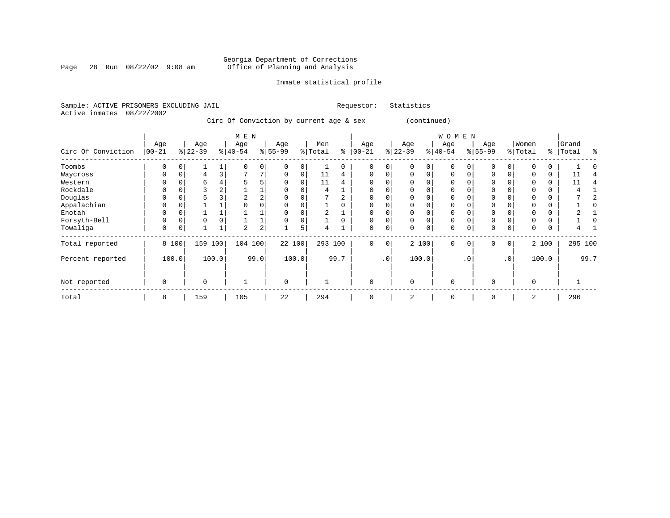Page 28 Run  $08/22/02$  9:08 am

### Inmate statistical profile

| Sample: ACTIVE PRISONERS EXCLUDING JAIL |  |                                         | Requestor: | Statistics  |
|-----------------------------------------|--|-----------------------------------------|------------|-------------|
| Active inmates 08/22/2002               |  |                                         |            |             |
|                                         |  | Circ Of Conviction by current age & sex |            | (continued) |

|                    |                   |       |                  |       | M E N            |            |                  |             |                |      |                 |             |                  |             | W O M E N       |           |                  |             |                  |          |                |      |
|--------------------|-------------------|-------|------------------|-------|------------------|------------|------------------|-------------|----------------|------|-----------------|-------------|------------------|-------------|-----------------|-----------|------------------|-------------|------------------|----------|----------------|------|
| Circ Of Conviction | Age<br>$ 00 - 21$ |       | Age<br>$8 22-39$ |       | Age<br>$8 40-54$ |            | Age<br>$8 55-99$ |             | Men<br>% Total | နွ   | Age<br>$ 00-21$ |             | Age<br>$ 22-39 $ |             | Age<br>$ 40-54$ |           | Age<br>$ 55-99 $ |             | Women<br>% Total | ႜ        | Grand<br>Total | န္   |
| Toombs             | 0                 |       |                  |       |                  | 0          |                  |             |                | 0    | 0               | 0           | 0                | 0           | $\mathbf 0$     |           | 0                | 0           |                  |          |                |      |
| Waycross           | $\Omega$          | 0     | 4                | 3     |                  | 7          | 0                | $\mathbf 0$ | 11             | 4    | 0               | 0           | 0                | $\mathbf 0$ | $\mathbf 0$     |           | $\mathbf 0$      | 0           |                  | 0        | 11             |      |
| Western            |                   |       | 6                |       |                  |            |                  |             | 11             | 4    | $\Omega$        |             |                  |             | $\mathbf 0$     |           | $\mathbf 0$      |             |                  | $\Omega$ | 11             |      |
| Rockdale           |                   |       | 3                | 4     |                  |            | 0                |             | 4              |      | 0               | 0           |                  |             | $\mathbf 0$     |           | $\mathbf 0$      |             |                  | 0        |                |      |
| Douglas            | 0                 |       | 5                |       | 2                | 2          | $\Omega$         | $\Omega$    |                | 2    | 0               | 0           | $\Omega$         | 0           | $\mathbf 0$     |           | $\mathbf 0$      | O           |                  | $\Omega$ |                |      |
| Appalachian        |                   |       |                  |       |                  |            |                  |             |                |      | $\Omega$        |             |                  |             | $\Omega$        |           | 0                |             |                  | $\Omega$ |                |      |
| Enotah             |                   |       |                  |       |                  |            |                  |             |                |      | 0               | 0           | $\Omega$         | $\Omega$    | $\mathbf 0$     |           | $\mathbf 0$      |             |                  | 0        |                |      |
| Forsyth-Bell       | 0                 |       | $\mathbf 0$      |       |                  |            | 0                | $\mathbf 0$ |                | 0    | 0               | 0           | 0                | $\mathbf 0$ | $\mathbf 0$     |           | $\mathbf 0$      | 0           |                  | $\Omega$ |                |      |
| Towaliga           | 0                 |       |                  |       | 2                | $\sqrt{2}$ |                  | 5           | 4              |      | 0               | 0           | $\Omega$         | 0           | $\mathbf 0$     |           | $\mathbf 0$      | 0           | $\Omega$         | $\Omega$ | 4              |      |
| Total reported     |                   | 8 100 | 159              | 100   | 104 100          |            | 22 100           |             | 293 100        |      | 0               | $\mathbf 0$ |                  | 2 100       | $\mathbf 0$     | 0         | $\mathbf{0}$     | $\mathbf 0$ |                  | 2 100    | 295 100        |      |
| Percent reported   |                   | 100.0 |                  | 100.0 |                  | 99.0       |                  | 100.0       |                | 99.7 |                 | $\cdot$ 0   |                  | 100.0       |                 | $\cdot$ 0 |                  | $\cdot$ 0   |                  | 100.0    |                | 99.7 |
| Not reported       | 0                 |       | $\mathbf 0$      |       |                  |            | $\mathbf 0$      |             |                |      | 0               |             | $\Omega$         |             | $\mathbf 0$     |           | $\mathbf 0$      |             | $\Omega$         |          |                |      |
| Total              | 8                 |       | 159              |       | 105              |            | 22               |             | 294            |      | 0               |             | 2                |             | $\mathbf 0$     |           | $\mathbf 0$      |             | 2                |          | 296            |      |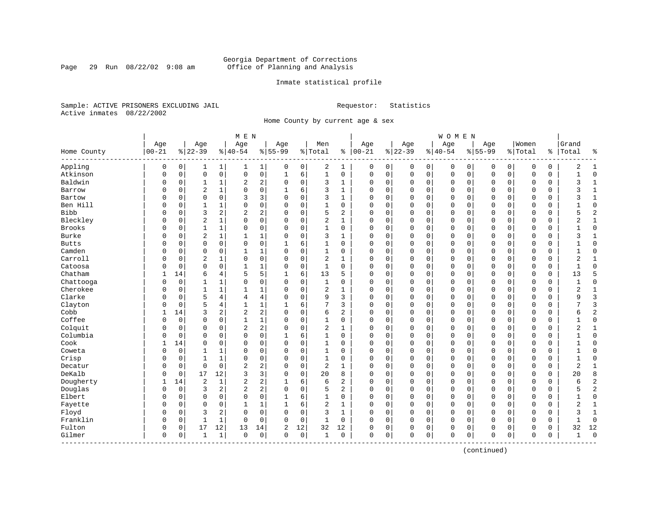Page 29 Run  $08/22/02$  9:08 am

### Inmate statistical profile

Sample: ACTIVE PRISONERS EXCLUDING JAIL **Requestor:** Statistics Active inmates 08/22/2002

Home County by current age & sex

|               |              |          |                |                         | M E N          |                |              |             |                |              |          |             |             |             | <b>WOMEN</b> |             |             |             |             |          |                |                |
|---------------|--------------|----------|----------------|-------------------------|----------------|----------------|--------------|-------------|----------------|--------------|----------|-------------|-------------|-------------|--------------|-------------|-------------|-------------|-------------|----------|----------------|----------------|
|               | Age          |          | Age            |                         | Age            |                | Age          |             | Men            |              | Age      |             | Age         |             | Age          |             | Age         |             | Women       |          | Grand          |                |
| Home County   | $00 - 21$    |          | $8 22-39$      |                         | $ 40-54$       |                | $8 55-99$    |             | % Total        | နွ           | $ 00-21$ |             | $ 22-39$    |             | $ 40-54$     |             | $8155 - 99$ |             | % Total     | ႜၟ       | Total          | နွ             |
| Appling       | 0            | 0        | 1              | 1                       | 1              | $\mathbf 1$    | 0            | 0           | 2              | 1            | 0        | 0           | 0           | 0           | 0            | 0           | 0           | 0           | 0           | 0        | 2              | -1             |
| Atkinson      | $\mathsf 0$  | 0        | $\mathbf 0$    | $\mathsf{O}$            | $\mathsf 0$    | 0              | 1            | 6           | $\mathbf{1}$   | 0            | 0        | $\mathsf 0$ | $\mathbf 0$ | $\mathsf 0$ | 0            | $\mathsf 0$ | $\mathbf 0$ | $\mathsf 0$ | $\mathbf 0$ | 0        |                | $\mathbf 0$    |
| Baldwin       | 0            | 0        | 1              | $\mathbf{1}$            | 2              | 2              | $\mathbf 0$  | $\mathbf 0$ | 3              | $\mathbf{1}$ | O        | $\mathbf 0$ | 0           | $\mathbf 0$ | 0            | 0           | 0           | $\mathbf 0$ | 0           | 0        | 3              | $\mathbf{1}$   |
| Barrow        | 0            | 0        | $\overline{2}$ | $\mathbf{1}$            | $\mathbf 0$    | 0              | $\mathbf{1}$ | 6           | 3              | $\mathbf{1}$ | $\Omega$ | $\mathbf 0$ | $\Omega$    | $\mathbf 0$ | $\Omega$     | 0           | $\Omega$    | $\Omega$    | $\mathbf 0$ | 0        | 3              | $\mathbf{1}$   |
| Bartow        | O            | $\Omega$ | $\mathbf 0$    | $\mathbf 0$             | 3              | 3              | $\Omega$     | $\mathbf 0$ | 3              | $\mathbf{1}$ | $\Omega$ | 0           | $\Omega$    | $\Omega$    | $\Omega$     | $\Omega$    | $\Omega$    | $\Omega$    | $\Omega$    | $\Omega$ | 3              | $\mathbf{1}$   |
| Ben Hill      | U            | $\Omega$ | 1              | 1                       | $\Omega$       | 0              | $\Omega$     | $\mathbf 0$ | $\mathbf{1}$   | $\Omega$     | $\Omega$ | 0           | $\Omega$    | $\Omega$    | $\Omega$     | $\Omega$    | $\Omega$    | $\Omega$    | $\Omega$    | 0        |                | $\Omega$       |
| <b>Bibb</b>   | 0            | $\Omega$ | 3              | $\overline{a}$          | 2              | 2              | $\Omega$     | $\mathbf 0$ | 5              | 2            | $\Omega$ | 0           | $\Omega$    | $\mathbf 0$ | $\Omega$     | $\mathbf 0$ | $\Omega$    | $\Omega$    | $\Omega$    | 0        | 5              | $\overline{c}$ |
| Bleckley      | 0            | 0        | $\overline{2}$ | $\mathbf{1}$            | $\Omega$       | 0              | $\Omega$     | $\mathbf 0$ | $\sqrt{2}$     | 1            | C        | 0           | $\Omega$    | $\mathbf 0$ | 0            | 0           | 0           | $\mathbf 0$ | 0           | 0        | 2              | $\mathbf{1}$   |
| <b>Brooks</b> | 0            | 0        | $\mathbf{1}$   | $\mathbf{1}$            | 0              | 0              | $\Omega$     | $\mathbf 0$ | $\mathbf{1}$   | 0            | O        | 0           | $\Omega$    | 0           | 0            | $\mathbf 0$ | 0           | 0           | 0           | 0        |                | $\mathbf 0$    |
| Burke         | 0            | 0        | $\overline{2}$ | $\mathbf{1}$            | $\mathbf{1}$   | 1              | $\Omega$     | $\mathbf 0$ | 3              | $\mathbf{1}$ | $\Omega$ | 0           | $\Omega$    | $\mathbf 0$ | $\Omega$     | $\mathbf 0$ | $\Omega$    | $\Omega$    | $\Omega$    | 0        | 3              | $\mathbf{1}$   |
| <b>Butts</b>  | 0            | 0        | $\mathbf 0$    | $\mathbf 0$             | $\mathbf 0$    | 0              |              | 6           | $\mathbf{1}$   | $\Omega$     | $\Omega$ | 0           | $\Omega$    | $\mathbf 0$ | $\Omega$     | $\mathbf 0$ | $\Omega$    | $\Omega$    | $\Omega$    | $\Omega$ |                | $\mathbf 0$    |
| Camden        | O            | $\Omega$ | $\mathbf 0$    | $\Omega$                | $\mathbf{1}$   | 1              | $\Omega$     | $\mathbf 0$ | $\mathbf{1}$   | $\Omega$     | $\Omega$ | 0           | $\Omega$    | $\Omega$    | $\Omega$     | $\Omega$    | $\Omega$    | $\Omega$    | $\Omega$    | $\Omega$ | $\mathbf{1}$   | $\Omega$       |
| Carroll       | O            | $\Omega$ | $\overline{c}$ | $\mathbf{1}$            | $\mathbf 0$    | 0              | $\Omega$     | $\mathbf 0$ | $\overline{2}$ | 1            | $\Omega$ | 0           | $\Omega$    | $\mathbf 0$ | $\Omega$     | $\mathbf 0$ | $\Omega$    | $\Omega$    | $\Omega$    | 0        | 2              | 1              |
| Catoosa       | 0            | 0        | $\mathbf 0$    | $\mathbf 0$             | $\mathbf{1}$   | 1              | 0            | $\mathsf 0$ | $\mathbf{1}$   | $\mathbf 0$  | $\Omega$ | 0           | $\Omega$    | $\mathbf 0$ | $\Omega$     | $\Omega$    | $\Omega$    | $\mathbf 0$ | $\mathbf 0$ | 0        | $\mathbf{1}$   | $\Omega$       |
| Chatham       | $\mathbf{1}$ | 14       | 6              | 4                       | 5              | 5              | 1            | 6           | 13             | 5            | $\Omega$ | 0           | $\Omega$    | 0           | $\Omega$     | $\mathbf 0$ | $\Omega$    | $\mathbf 0$ | $\Omega$    | 0        | 13             | 5              |
| Chattooga     | 0            | 0        | 1              | 1                       | 0              | 0              | 0            | 0           | 1              | 0            | $\Omega$ | 0           | $\Omega$    | 0           | 0            | $\mathbf 0$ | 0           | 0           | 0           | 0        |                | $\mathbf 0$    |
| Cherokee      | 0            | 0        | $\mathbf{1}$   | $\mathbf{1}$            | $\mathbf{1}$   | 1              | $\Omega$     | $\mathbf 0$ | $\overline{2}$ | 1            | $\Omega$ | 0           | $\Omega$    | $\Omega$    | $\Omega$     | $\Omega$    | $\Omega$    | $\Omega$    | $\Omega$    | 0        | 2              | $\mathbf{1}$   |
| Clarke        | O            | $\Omega$ | 5              | 4                       | 4              | 4              | $\Omega$     | $\mathbf 0$ | 9              | 3            | $\Omega$ | 0           | $\Omega$    | $\Omega$    | $\Omega$     | $\Omega$    | $\Omega$    | $\Omega$    | $\Omega$    | $\Omega$ | 9              | $\mathbf{z}$   |
| Clayton       | 0            | $\Omega$ | 5              | $\overline{4}$          | $\mathbf{1}$   | 1              | 1            | 6           | 7              | 3            | $\Omega$ | 0           | $\Omega$    | $\mathbf 0$ | $\Omega$     | $\mathbf 0$ | $\Omega$    | $\Omega$    | $\Omega$    | 0        | 7              | 3              |
| Cobb          | $\mathbf{1}$ | 14       | 3              | $\overline{\mathbf{c}}$ | $\overline{2}$ | 2              | $\Omega$     | $\mathbf 0$ | 6              | 2            | $\Omega$ | 0           | $\Omega$    | $\mathbf 0$ | $\Omega$     | $\mathbf 0$ | $\Omega$    | $\mathbf 0$ | $\Omega$    | 0        | 6              | $\overline{2}$ |
| Coffee        | O            | 0        | $\mathbf 0$    | $\mathbf 0$             | $\mathbf{1}$   | $\mathbf 1$    | $\Omega$     | $\mathbf 0$ | $\mathbf{1}$   | $\mathbf 0$  | $\Omega$ | 0           | $\Omega$    | $\mathbf 0$ | $\Omega$     | $\mathbf 0$ | $\Omega$    | $\mathbf 0$ | $\Omega$    | 0        | $\mathbf{1}$   | $\mathbf 0$    |
| Colquit       | 0            | 0        | $\mathbf 0$    | 0                       | 2              | $\overline{a}$ | 0            | 0           | $\overline{2}$ | 1            | $\Omega$ | 0           | $\Omega$    | 0           | 0            | $\mathbf 0$ | $\Omega$    | 0           | 0           | 0        | 2              | 1              |
| Columbia      | 0            | 0        | $\mathbf 0$    | $\mathbf 0$             | $\Omega$       | 0              |              | 6           | $\mathbf{1}$   | $\Omega$     | $\Omega$ | 0           | $\Omega$    | $\mathbf 0$ | $\Omega$     | $\mathbf 0$ | $\Omega$    | $\Omega$    | $\Omega$    | $\Omega$ |                | $\mathbf 0$    |
| Cook          | $\mathbf{1}$ | 14       | $\mathbf 0$    | $\Omega$                | $\Omega$       | 0              | $\Omega$     | $\mathbf 0$ | $\mathbf{1}$   | $\Omega$     | $\Omega$ | 0           | $\Omega$    | $\Omega$    | $\Omega$     | $\Omega$    | $\Omega$    | $\Omega$    | $\Omega$    | $\Omega$ | $\mathbf{1}$   | $\Omega$       |
| Coweta        | 0            | 0        | 1              | $\mathbf{1}$            | $\mathbf 0$    | 0              | $\Omega$     | $\mathbf 0$ | $\mathbf{1}$   | $\Omega$     | $\Omega$ | 0           | $\Omega$    | $\mathbf 0$ | $\Omega$     | $\mathbf 0$ | $\Omega$    | $\Omega$    | $\Omega$    | 0        | 1              | $\mathbf 0$    |
| Crisp         | 0            | 0        | 1              | $\mathbf{1}$            | $\mathbf 0$    | 0              | $\Omega$     | $\mathsf 0$ | $\mathbf{1}$   | $\mathbf 0$  | $\Omega$ | 0           | $\Omega$    | $\mathbf 0$ | $\Omega$     | $\mathbf 0$ | $\Omega$    | $\mathbf 0$ | $\Omega$    | 0        | $\mathbf{1}$   | $\Omega$       |
| Decatur       | O            | 0        | $\mathbf 0$    | $\mathbf 0$             | $\overline{2}$ | 2              | $\Omega$     | $\mathbf 0$ | $\overline{2}$ | $\mathbf{1}$ | $\Omega$ | 0           | $\Omega$    | $\mathbf 0$ | $\Omega$     | $\mathbf 0$ | $\Omega$    | $\mathbf 0$ | $\Omega$    | 0        | $\overline{2}$ | $\mathbf{1}$   |
| DeKalb        | 0            | 0        | 17             | 12                      | 3              | 3              | 0            | 0           | 20             | 8            | $\Omega$ | 0           | $\Omega$    | 0           | 0            | $\mathbf 0$ | 0           | 0           | 0           | 0        | 20             | 8              |
| Dougherty     |              | 14       | $\overline{2}$ | $\mathbf{1}$            | 2              | 2              |              | 6           | 6              | 2            | $\Omega$ | 0           | $\Omega$    | 0           | 0            | $\Omega$    | $\Omega$    | 0           | $\Omega$    | 0        | 6              | $\overline{2}$ |
| Douglas       | 0            | 0        | 3              | 2                       | $\overline{2}$ | 2              | $\Omega$     | $\mathbf 0$ | 5              | 2            | $\Omega$ | 0           | $\Omega$    | $\Omega$    | $\Omega$     | $\Omega$    | $\Omega$    | $\Omega$    | $\Omega$    | $\Omega$ | 5              | $\overline{2}$ |
| Elbert        | 0            | $\Omega$ | $\mathbf 0$    | $\Omega$                | $\mathbf 0$    | 0              | 1            | 6           | $\mathbf{1}$   | 0            | $\Omega$ | 0           | $\Omega$    | $\mathbf 0$ | $\Omega$     | 0           | $\Omega$    | $\Omega$    | $\Omega$    | 0        | 1              | $\mathbf 0$    |
| Fayette       | 0            | 0        | $\mathbf 0$    | 0                       | $\mathbf{1}$   | $\mathbf 1$    | 1            | 6           | $\overline{2}$ | $\mathbf{1}$ | $\Omega$ | $\mathbf 0$ | $\Omega$    | $\mathbf 0$ | $\Omega$     | 0           | $\Omega$    | $\mathbf 0$ | $\Omega$    | 0        | 2              | $\mathbf{1}$   |
| Floyd         | 0            | 0        | 3              | 2                       | 0              | 0              | $\Omega$     | $\mathbf 0$ | 3              | $\mathbf{1}$ | O        | 0           | $\Omega$    | 0           | 0            | 0           | $\Omega$    | $\Omega$    | $\Omega$    | 0        | 3              | $\mathbf{1}$   |
| Franklin      | 0            | 0        | $\mathbf{1}$   | 1                       | 0              | 0              | $\Omega$     | 0           | 1              | 0            | $\Omega$ | 0           | $\Omega$    | 0           | 0            | 0           | 0           | 0           | 0           | 0        |                | $\mathbf 0$    |
| Fulton        | 0            | 0        | 17             | 12                      | 13             | 14             | 2            | 12          | 32             | 12           | 0        | 0           | $\Omega$    | 0           | 0            | 0           | 0           | 0           | 0           | 0        | 32             | 12             |
| Gilmer        | $\mathbf 0$  | 0        | $\mathbf{1}$   | $\mathbf{1}$            | $\Omega$       | 0              | $\Omega$     | $\mathbf 0$ | 1              | $\mathbf 0$  | $\Omega$ | 0           | $\Omega$    | $\mathbf 0$ | $\Omega$     | 0           | $\Omega$    | $\mathbf 0$ | $\Omega$    | 0        | $\mathbf{1}$   | $\Omega$       |

(continued)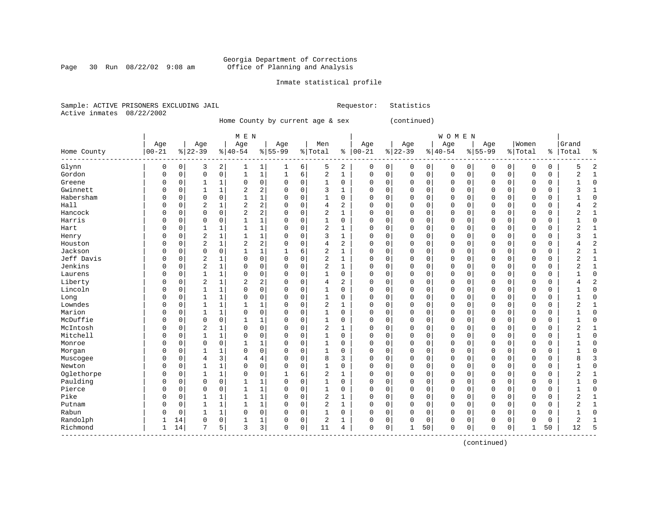### Georgia Department of Corrections<br>Page 30 Run 08/22/02 9:08 am 60ffice of Planning and Analysis Page 30 Run 08/22/02 9:08 am Office of Planning and Analysis

### Inmate statistical profile

Sample: ACTIVE PRISONERS EXCLUDING JAIL **Requestor:** Statistics Active inmates 08/22/2002

Home County by current age & sex (continued)

|                          |            |             |                |                     | M E N          |                     |             |          |                |              |             |             |           |             | WOMEN     |          |             |             |             |               |                |                |
|--------------------------|------------|-------------|----------------|---------------------|----------------|---------------------|-------------|----------|----------------|--------------|-------------|-------------|-----------|-------------|-----------|----------|-------------|-------------|-------------|---------------|----------------|----------------|
|                          | Age        |             | Age            |                     | Age            |                     | Age         |          | Men            |              | Age         |             | Age       |             | Age       |          | Age         |             | Women       |               | Grand          |                |
| Home County<br>--------- | $ 00 - 21$ |             | $8 22-39$      |                     | $8 40-54$      |                     | $8155 - 99$ |          | % Total        | နွ           | $ 00-21$    |             | $8 22-39$ |             | $8 40-54$ |          | $8155 - 99$ |             | % Total     | $\frac{8}{6}$ | Total          | ಕಿ             |
| Glynn                    | 0          | 0           | 3              | 2                   |                | $\mathbf{1}$        | 1           | 6        | 5              | 2            | 0           | 0           | 0         | 0           | 0         | 0        | 0           | 0           | O           | 0             |                | $\overline{2}$ |
| Gordon                   | $\Omega$   | 0           | 0              | $\mathsf{O}\xspace$ | 1              | $\mathbf{1}$        | 1           | 6        | 2              | 1            | 0           | 0           | $\Omega$  | 0           | 0         | 0        | $\Omega$    | 0           | O           | 0             | $\overline{2}$ | $\mathbf{1}$   |
| Greene                   | 0          | $\mathsf 0$ | 1              | 1                   | $\mathbf 0$    | 0                   | 0           | 0        | 1              | $\mathbf 0$  | $\Omega$    | 0           | 0         | $\mathbf 0$ | 0         | 0        | $\Omega$    | $\mathbf 0$ | O           | 0             |                | $\Omega$       |
| Gwinnett                 | $\Omega$   | $\Omega$    | $\mathbf{1}$   | $\mathbf{1}$        | 2              | $\overline{2}$      | $\Omega$    | 0        | 3              |              | $\mathbf 0$ | $\mathbf 0$ | $\Omega$  | $\mathbf 0$ | 0         | $\Omega$ | $\Omega$    | $\Omega$    | $\Omega$    | 0             | ζ              | $\mathbf{1}$   |
| Habersham                | $\Omega$   | $\Omega$    | 0              | $\mathbf 0$         | $\mathbf{1}$   | $\mathbf{1}$        | O           | $\Omega$ | 1              | 0            | 0           | $\mathbf 0$ | $\Omega$  | $\Omega$    | 0         | $\Omega$ | $\Omega$    | $\Omega$    | $\mathbf 0$ | 0             |                | $\Omega$       |
| Hall                     | $\Omega$   | $\Omega$    | 2              | $\mathbf{1}$        | 2              | 2 <sup>1</sup>      | 0           | 0        | 4              | 2            | 0           | $\mathbf 0$ | $\Omega$  | $\mathbf 0$ | 0         | $\Omega$ | $\Omega$    | $\Omega$    | 0           | 0             |                | $\overline{2}$ |
| Hancock                  | C          | $\Omega$    | 0              | 0                   | $\overline{2}$ | $\overline{2}$      | 0           | 0        | 2              | $\mathbf{1}$ | $\Omega$    | 0           | 0         | $\mathbf 0$ | 0         | 0        | $\Omega$    | $\mathbf 0$ | $\Omega$    | 0             | $\overline{2}$ | $\mathbf{1}$   |
| Harris                   | C          | 0           | $\mathbf 0$    | $\mathsf 0$         |                | $\mathbf{1}$        | 0           | 0        | $\mathbf{1}$   | $\mathbf 0$  | $\Omega$    | 0           | 0         | $\mathbf 0$ | $\Omega$  | $\Omega$ | $\Omega$    | $\mathbf 0$ | O           | 0             |                | $\Omega$       |
| Hart                     | $\Omega$   | $\Omega$    | $\mathbf{1}$   | $\mathbf 1$         | 1              | $\mathbf{1}$        | O           | 0        | $\overline{c}$ | 1            | $\Omega$    | 0           | $\Omega$  | 0           | 0         | $\Omega$ | $\Omega$    | $\Omega$    | O           | 0             | 2              | 1              |
| Henry                    | $\Omega$   | 0           | $\overline{2}$ | 1                   | $\mathbf{1}$   | $\mathbf{1}$        | 0           | 0        | 3              | $\mathbf{1}$ | $\Omega$    | 0           | $\Omega$  | 0           | 0         | $\Omega$ | $\Omega$    | 0           | $\Omega$    | 0             | ς              | 1              |
| Houston                  | $\Omega$   | $\Omega$    | $\overline{2}$ | $\mathbf 1$         | $\overline{2}$ | 2                   | 0           | 0        | $\overline{4}$ | 2            | $\Omega$    | $\mathbf 0$ | $\Omega$  | $\mathbf 0$ | $\Omega$  | $\Omega$ | $\Omega$    | 0           | $\Omega$    | 0             |                | $\overline{2}$ |
| Jackson                  | $\Omega$   | $\Omega$    | 0              | $\mathsf 0$         |                | $\mathbf{1}$        |             | 6        | $\overline{c}$ | 1            | $\Omega$    | $\mathbf 0$ | $\Omega$  | $\mathbf 0$ | 0         | $\Omega$ | $\Omega$    | $\Omega$    | $\Omega$    | 0             | 2              | $\mathbf{1}$   |
| Jeff Davis               | $\Omega$   | $\Omega$    | $\overline{2}$ | $\mathbf{1}$        | $\Omega$       | $\mathbf 0$         | $\Omega$    | $\Omega$ | $\overline{2}$ | 1            | $\Omega$    | $\Omega$    | $\Omega$  | $\Omega$    | $\Omega$  | O        | $\Omega$    | $\Omega$    | $\Omega$    | 0             | 2              | $\mathbf{1}$   |
| Jenkins                  | $\Omega$   | $\Omega$    | $\overline{2}$ | $\mathbf{1}$        | $\Omega$       | $\mathbf 0$         | 0           | $\Omega$ | 2              | 1            | 0           | $\mathbf 0$ | $\Omega$  | $\Omega$    | 0         | $\Omega$ | $\Omega$    | $\Omega$    | $\Omega$    | 0             | 2              | 1              |
| Laurens                  | 0          | $\Omega$    | $\mathbf{1}$   | $\mathbf 1$         | $\Omega$       | 0                   | 0           | 0        | 1              | $\mathbf 0$  | $\Omega$    | $\mathbf 0$ | $\Omega$  | $\mathbf 0$ | 0         | $\Omega$ | $\Omega$    | $\Omega$    | $\Omega$    | 0             |                | $\Omega$       |
| Liberty                  | C          | $\Omega$    | $\overline{2}$ | $\mathbf 1$         | 2              | $\overline{2}$      | 0           | 0        | $\overline{4}$ | 2            | $\Omega$    | 0           | 0         | $\mathbf 0$ | 0         | $\Omega$ | $\Omega$    | $\mathbf 0$ | $\Omega$    | 0             |                | $\overline{c}$ |
| Lincoln                  | C          | $\Omega$    | $\mathbf{1}$   | $\mathbf 1$         | $\Omega$       | $\mathsf{O}$        | 0           | 0        | 1              | $\Omega$     | $\Omega$    | $\mathbf 0$ | $\Omega$  | 0           | 0         | 0        | $\Omega$    | $\Omega$    | $\Omega$    | 0             |                | $\Omega$       |
| Long                     | $\Omega$   | 0           | 1              | 1                   | $\Omega$       | 0                   | 0           | 0        | 1              | $\Omega$     | $\Omega$    | $\mathbf 0$ | $\Omega$  | 0           | 0         | $\Omega$ | $\Omega$    | $\Omega$    | $\Omega$    | 0             |                | $\Omega$       |
| Lowndes                  | $\Omega$   | 0           | 1              | 1                   |                | $\mathbf{1}$        | 0           | 0        | 2              | 1            | $\Omega$    | $\mathbf 0$ | $\Omega$  | $\mathbf 0$ | 0         | 0        | $\Omega$    | $\Omega$    | $\Omega$    | 0             | 2              | $\mathbf{1}$   |
| Marion                   | 0          | 0           | 1              | 1                   | $\mathbf 0$    | $\mathsf{O}\xspace$ | 0           | 0        | 1              | 0            | $\Omega$    | $\mathbf 0$ | 0         | $\mathbf 0$ | 0         | $\Omega$ | $\Omega$    | 0           | O           | 0             |                | $\Omega$       |
| McDuffie                 | $\Omega$   | $\Omega$    | $\mathbf 0$    | $\mathbf 0$         | 1              | $\mathbf{1}$        | 0           | 0        | 1              | 0            | 0           | $\mathbf 0$ | $\Omega$  | $\mathbf 0$ | 0         | $\Omega$ | $\Omega$    | $\Omega$    | $\Omega$    | 0             |                | $\Omega$       |
| McIntosh                 | $\Omega$   | $\Omega$    | $\overline{a}$ | $\mathbf{1}$        | $\Omega$       | $\mathbf 0$         | 0           | $\Omega$ | 2              | 1            | $\Omega$    | $\Omega$    | $\Omega$  | $\Omega$    | 0         | 0        | $\Omega$    | $\Omega$    | $\Omega$    | 0             | 2              | 1              |
| Mitchell                 | $\Omega$   | 0           | 1              | $\mathbf{1}$        | $\Omega$       | $\mathbf 0$         | $\Omega$    | $\Omega$ | 1              | 0            | 0           | $\mathbf 0$ | $\Omega$  | $\Omega$    | 0         | $\Omega$ | $\Omega$    | $\Omega$    | $\Omega$    | 0             |                | $\Omega$       |
| Monroe                   | C          | $\mathbf 0$ | $\mathbf 0$    | $\mathsf 0$         | 1              | $\mathbf{1}$        | 0           | 0        | 1              | 0            | 0           | $\mathbf 0$ | $\Omega$  | $\mathbf 0$ | 0         | $\Omega$ | 0           | $\mathbf 0$ | O           | 0             |                | $\Omega$       |
| Morgan                   | C          | 0           | $\mathbf{1}$   | $\mathbf 1$         | $\mathbf 0$    | $\mathbf 0$         | 0           | 0        | 1              | 0            | $\Omega$    | $\mathbf 0$ | 0         | $\mathbf 0$ | 0         | 0        | $\Omega$    | $\mathbf 0$ | O           | 0             |                | $\Omega$       |
| Muscogee                 | 0          | $\Omega$    | 4              | 3                   | 4              | 4                   | 0           | 0        | 8              | 3            | $\mathbf 0$ | $\mathbf 0$ | $\Omega$  | 0           | 0         | $\Omega$ | $\Omega$    | $\mathbf 0$ | O           | 0             | 8              | $\overline{3}$ |
| Newton                   | 0          | 0           | $\mathbf{1}$   | $\mathbf{1}$        | $\mathbf 0$    | $\mathbf 0$         | 0           | 0        | 1              | 0            | 0           | $\mathbf 0$ | $\Omega$  | 0           | 0         | $\Omega$ | $\Omega$    | 0           | O           | 0             |                | $\mathbf 0$    |
| Oglethorpe               | 0          | 0           | 1              | 1                   | 0              | $\mathbf 0$         |             | 6        | $\overline{c}$ | 1            | 0           | $\mathbf 0$ | 0         | $\mathbf 0$ | 0         | 0        | 0           | 0           | O           | 0             | 2              | 1              |
| Paulding                 | 0          | 0           | 0              | $\mathsf 0$         |                | $\mathbf{1}$        | 0           | 0        | 1              | 0            | 0           | $\mathbf 0$ | $\Omega$  | $\mathbf 0$ | 0         | $\Omega$ | $\Omega$    | $\mathbf 0$ | $\Omega$    | 0             |                | $\Omega$       |
| Pierce                   | $\Omega$   | $\Omega$    | 0              | $\mathbf 0$         | 1              | $\mathbf{1}$        | 0           | 0        | $\mathbf{1}$   | $\Omega$     | 0           | $\mathbf 0$ | $\Omega$  | $\Omega$    | 0         | $\Omega$ | $\Omega$    | $\Omega$    | $\Omega$    | 0             |                | $\Omega$       |
| Pike                     | $\Omega$   | $\Omega$    | 1              | $\mathbf{1}$        | $\mathbf{1}$   | $\mathbf{1}$        | 0           | 0        | $\overline{2}$ | 1            | 0           | $\mathbf 0$ | $\Omega$  | $\mathbf 0$ | 0         | $\Omega$ | $\Omega$    | $\mathbf 0$ | $\Omega$    | 0             | 2              | 1              |
| Putnam                   | 0          | 0           | 1              | 1                   | 1              | $\mathbf{1}$        | 0           | 0        | 2              | 1            | 0           | $\mathsf 0$ | $\Omega$  | $\mathbf 0$ | 0         | 0        | $\Omega$    | $\mathbf 0$ | O           | 0             | 2              | 1              |
| Rabun                    | C          | $\mathbf 0$ | 1              | $\mathbf 1$         | $\mathbf 0$    | $\overline{0}$      | 0           | 0        | 1              | $\mathbf 0$  | $\Omega$    | $\mathsf 0$ | $\Omega$  | $\mathbf 0$ | $\Omega$  | $\Omega$ | 0           | $\mathbf 0$ | O           | 0             |                | $\Omega$       |
| Randolph                 |            | 14          | $\mathbf 0$    | 0                   |                | $\mathbf{1}$        | 0           | 0        | $\overline{c}$ | 1            | $\Omega$    | 0           | 0         | $\mathbf 0$ | 0         | 0        | $\Omega$    | $\mathbf 0$ | O           | 0             | $\overline{2}$ | $\mathbf{1}$   |
| Richmond                 | 1          | 14          | 7              | 5                   | 3              | 3                   | 0           | 0        | 11             | 4            | $\mathbf 0$ | $\mathbf 0$ | -1        | 50          | 0         | 0        | $\mathbf 0$ | $\mathbf 0$ | -1          | 50            | 12             | 5              |

(continued)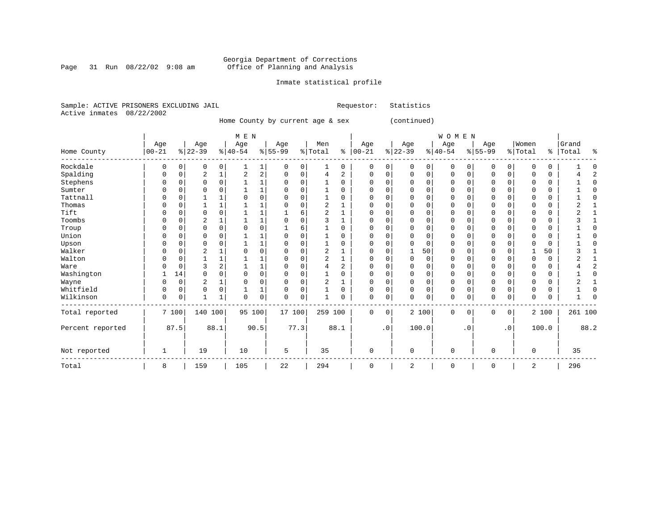Page 31 Run  $08/22/02$  9:08 am

### Inmate statistical profile

|  | Sample: ACTIVE PRISONERS EXCLUDING JAIL |  | Requestor: Statistics |  |
|--|-----------------------------------------|--|-----------------------|--|
|  | Active inmates 08/22/2002               |  |                       |  |

Home County by current age & sex (continued)

|                  |            |             |                |          | M E N    |                         |           |             |                |                |              |           |             |             | WOMEN    |           |              |                |          |       |         |              |
|------------------|------------|-------------|----------------|----------|----------|-------------------------|-----------|-------------|----------------|----------------|--------------|-----------|-------------|-------------|----------|-----------|--------------|----------------|----------|-------|---------|--------------|
|                  | Age        |             | Age            |          | Age      |                         | Age       |             | Men            |                | Age          |           | Age         |             | Age      |           | Age          |                | Women    |       | Grand   |              |
| Home County      | $ 00 - 21$ |             | $ 22-39$       |          | $ 40-54$ |                         | $8 55-99$ |             | % Total        | နွ             | $ 00-21$     |           | $ 22-39$    |             | $ 40-54$ |           | $8 55-99$    |                | % Total  | နွ    | Total   | ႜ            |
| Rockdale         | 0          | $\mathbf 0$ | 0              | 0        |          | 1                       | 0         | 0           | 1              | 0              | $\mathbf 0$  | 0         | $\mathbf 0$ | 0           | 0        | 0         | $\mathbf 0$  | 0              | $\Omega$ | 0     |         |              |
| Spalding         | 0          | $\Omega$    | 2              |          | 2        | $\overline{\mathbf{c}}$ |           | $\Omega$    | 4              | 2              | 0            | 0         | $\Omega$    | $\Omega$    | 0        | 0         | $\Omega$     | 0              |          | 0     |         | 2            |
| Stephens         | U          | 0           | $\Omega$       | $\Omega$ |          |                         |           | 0           |                | O              | $\Omega$     | 0         |             | $\Omega$    | $\Omega$ | O         | U            |                |          | 0     |         | <sup>0</sup> |
| Sumter           |            | O           |                |          |          |                         |           |             |                | U              | O            | U         |             | $\Omega$    | 0        |           |              |                |          | 0     |         |              |
| Tattnall         | Ω          | $\Omega$    |                |          |          | 0                       |           | $\Omega$    |                | U              | $\Omega$     | 0         |             | $\Omega$    | 0        | O         | $\Omega$     | $\Omega$       | U        | 0     |         | <sup>0</sup> |
| Thomas           |            | 0           |                |          |          |                         |           | 0           | $\overline{2}$ |                |              | 0         |             | $\Omega$    | 0        |           | $\Omega$     |                |          | 0     |         |              |
| Tift             | U          | $\Omega$    | $\Omega$       | $\Omega$ |          |                         |           | 6           | $\overline{2}$ |                | O            | 0         | $\Omega$    | $\Omega$    | 0        | U         | $\Omega$     | $\cap$         | $\Omega$ | 0     |         |              |
| Toombs           | U          | $\Omega$    | 2              |          |          |                         |           | $\Omega$    | ς              |                | $\Omega$     | O         |             | 0           | $\Omega$ | O         | $\Omega$     |                | $\Omega$ | 0     |         |              |
| Troup            | 0          | $\Omega$    | $\Omega$       | $\Omega$ |          | 0                       |           | 6           |                | U              | 0            | 0         | $\Omega$    | $\Omega$    | 0        | O         | $\Omega$     | $\Omega$       |          | 0     |         |              |
| Union            |            | O           | $\Omega$       |          |          |                         |           |             |                | U              | <sup>0</sup> | U         |             | $\Omega$    | 0        |           | O            |                |          | 0     |         | ſ            |
| Upson            |            | 0           |                |          |          |                         |           |             |                |                |              | U         |             | $\Omega$    | 0        |           |              |                |          | 0     |         |              |
| Walker           | U          | 0           | $\overline{c}$ |          |          | 0                       |           | $\Omega$    | 2              |                | $\Omega$     | 0         |             | 50          | 0        | U         | $\Omega$     |                |          | 50    |         |              |
| Walton           | U          | $\Omega$    |                |          |          |                         |           | $\Omega$    | 2              | 1              | <sup>0</sup> | O         | $\Omega$    | 0           | $\Omega$ | O         | $\Omega$     |                | U        | 0     |         |              |
| Ware             |            | $\Omega$    | 3              |          |          |                         |           | $\Omega$    | 4              | $\overline{2}$ | 0            | 0         |             | $\Omega$    | 0        | O         | 0            |                |          | 0     |         | 2            |
| Washington       |            | 14          | $\Omega$       |          |          | 0                       |           |             |                | U              | <sup>0</sup> | 0         |             | $\Omega$    | O        |           | O            |                |          | 0     |         | <sup>0</sup> |
| Wayne            |            | 0           | 2              |          | $\Omega$ | 0                       |           | $\Omega$    | 2              |                | O            | 0         | 0           | 0           | 0        |           | $\Omega$     | O              |          | 0     |         |              |
| Whitfield        | 0          | 0           | 0              | $\Omega$ |          | 1                       |           | 0           |                | $\Omega$       | $\Omega$     | 0         | $\Omega$    | $\Omega$    | 0        | 0         | $\Omega$     | $\Omega$       | $\Omega$ | 0     |         | 0            |
| Wilkinson        | 0          | 0           |                |          | $\Omega$ | 0                       | $\cap$    | $\mathbf 0$ |                | 0              | $\Omega$     | 0         | $\Omega$    | $\mathbf 0$ | 0        | 0         | $\mathbf{0}$ | $\mathbf 0$    | 0        | 0     |         | ſ            |
| Total reported   |            | 7 100       | 140 100        |          | 95 100   |                         | 17 100    |             | 259 100        |                | $\Omega$     | 0         |             | 2 100       | 0        | $\Omega$  | $\Omega$     | $\overline{0}$ |          | 2 100 | 261 100 |              |
| Percent reported |            | 87.5        |                | 88.1     |          | 90.5                    |           | 77.3        |                | 88.1           |              | $\cdot$ 0 |             | 100.0       |          | $\cdot$ 0 |              | $\cdot$ 0      |          | 100.0 |         | 88.2         |
| Not reported     | 1          |             | 19             |          | 10       |                         | 5         |             | 35             |                | $\mathbf 0$  |           | $\Omega$    |             | 0        |           | $\Omega$     |                | $\Omega$ |       | 35      |              |
| Total            | 8          |             | 159            |          | 105      |                         | 22        |             | 294            |                | 0            |           | 2           |             | 0        |           | 0            |                | 2        |       | 296     |              |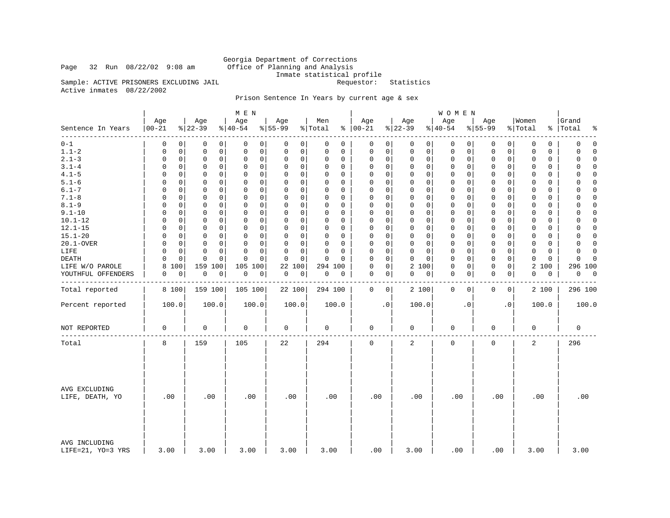### Page 32 Run  $08/22/02$  9:08 am

Georgia Department of Corrections<br>Office of Planning and Analysis Inmate statistical profile<br>Requestor: Statistics

Sample: ACTIVE PRISONERS EXCLUDING JAIL Active inmates 08/22/2002

### Prison Sentence In Years by current age & sex

|                                    |                   |                                        | M E N                            |                         |                          |                             |                         | <b>WOMEN</b>               |                            |                         |                            |
|------------------------------------|-------------------|----------------------------------------|----------------------------------|-------------------------|--------------------------|-----------------------------|-------------------------|----------------------------|----------------------------|-------------------------|----------------------------|
| Sentence In Years                  | Age<br>$ 00 - 21$ | Age<br>$ 22-39$                        | Age<br>$ 40-54 $                 | Age<br>$8 55-99$        | Men<br>% Total           | Age<br>$% 100-21$           | Age<br>$ 22-39$         | Age<br>$8 40-54$           | Age<br>$8 55-99$           | Women<br>% Total        | Grand<br>%   Total<br>နွ   |
| --------<br>$0 - 1$                | 0                 | 0<br>0<br>0                            | 0<br>0                           | 0<br>0                  | 0<br>0                   | $\mathbf 0$<br>0            | 0<br>$\overline{0}$     | $\mathbf 0$<br>0           | 0<br>0                     | 0<br>0                  | $\mathbf 0$<br>0           |
| $1.1 - 2$                          | 0                 | 0<br>0<br>0                            | $\mathbf 0$<br>0                 | 0<br>0                  | 0<br>0                   | $\mathsf 0$<br>$\mathbf 0$  | 0<br>0                  | 0<br>0                     | 0<br>0                     | 0<br>0                  | 0<br>$\Omega$              |
| $2.1 - 3$                          | 0                 | $\mathbf 0$<br>0<br>0                  | $\mathbf 0$<br>$\mathbf 0$       | 0<br>0                  | $\Omega$<br>0            | 0<br>$\mathbf 0$            | 0<br>0                  | $\mathbf 0$<br>0           | $\mathbf 0$<br>$\mathbf 0$ | $\mathbf 0$<br>0        | $\mathbf 0$<br>$\Omega$    |
| $3.1 - 4$                          | $\Omega$          | 0<br>$\Omega$<br>0                     | $\Omega$<br>0                    | $\Omega$<br>0           | $\Omega$<br>0            | 0<br>$\Omega$               | $\Omega$<br>0           | $\mathbf 0$<br>0           | 0<br>0                     | $\Omega$<br>$\Omega$    | 0<br>$\Omega$              |
| $4.1 - 5$                          | 0                 | $\mathbf 0$<br>0<br>0                  | $\mathbf 0$<br>0                 | 0<br>0                  | $\Omega$<br>0            | $\mathbf 0$<br>$\Omega$     | 0<br>0                  | 0<br>0                     | $\mathbf 0$<br>0           | 0<br>0                  | $\Omega$<br>0              |
| $5.1 - 6$                          | $\Omega$          | 0<br>$\Omega$<br>0                     | $\mathbf 0$<br>0                 | 0<br>0                  | $\Omega$<br>0            | $\mathbf 0$<br>$\Omega$     | 0<br>0                  | $\mathbf 0$<br>0           | $\Omega$<br>0              | 0<br>0                  | $\mathbf 0$<br>$\Omega$    |
| $6.1 - 7$                          | $\Omega$          | $\Omega$<br>0<br>$\Omega$              | $\Omega$<br>$\Omega$             | $\Omega$<br>$\Omega$    | $\Omega$<br>$\Omega$     | $\Omega$<br>$\Omega$        | $\Omega$<br>$\Omega$    | $\Omega$<br>$\Omega$       | $\Omega$<br>$\Omega$       | $\Omega$<br>$\Omega$    | $\Omega$<br>$\Omega$       |
| $7.1 - 8$                          | $\Omega$          | $\mathbf 0$<br>0<br>0                  | $\mathbf 0$<br>$\mathbf 0$       | 0<br>$\mathbf 0$        | $\mathbf 0$<br>0         | $\mathbf 0$<br>$\mathbf{0}$ | $\Omega$<br>0           | $\mathbf 0$<br>0           | $\mathbf 0$<br>$\Omega$    | $\Omega$<br>0           | $\mathbf 0$<br>$\Omega$    |
| $8.1 - 9$                          | $\Omega$          | $\Omega$<br>$\Omega$<br>0              | $\Omega$<br>$\Omega$             | 0<br>0                  | $\Omega$<br>$\Omega$     | $\Omega$<br>$\mathbf 0$     | $\Omega$<br>0           | $\mathbf 0$<br>$\Omega$    | $\Omega$<br>0              | $\Omega$<br>$\Omega$    | $\Omega$<br>0              |
| $9.1 - 10$                         | $\Omega$          | $\mathbf 0$<br>$\Omega$<br>0           | $\Omega$<br>$\mathbf 0$          | $\Omega$<br>$\mathbf 0$ | $\Omega$<br>0            | $\mathbf 0$<br>$\Omega$     | $\Omega$<br>$\mathbf 0$ | $\mathbf 0$<br>$\Omega$    | $\mathbf 0$<br>$\mathbf 0$ | $\Omega$<br>$\Omega$    | $\mathbf 0$<br>$\Omega$    |
| $10.1 - 12$                        | $\Omega$          | $\mathbf 0$<br>$\Omega$<br>0           | $\mathbf 0$<br>0                 | 0<br>0                  | 0<br>$\Omega$            | $\mathbf 0$<br>$\Omega$     | $\Omega$<br>0           | 0<br>$\Omega$              | $\mathbf 0$<br>$\Omega$    | 0<br>$\Omega$           | $\Omega$<br>0              |
| $12.1 - 15$                        | 0                 | $\mathbf 0$<br>0<br>0                  | $\mathbf 0$<br>$\mathbf 0$       | 0<br>0                  | $\mathbf 0$<br>$\Omega$  | $\Omega$<br>$\mathbf 0$     | 0<br>$\mathbf 0$        | $\mathbf 0$<br>0           | $\mathbf 0$<br>0           | $\mathbf 0$<br>0        | $\mathbf 0$<br>$\mathbf 0$ |
| $15.1 - 20$                        | $\Omega$          | $\Omega$<br>0<br>$\Omega$              | $\Omega$<br>$\Omega$             | $\Omega$<br>$\Omega$    | $\Omega$<br>$\Omega$     | $\Omega$<br>$\Omega$        | $\Omega$<br>$\Omega$    | $\Omega$<br>$\Omega$       | $\mathbf 0$<br>$\Omega$    | $\Omega$<br>$\Omega$    | $\Omega$<br>$\Omega$       |
| 20.1-OVER                          | $\Omega$          | $\mathbf 0$<br>$\mathbf 0$<br>0        | $\mathbf 0$<br>$\mathbf 0$       | 0<br>0                  | $\mathbf 0$<br>0         | $\mathsf 0$<br>$\mathbf 0$  | $\Omega$<br>$\mathbf 0$ | $\mathbf 0$<br>0           | $\mathbf 0$<br>$\mathbf 0$ | $\mathbf 0$<br>$\Omega$ | $\Omega$<br>$\mathbf 0$    |
| LIFE                               | $\Omega$          | $\Omega$<br>$\Omega$<br>0              | $\Omega$<br>$\Omega$             | 0<br>0                  | $\Omega$<br>$\Omega$     | $\mathbf 0$<br>$\Omega$     | 0<br>0                  | $\mathbf 0$<br>$\Omega$    | $\mathbf 0$<br>0           | $\Omega$<br>$\Omega$    | $\Omega$<br>$\Omega$       |
| DEATH                              | $\Omega$          | $\mathbf 0$<br>$\mathbf 0$<br>$\Omega$ | $\Omega$<br>$\Omega$             | $\mathbf 0$<br>$\Omega$ | $\Omega$<br>$\Omega$     | $\mathbf 0$<br>$\Omega$     | $\Omega$<br>$\mathbf 0$ | $\mathbf 0$<br>$\Omega$    | $\mathbf 0$<br>$\mathbf 0$ | $\Omega$<br>0           | $\mathbf 0$<br>$\cap$      |
| LIFE W/O PAROLE                    | 8<br>100          | 159 100                                | 105<br>100                       | 22<br>100               | 294 100                  | $\mathsf 0$<br>$\Omega$     | 2 100                   | $\mathbf 0$<br>0           | $\mathbf 0$<br>0           | 2<br>100                | 296 100                    |
| YOUTHFUL OFFENDERS                 | 0                 | 0<br>$\mathbb O$<br>0                  | $\mathsf{O}\xspace$<br>$\pmb{0}$ | $\mathsf 0$<br>0        | $\mathsf{O}\xspace$<br>0 | $\mathbf 0$<br>0            | 0<br>0                  | $\mathbf 0$<br>0           | $\mathbf 0$<br>0           | $\mathbf 0$<br>0        | $\overline{0}$<br>0        |
|                                    |                   |                                        |                                  |                         |                          |                             |                         |                            |                            |                         |                            |
| Total reported                     | 8 100             | 159 100                                | 105 100                          | 22 100                  | 294 100                  | $\mathbf 0$<br>$\circ$      | 2 100                   | $\mathbf 0$<br>$\mathbf 0$ | $\mathbf 0$<br>0           | 2 100                   | 296 100                    |
| Percent reported                   | 100.0             | 100.0                                  | 100.0                            | 100.0                   | 100.0                    | $\cdot$ 0                   | 100.0                   | $\cdot$ 0                  | . 0                        | 100.0                   | 100.0                      |
| NOT REPORTED                       | $\mathbf 0$       | 0                                      | 0                                | 0                       | $\mathbf 0$              | $\mathbf 0$                 | 0                       | 0                          | 0                          | $\mathbf 0$             | 0                          |
| Total                              | 8                 | 159                                    | 105                              | 22                      | 294                      | $\mathbf 0$                 | $\overline{a}$          | $\mathbf 0$                | $\mathbf 0$                | $\overline{2}$          | 296                        |
| AVG EXCLUDING<br>LIFE, DEATH, YO   | .00               | .00                                    | .00                              | .00                     | .00                      | .00                         | .00                     | .00                        | .00                        | .00                     | .00                        |
| AVG INCLUDING<br>LIFE=21, YO=3 YRS | 3.00              | 3.00                                   | 3.00                             | 3.00                    | 3.00                     | .00                         | 3.00                    | .00                        | .00                        | 3.00                    | 3.00                       |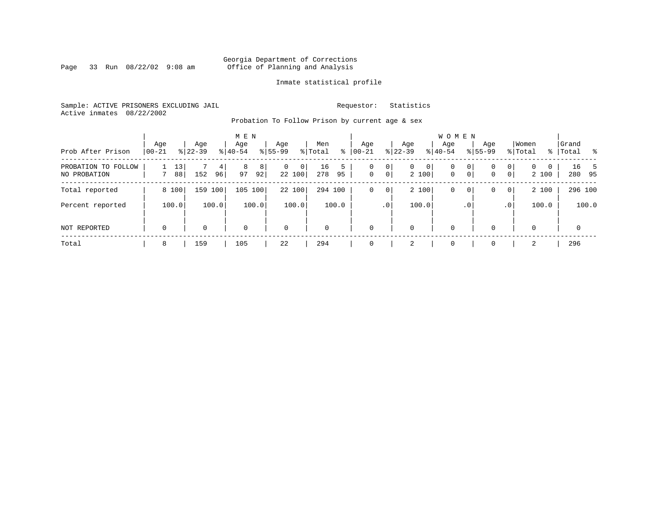Page 33 Run  $08/22/02$  9:08 am

### Inmate statistical profile

Sample: ACTIVE PRISONERS EXCLUDING JAIL **Requestor:** Statistics Active inmates 08/22/2002

Probation To Follow Prison by current age & sex

| Prob After Prison                   | Age<br>$00 - 21$ |          | Age<br>$8122 - 39$ |         | M E N<br>Age<br>$8 40-54$ |         | Age<br>$8155 - 99$ |             | Men<br>% Total | ွေ      | Age<br>$00 - 21$ |                 | Age<br>$ 22-39 $ |            | <b>WOMEN</b><br>Aqe<br>$8 40-54$ |                     | Age<br>$8155 - 99$ |                     | Women<br>% Total  |             | Grand<br>%   Total |                | း     |
|-------------------------------------|------------------|----------|--------------------|---------|---------------------------|---------|--------------------|-------------|----------------|---------|------------------|-----------------|------------------|------------|----------------------------------|---------------------|--------------------|---------------------|-------------------|-------------|--------------------|----------------|-------|
| PROBATION TO FOLLOW<br>NO PROBATION |                  | 13<br>88 | 152                | 4<br>96 | 8<br>97                   | 8<br>92 | $\mathbf{0}$       | 0<br>22 100 | 16<br>278      | 5<br>95 | 0<br>$\mathbf 0$ | 0<br> 0         | $\mathbf{0}$     | 0<br>2 100 | 0<br>$\mathbf{0}$                | 0<br>0 <sup>1</sup> | 0<br>0             | 0<br>$\overline{0}$ | $\Omega$<br>2 100 | $\mathbf 0$ |                    | 16 5<br>280 95 |       |
| Total reported                      |                  | 8 100    | 159                | 100     | 105 100                   |         |                    | 22 100      | 294 100        |         | 0                | 0               |                  | 2 100      | 0                                | 0                   | 0                  | $\overline{0}$      | 2 100             |             |                    | 296 100        |       |
| Percent reported                    |                  | 100.0    |                    | 100.0   |                           | 100.0   |                    | 100.0       |                | 100.0   |                  | .0 <sup>1</sup> |                  | 100.0      |                                  | $\cdot$ 0           |                    | .0'                 | 100.0             |             |                    |                | 100.0 |
| NOT REPORTED                        | $\mathbf 0$      |          | 0                  |         | $\mathbf 0$               |         | $\mathbf 0$        |             | $\mathbf 0$    |         | $\mathbf 0$      |                 | 0                |            | $\mathbf 0$                      |                     | $\Omega$           |                     | $\Omega$          |             |                    | $\mathbf 0$    |       |
| Total                               | 8                |          | 159                |         | 105                       |         | 22                 |             | 294            |         | 0                |                 | 2                |            | $\mathbf 0$                      |                     |                    |                     | 2                 |             |                    | 296            |       |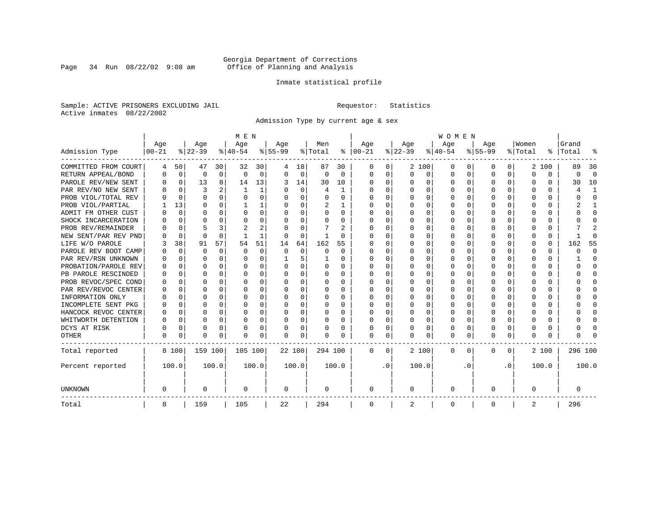Page 34 Run  $08/22/02$  9:08 am

### Inmate statistical profile

Sample: ACTIVE PRISONERS EXCLUDING JAIL **Requestor:** Statistics Active inmates 08/22/2002

Admission Type by current age & sex

|                      |           |             |          |             | M E N     |       |           |          |         |          |             |           |          |          | <b>WOMEN</b> |                  |              |              |          |       |         |              |
|----------------------|-----------|-------------|----------|-------------|-----------|-------|-----------|----------|---------|----------|-------------|-----------|----------|----------|--------------|------------------|--------------|--------------|----------|-------|---------|--------------|
|                      | Age       |             | Age      |             | Age       |       | Aqe       |          | Men     |          | Age         |           | Age      |          | Age          |                  | Aqe          |              | Women    |       | Grand   |              |
| Admission Type       | $00 - 21$ |             | $ 22-39$ |             | $ 40-54 $ |       | $8 55-99$ |          | % Total | ႜ        | $ 00-21$    |           | $ 22-39$ |          | $ 40-54$     |                  | $8 55-99$    |              | % Total  | ွေ    | Total   | ू            |
| COMMITTED FROM COURT | 4         | 50          | 47       | 30          | 32        | 30    | 4         | 18       | 87      | 30       | 0           | 0         |          | 2 100    | 0            | $\left( \right)$ | 0            | 0            |          | 2 100 | 89      | 30           |
| RETURN APPEAL/BOND   | 0         | $\mathbf 0$ | 0        | $\mathbf 0$ | $\Omega$  | 0     | $\Omega$  | 0        | 0       | $\Omega$ | 0           | 0         | $\Omega$ | 0        | 0            | $\Omega$         | <sup>0</sup> | 0            | $\Omega$ | 0     | 0       | $\Omega$     |
| PAROLE REV/NEW SENT  | O         | $\Omega$    | 13       | 8           | 14        | 13    | 3         | 14       | 30      | 10       | $\Omega$    | 0         | O        | $\Omega$ | O            | $\Omega$         | $\cap$       | 0            | U        | U     | 30      | 10           |
| PAR REV/NO NEW SENT  | U         | $\Omega$    | 3        |             | -1        | 1     |           | $\Omega$ | 4       | -1       | O           | 0         | $\Omega$ | $\Omega$ | U            | C                | ∩            | <sup>n</sup> | U        | U     |         | -1           |
| PROB VIOL/TOTAL REV  |           | $\Omega$    | $\Omega$ | $\Omega$    | $\Omega$  | 0     |           | $\Omega$ | O       | O        | $\Omega$    | 0         | $\Omega$ | $\Omega$ | U            | C                | <sup>0</sup> | 0            | O        | O     |         | $\Omega$     |
| PROB VIOL/PARTIAL    |           | 13          | O        | 0           |           |       |           | $\Omega$ | 2       |          | O           | 0         |          | $\Omega$ | U            | C                |              |              |          | U     |         |              |
| ADMIT FM OTHER CUST  | U         | 0           | U        | 0           | O         | 0     | ∩         | $\Omega$ | 0       | 0        | $\Omega$    | 0         | $\Omega$ | $\Omega$ | 0            | O                | <sup>0</sup> | 0            | O        | 0     |         | <sup>0</sup> |
| SHOCK INCARCERATION  |           | $\Omega$    | U        | $\Omega$    | O         | 0     | n         | $\Omega$ | 0       | 0        | $\Omega$    | 0         | O        | $\Omega$ | 0            | O                | O            | $\Omega$     | O        | 0     |         | ∩            |
| PROB REV/REMAINDER   |           | $\Omega$    |          | 3           | 2         | 2     |           | $\Omega$ |         | 2        | $\Omega$    | 0         | $\Omega$ | $\Omega$ | O            | O                | <sup>0</sup> | 0            | O        | 0     |         | 2            |
| NEW SENT/PAR REV PND |           | 0           | $\Omega$ | $\Omega$    |           | 1     |           | $\Omega$ | -1      | O        | C           | 0         | $\Omega$ | $\Omega$ | U            | O                | <sup>0</sup> | 0            | O        | 0     |         | ſ            |
| LIFE W/O PAROLE      |           | 38          | 91       | 57          | 54        | 51    | 14        | 64       | 162     | 55       |             | O         |          | $\Omega$ | U            | $\Omega$         |              | $\Omega$     | Ω        | 0     | 162     | 55           |
| PAROLE REV BOOT CAMP |           | 0           | O        | $\Omega$    | $\Omega$  | 0     | $\Omega$  | $\Omega$ | 0       | $\Omega$ | O           | O         |          | $\Omega$ | U            | $\Omega$         |              | 0            | O        | 0     | ი       | $\Omega$     |
| PAR REV/RSN UNKNOWN  |           | $\Omega$    | U        | $\Omega$    | O         | 0     |           | 5        |         | 0        | O           | 0         | ∩        | $\Omega$ | O            | $\Omega$         | O            | <sup>n</sup> | O        | 0     |         | ∩            |
| PROBATION/PAROLE REV |           | $\Omega$    | U        | $\Omega$    | O         | 0     | $\Omega$  | $\Omega$ | O       | 0        | O           | 0         | O        | $\Omega$ | O            | ∩                | ∩            | $\cap$       | U        | O     | U       | ∩            |
| PB PAROLE RESCINDED  | U         | $\Omega$    | U        | $\Omega$    | O         | 0     | ∩         | $\Omega$ | 0       | 0        | n           | 0         | ∩        | $\Omega$ | O            | C                | ∩            | $\Omega$     | U        | U     |         | ∩            |
| PROB REVOC/SPEC COND | O         | 0           | U        | 0           | O         | U     |           | $\Omega$ | 0       | 0        | n           | 0         | O        | $\Omega$ | O            | C                | n            | 0            | O        | 0     |         | n            |
| PAR REV/REVOC CENTER |           | 0           | O        | $\Omega$    | O         | 0     |           | $\Omega$ | 0       | O        | $\Omega$    | U         |          | $\Omega$ | U            | C                |              | 0            |          | 0     |         | <sup>0</sup> |
| INFORMATION ONLY     |           | 0           | O        | 0           | O         | 0     |           | $\Omega$ | 0       | 0        | $\Omega$    | 0         |          | $\Omega$ | 0            | $\Omega$         |              | 0            |          | 0     |         | <sup>0</sup> |
| INCOMPLETE SENT PKG  | O         | 0           | U        | 0           | O         | 0     |           | $\Omega$ | 0       | 0        | $\Omega$    | 0         | $\Omega$ | $\Omega$ | 0            | $\Omega$         | ∩            | 0            |          | 0     |         | ∩            |
| HANCOCK REVOC CENTER | 0         | 0           | U        | $\Omega$    | O         | 0     |           | $\Omega$ | 0       | 0        | $\Omega$    | 0         | $\Omega$ | $\Omega$ | 0            | $\Omega$         | ∩            | 0            | U        | 0     |         | ∩            |
| WHITWORTH DETENTION  | 0         | $\Omega$    | U        | $\Omega$    | O         | 0     | ∩         | $\Omega$ | O       | O        | $\Omega$    | 0         | O        | $\Omega$ | O            | $\Omega$         | ∩            | $\Omega$     | U        | 0     |         | $\cap$       |
| DCYS AT RISK         | N         | 0           | O        | $\Omega$    | O         | 0     |           | 0        | 0       | 0        | $\Omega$    | 0         | O        | 0        | U            | $\Omega$         | <sup>0</sup> | $\Omega$     | Ω        | 0     |         | ſ            |
| <b>OTHER</b>         | O         | 0           | $\Omega$ | 0           | O         | 0     |           | 0        | N       | O        | $\Omega$    | 0         | $\Omega$ | 0        | 0            | U                | $\Omega$     | 0            | U        | U     |         |              |
| Total reported       |           | 8 100       | 159 100  |             | 105 100   |       | 22 100    |          | 294 100 |          | 0           | 0         |          | 2 100    | 0            | 0                | $\Omega$     | 0            |          | 2 100 | 296 100 |              |
| Percent reported     |           | 100.0       |          | 100.0       |           | 100.0 |           | 100.0    |         | 100.0    |             | $\cdot$ 0 |          | 100.0    |              | . 0              |              | $\cdot$ 0    |          | 100.0 |         | 100.0        |
| <b>UNKNOWN</b>       | 0         |             | 0        |             | 0         |       | 0         |          | 0       |          | 0           |           | 0        |          | 0            |                  | 0            |              | 0        |       | 0       |              |
| Total                | 8         |             | 159      |             | 105       |       | 22        |          | 294     |          | $\mathbf 0$ |           | 2        |          | 0            |                  | 0            |              | 2        |       | 296     |              |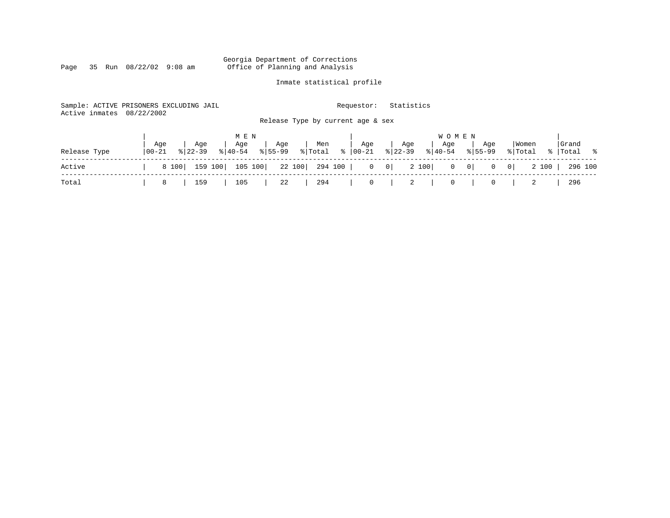Page 35 Run  $08/22/02$  9:08 am

### Inmate statistical profile

| Active inmates | Sample: ACTIVE PRISONERS EXCLUDING JAIL<br>08/22/2002 | Requestor:<br>Release Type by current age & sex                                               | Statistics                                                                             |                                             |
|----------------|-------------------------------------------------------|-----------------------------------------------------------------------------------------------|----------------------------------------------------------------------------------------|---------------------------------------------|
| Release Type   | Age<br>Age<br>$ 00-21 $<br>$8122 - 39$<br>$8140 - 54$ | M E N<br>Age<br>Age<br>Men<br>Age<br>$\frac{1}{2}$ Total $\frac{1}{2}$   00-21<br>$8155 - 99$ | <b>WOMEN</b><br>Age<br>Aqe<br>Age<br>$\frac{2}{6}$   22-39<br>$8 40-54$<br>$8155 - 99$ | Grand<br>Women<br>%   Total %<br>% Total    |
| Active         | 159 100<br>8 100                                      | 105 100<br>22 100 294 100                                                                     | 2 100<br>$0 \qquad 0$<br>$0 \qquad 0$                                                  | 2 100  <br>$\overline{0}$<br> 0 <br>296 100 |
| Total          | 159<br>8                                              | 294<br>105<br>22<br>$\mathbf{0}$                                                              | 2<br>0                                                                                 | 296<br>0                                    |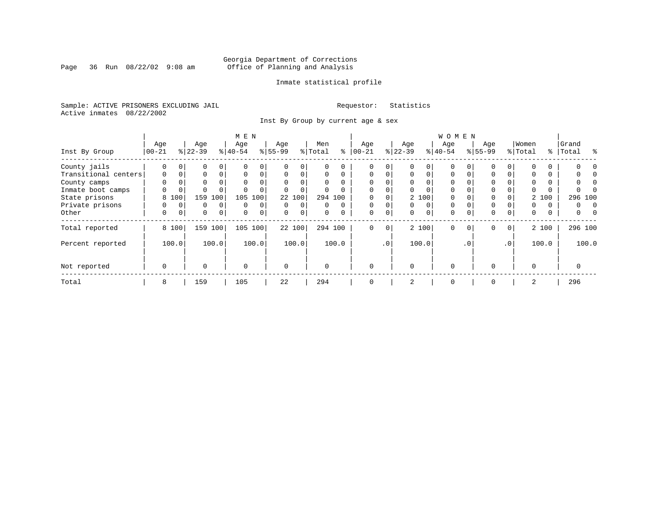Page 36 Run  $08/22/02$  9:08 am

### Inmate statistical profile

Sample: ACTIVE PRISONERS EXCLUDING JAIL **Requestor:** Statistics Active inmates 08/22/2002

Inst By Group by current age & sex

|                      |          |             |           |              | M E N       |          |           |             |          |          |             |             |          |          | W O M E N |           |             |                 |          |          |               |
|----------------------|----------|-------------|-----------|--------------|-------------|----------|-----------|-------------|----------|----------|-------------|-------------|----------|----------|-----------|-----------|-------------|-----------------|----------|----------|---------------|
|                      | Age      |             | Age       |              | Age         |          | Age       |             | Men      |          | Age         |             | Age      |          | Age       |           | Age         |                 | Women    |          | Grand         |
| Inst By Group        | $ 00-21$ |             | $8 22-39$ |              | $8 40-54$   |          | $8 55-99$ |             | % Total  | ႜ        | $ 00 - 21$  |             | $ 22-39$ |          | $8 40-54$ |           | $8155 - 99$ |                 | % Total  | ွေ       | Total<br>ႜ    |
| County jails         | 0        |             | 0         | 0            |             | 0        |           | 0           | 0        |          | 0           | 0           |          |          | $\Omega$  |           |             | 0               | $\Omega$ | 0        |               |
| Transitional centers | $\Omega$ |             | $\Omega$  | $\Omega$     | $\Omega$    | $\Omega$ | $\Omega$  | $\Omega$    | $\Omega$ | $\Omega$ | $\Omega$    | $\Omega$    | $\Omega$ | $\Omega$ | $\Omega$  |           | $\Omega$    | 0               | $\Omega$ | $\Omega$ |               |
| County camps         | $\Omega$ |             | $\Omega$  |              | $\Omega$    |          |           |             | $\Omega$ | $\Omega$ | $\Omega$    |             | $\Omega$ | $\Omega$ | $\Omega$  |           |             |                 | $\Omega$ | $\Omega$ |               |
| Inmate boot camps    |          |             | $\Omega$  |              |             |          |           | $\mathbf 0$ | $\Omega$ |          | 0           | 0           | $\Omega$ |          | 0         |           | 0           |                 | $\Omega$ | 0        |               |
| State prisons        | 8        | 100         | 159       | 100          | 105         | 100      |           | 22 100      |          | 294 100  |             | 0           |          | 2 100    | $\Omega$  |           |             |                 |          | 2 100    | 296 100       |
| Private prisons      |          |             | 0         | $\Omega$     | $\Omega$    | 0        | $\Omega$  | $\Omega$    | 0        | $\Omega$ | $\Omega$    | 0           | $\Omega$ | $\Omega$ | $\Omega$  |           |             |                 | $\Omega$ | $\Omega$ | $\Omega$<br>0 |
| Other                | 0        | $\mathbf 0$ | 0         | $\mathbf{0}$ | $\mathbf 0$ | 0        | 0         | $\mathbf 0$ | 0        | 0        | $\mathbf 0$ | 0           | 0        | $\Omega$ | 0         |           | 0           | 0               | 0        | 0        | 0             |
| Total reported       |          | 8 100       |           | 159 100      | 105         | 100      |           | 22 100      |          | 294 100  | $\Omega$    | $\mathbf 0$ |          | 2 100    | $\Omega$  | 0         | $\Omega$    | $\overline{0}$  |          | 2 100    | 296 100       |
| Percent reported     |          | 100.0       |           | 100.0        |             | 100.0    |           | 100.0       |          | 100.0    |             | $\cdot$ 0   |          | 100.0    |           | $\cdot$ 0 |             | .0 <sup>1</sup> |          | 100.0    | 100.0         |
| Not reported         | 0        |             | $\Omega$  |              | $\mathbf 0$ |          | $\Omega$  |             | $\Omega$ |          | $\Omega$    |             | $\Omega$ |          | $\Omega$  |           | $\Omega$    |                 | $\Omega$ |          |               |
| Total                | 8        |             | 159       |              | 105         |          | 22        |             | 294      |          | $\mathbf 0$ |             | 2        |          | 0         |           | 0           |                 | 2        |          | 296           |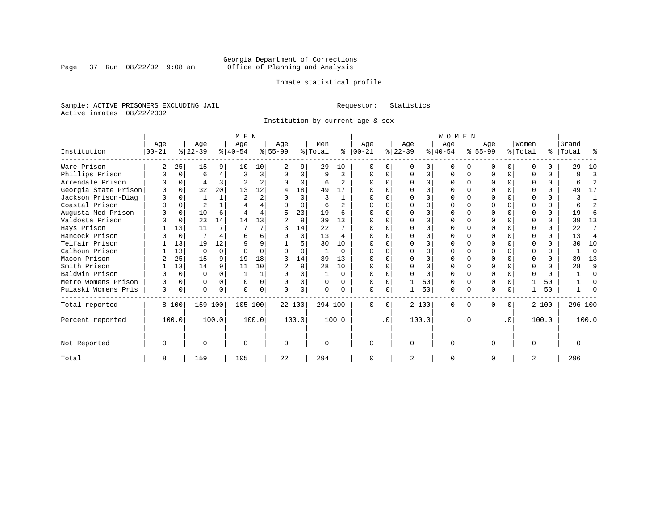Page 37 Run  $08/22/02$  9:08 am

### Inmate statistical profile

Sample: ACTIVE PRISONERS EXCLUDING JAIL **Requestor:** Statistics Active inmates 08/22/2002

Institution by current age & sex

|                      |                  |                |                  |          | M E N            |          |                 |          |                |                |                  |           |                 |          | <b>WOMEN</b>    |          |                    |           |                  |       |                |                         |
|----------------------|------------------|----------------|------------------|----------|------------------|----------|-----------------|----------|----------------|----------------|------------------|-----------|-----------------|----------|-----------------|----------|--------------------|-----------|------------------|-------|----------------|-------------------------|
| Institution          | Age<br>$00 - 21$ |                | Age<br>$ 22-39 $ |          | Age<br>$8 40-54$ |          | Age<br>$ 55-99$ |          | Men<br>% Total | ႜ              | Age<br>$ 00-21 $ |           | Age<br>$ 22-39$ |          | Age<br>$ 40-54$ |          | Age<br>$8155 - 99$ |           | Women<br>% Total | ိ     | Grand<br>Total | န္                      |
| Ware Prison          | 2                | 25             | 15               | 9        | 10               | 10       | 2               | 9        | 29             | 10             |                  | U         |                 | $\Omega$ | $\Omega$        |          |                    |           |                  | U     | 29             | 10                      |
| Phillips Prison      | 0                | $\Omega$       | 6                | 4        | 3                | 3        | $\Omega$        | $\Omega$ | 9              | 3              | $\Omega$         | $\Omega$  | $\Omega$        | $\Omega$ | O               | U        | ∩                  |           |                  | 0     | 9              | Р                       |
| Arrendale Prison     |                  | $\Omega$       | 4                | 3        |                  | 2        |                 | $\Omega$ | 6              | 2              | n                | 0         |                 | $\Omega$ | O               |          |                    |           |                  | 0     | 6              | $\overline{\mathbf{c}}$ |
| Georgia State Prison | $\Omega$         | $\Omega$       | 32               | 20       | 13               | 12       | 4               | 18       | 49             | 17             | <sup>0</sup>     |           |                 | $\Omega$ |                 |          |                    |           |                  | 0     | 49             | 17                      |
| Jackson Prison-Diag  | 0                | $\Omega$       |                  |          | 2                | 2        |                 | $\Omega$ | 3              |                |                  |           |                 | $\Omega$ | ი               |          |                    |           |                  | U     | 3              |                         |
| Coastal Prison       | $\Omega$         | $\Omega$       |                  |          |                  | 4        |                 | $\Omega$ | 6              | $\mathfrak{D}$ | ∩                |           |                 | $\Omega$ | O               |          | $\cap$             |           |                  | 0     | 6              | 2                       |
| Augusta Med Prison   |                  | 0              | 10               | 6        |                  | 4        |                 | 23       | 19             | 6              |                  | U         |                 | $\Omega$ | O               |          |                    |           |                  | 0     | 19             | 6                       |
| Valdosta Prison      |                  | $\mathbf 0$    | 23               | 14       | 14               | 13       |                 | 9        | 39             | 13             | $\Omega$         |           |                 | $\Omega$ | U               |          |                    |           |                  | 0     | 39             | 13                      |
| Hays Prison          |                  | 13             | 11               |          |                  |          |                 | 14       | 22             |                |                  |           |                 | $\Omega$ |                 |          |                    |           |                  | 0     | 22             |                         |
| Hancock Prison       |                  | $\overline{0}$ | 7                |          | 6                | 6        |                 | $\Omega$ | 13             | 4              | $\Omega$         | U         | $\Omega$        | $\Omega$ | O               |          | $\Omega$           |           |                  | 0     | 13             | 4                       |
| Telfair Prison       |                  | 13             | 19               | 12       | 9                | 9        |                 | 5        | 30             | 10             |                  |           |                 | $\Omega$ | O               |          |                    |           |                  | 0     | 30             | 10                      |
| Calhoun Prison       |                  | 13             | $\Omega$         | $\Omega$ | $\cap$           | $\cap$   |                 | $\Omega$ |                | $\Omega$       | ∩                |           |                 | $\Omega$ | U               |          | ∩                  |           | $\cap$           | 0     |                | $\Omega$                |
| Macon Prison         |                  | 25             | 15               |          | 19               | 18       | २               | 14       | 39             | 13             |                  |           |                 | $\Omega$ | O               |          |                    |           |                  | 0     | 39             | 13                      |
| Smith Prison         |                  | 13             | 14               | 9        | 11               | 10       |                 | 9        | 28             | 10             | $\Omega$         | 0         | ∩               | $\Omega$ | O               | ∩        | $\Omega$           |           | <sup>0</sup>     | 0     | 28             | 9                       |
| Baldwin Prison       | U                | $\Omega$       | $\Omega$         |          |                  | 1        | ∩               | $\Omega$ |                | $\Omega$       | $\Omega$         | 0         |                 | $\Omega$ | $\Omega$        |          | $\Omega$           |           |                  | 0     |                | $\Omega$                |
| Metro Womens Prison  | O                | 0              | $\Omega$         | $\cap$   | $\Omega$         | $\Omega$ | $\Omega$        | $\Omega$ | $\Omega$       | $\Omega$       | $\Omega$         | $\Omega$  |                 | 50       | $\Omega$        | $\Omega$ | $\Omega$           |           |                  | 50    |                | n                       |
| Pulaski Womens Pris  | 0                | 0              | $\Omega$         | 0        | $\Omega$         | 0        | $\cap$          | $\Omega$ | 0              | 0              | $\Omega$         | 0         |                 | 50       | 0               |          | $\Omega$           |           |                  | 50    |                |                         |
| Total reported       |                  | 8 100          | 159 100          |          | 105 100          |          | 22 100          |          |                | 294 100        | $\Omega$         | 0         |                 | 2 100    | 0               |          | <sup>0</sup>       | $\Omega$  |                  | 2 100 | 296 100        |                         |
| Percent reported     |                  | 100.0          |                  | 100.0    |                  | 100.0    |                 | 100.0    |                | 100.0          |                  | $\cdot$ 0 |                 | 100.0    |                 | . 0      |                    | $\cdot$ 0 |                  | 100.0 |                | 100.0                   |
| Not Reported         | $\Omega$         |                | $\Omega$         |          | $\Omega$         |          | $\Omega$        |          | $\Omega$       |                | $\Omega$         |           | $\Omega$        |          | $\Omega$        |          | $\cap$             |           | $\cap$           |       | 0              |                         |
| Total                | 8                |                | 159              |          | 105              |          | 22              |          | 294            |                |                  |           |                 |          | 0               |          |                    |           | 2                |       | 296            |                         |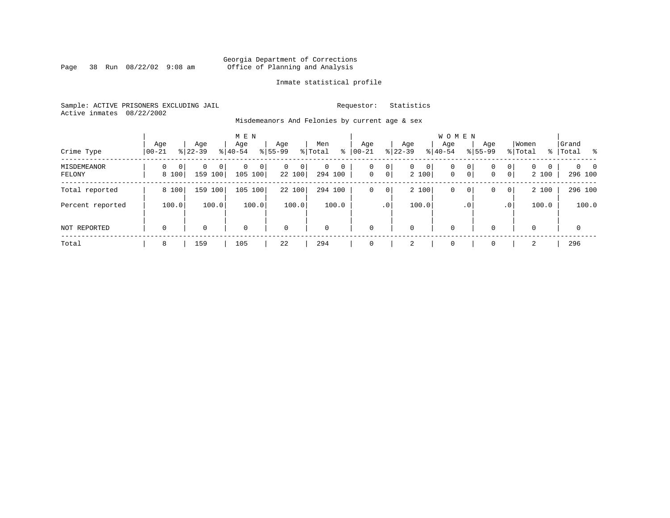Page 38 Run  $08/22/02$  9:08 am

### Inmate statistical profile

Sample: ACTIVE PRISONERS EXCLUDING JAIL **Requestor:** Statistics Active inmates 08/22/2002

Misdemeanors And Felonies by current age & sex

| Crime Type                   | Aqe<br>$00 - 21$                  | Age<br>$8122 - 39$                | M E N<br>Age<br>$8 40-54$ | Age<br>$8155 - 99$          | Men<br>ွေ<br>% Total                  | Age<br>$00 - 21$                        | Aqe<br>$ 22-39 $           | <b>WOMEN</b><br>Aqe<br>$8 40-54$ | Age<br>$8155 - 99$          | Women<br>% Total                                                | Grand<br>% Total %              |
|------------------------------|-----------------------------------|-----------------------------------|---------------------------|-----------------------------|---------------------------------------|-----------------------------------------|----------------------------|----------------------------------|-----------------------------|-----------------------------------------------------------------|---------------------------------|
| <b>MISDEMEANOR</b><br>FELONY | $\Omega$<br>$\mathbf{0}$<br>8 100 | 0<br>0 <sup>1</sup><br>159<br>100 | $\Omega$<br>0<br>105 100  | $\mathbf{0}$<br>0<br>22 100 | $\mathbf 0$<br>$\mathbf 0$<br>294 100 | 0<br>0<br>$\overline{0}$<br>$\mathbf 0$ | 0<br>$\mathbf{0}$<br>2 100 | $\mathbf 0$<br>$\mathbf{0}$      | 0<br>0<br>$\mathsf{O}$<br>0 | $\mathbf{0}$<br>$\Omega$<br>$\Omega$<br>$\overline{0}$<br>2 100 | $\Omega$<br>$\Omega$<br>296 100 |
| Total reported               | 8 100                             | 159<br>100                        | 100<br>105                | 22 100                      | 294 100                               | 0<br>0                                  | 2 100                      | $\mathbf 0$                      | 0<br>0                      | 2 100<br>$\overline{0}$                                         | 296 100                         |
| Percent reported             | 100.0                             | 100.0                             | 100.0                     | 100.0                       | 100.0                                 | .0 <sup>1</sup>                         | 100.0                      | . 0                              |                             | 100.0<br>.0 <sup>1</sup>                                        | 100.0                           |
| NOT REPORTED                 | $\mathbf 0$                       | 0                                 | $\mathbf 0$               | $\mathbf 0$                 | $\mathbf 0$                           | 0                                       | 0                          | $\mathbf 0$                      | $\Omega$                    | 0                                                               | $\mathbf 0$                     |
| Total                        | 8                                 | 159                               | 105                       | 22                          | 294                                   | 0                                       | 2                          | 0                                | 0                           | 2                                                               | 296                             |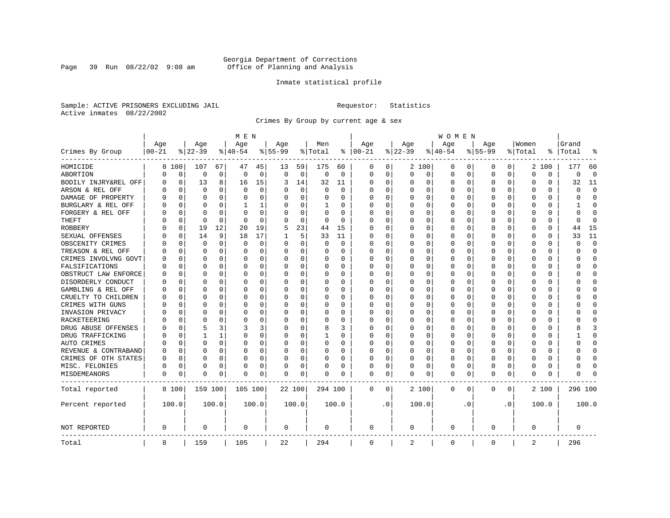Page 39 Run  $08/22/02$  9:08 am

### Inmate statistical profile

Sample: ACTIVE PRISONERS EXCLUDING JAIL **Requestor:** Statistics Active inmates 08/22/2002

Crimes By Group by current age & sex

|                      |           |             |           |             | M E N       |          |             |             |             |          |              |           |             |          | W O M E N   |             |             |           |              |          |          |             |
|----------------------|-----------|-------------|-----------|-------------|-------------|----------|-------------|-------------|-------------|----------|--------------|-----------|-------------|----------|-------------|-------------|-------------|-----------|--------------|----------|----------|-------------|
|                      | Age       |             | Age       |             | Age         |          | Age         |             | Men         |          | Age          |           | Age         |          | Age         |             | Aqe         |           | Women        |          | Grand    |             |
| Crimes By Group      | $00 - 21$ |             | $8 22-39$ |             | $8 40-54$   |          | $8155 - 99$ |             | % Total     | ႜ        | $ 00-21$     |           | $8$   22-39 |          | $ 40-54$    |             | $8155 - 99$ |           | % Total      | ి        | Total    |             |
| HOMICIDE             | 8         | 100         | 107       | 67          | 47          | 45       | 13          | 59          | 175         | 60       | 0            | 0         |             | 2 100    | 0           | 0           | 0           | 0         | 2            | 100      | 177      | 60          |
| ABORTION             | 0         | 0           | 0         | $\mathbf 0$ | $\mathbf 0$ | 0        | 0           | $\mathbf 0$ | $\mathbf 0$ | 0        | $\mathbf 0$  | 0         | 0           | 0        | $\Omega$    | 0           | 0           | 0         | $\mathbf 0$  | 0        | O        | $\mathbf 0$ |
| BODILY INJRY&REL OFF | 0         | 0           | 13        | 8           | 16          | 15       | 3           | 14          | 32          | 11       | <sup>0</sup> | 0         | $\Omega$    | 0        | $\Omega$    | 0           | 0           | $\Omega$  | 0            | 0        | 32       | 11          |
| ARSON & REL OFF      |           | $\mathbf 0$ | $\Omega$  | U           | $\mathbf 0$ | 0        |             | $\mathbf 0$ | $\Omega$    | $\Omega$ |              | 0         | $\Omega$    | 0        | $\Omega$    | 0           | U           | 0         | <sup>0</sup> | O        |          | $\Omega$    |
| DAMAGE OF PROPERTY   |           | $\Omega$    | O         | U           | $\Omega$    | $\Omega$ | O           | $\Omega$    | O           | $\Omega$ | <sup>0</sup> | 0         | $\Omega$    | O        | $\Omega$    | $\Omega$    | O           | O         | $\Omega$     | 0        |          | $\Omega$    |
| BURGLARY & REL OFF   |           | $\Omega$    | $\Omega$  | $\Omega$    | 1           | 1        | O           | $\Omega$    | 1           | O        | <sup>0</sup> | $\Omega$  | $\Omega$    | $\Omega$ | $\Omega$    | $\Omega$    | O           | $\Omega$  | $\Omega$     | 0        |          | $\Omega$    |
| FORGERY & REL OFF    |           | $\mathbf 0$ | O         | 0           | $\mathbf 0$ | 0        |             | $\mathbf 0$ | $\Omega$    | O        |              | $\Omega$  | 0           | 0        | 0           | 0           | 0           | 0         | 0            | $\Omega$ |          | $\Omega$    |
| THEFT                |           | 0           | $\Omega$  | $\Omega$    | $\Omega$    | $\Omega$ | U           | 0           | 0           | $\Omega$ | ∩            | 0         | $\Omega$    | 0        | $\Omega$    | 0           | O           | 0         | <sup>0</sup> | 0        |          | ∩           |
| <b>ROBBERY</b>       |           | 0           | 19        | 12          | 20          | 19       | 5           | 23          | 44          | 15       | $\cap$       | 0         | $\Omega$    | 0        | $\Omega$    | 0           | 0           | $\Omega$  | $\Omega$     | 0        | 44       | 15          |
| SEXUAL OFFENSES      |           | $\mathbf 0$ | 14        | 9           | 18          | 17       |             | 5           | 33          | 11       |              | 0         | $\Omega$    | 0        | $\Omega$    | 0           | 0           | 0         | $\mathbf 0$  | $\Omega$ | 33       | 11          |
| OBSCENITY CRIMES     |           | $\mathbf 0$ | $\Omega$  | $\Omega$    | $\Omega$    | 0        | O           | 0           | $\Omega$    | 0        | <sup>0</sup> | $\Omega$  | $\Omega$    | 0        | $\Omega$    | $\mathbf 0$ | $\Omega$    | $\Omega$  | $\Omega$     | $\Omega$ |          | $\Omega$    |
| TREASON & REL OFF    |           | $\mathbf 0$ | $\Omega$  | $\Omega$    | $\mathbf 0$ | 0        | O           | 0           | 0           | 0        | <sup>0</sup> | $\Omega$  | $\Omega$    | 0        | $\Omega$    | $\mathbf 0$ | $\Omega$    | $\Omega$  | $\mathbf 0$  | 0        |          | $\Omega$    |
| CRIMES INVOLVNG GOVT |           | $\mathbf 0$ | $\Omega$  | 0           | $\Omega$    | $\Omega$ | O           | $\mathbf 0$ | 0           | $\Omega$ | $\Omega$     | $\Omega$  | 0           | 0        |             | $\mathbf 0$ | $\Omega$    | 0         | $\Omega$     | $\Omega$ |          | $\Omega$    |
| FALSIFICATIONS       |           | $\Omega$    | 0         | $\Omega$    | $\Omega$    | $\Omega$ | O           | $\Omega$    | 0           | $\Omega$ | $\Omega$     | 0         | $\Omega$    | $\Omega$ | $\Omega$    | 0           | 0           | $\Omega$  | 0            | $\Omega$ |          | $\Omega$    |
| OBSTRUCT LAW ENFORCE |           | $\mathbf 0$ | 0         | 0           | $\Omega$    | 0        | O           | $\Omega$    | 0           | 0        | <sup>0</sup> | $\Omega$  | $\Omega$    | 0        | $\Omega$    | 0           | 0           | $\Omega$  | 0            | 0        |          | $\Omega$    |
| DISORDERLY CONDUCT   |           | 0           | O         | U           | $\Omega$    | 0        | O           | 0           | 0           | O        | <sup>0</sup> | 0         | $\Omega$    | O        | 0           | 0           | 0           | O         | O            | O        |          | $\Omega$    |
| GAMBLING & REL OFF   |           | $\Omega$    | O         | 0           | $\Omega$    | $\Omega$ | U           | $\Omega$    | O           | O        | ∩            | $\Omega$  | $\Omega$    | O        | $\Omega$    | 0           | O           | 0         | $\Omega$     | 0        |          | ∩           |
| CRUELTY TO CHILDREN  |           | $\Omega$    | O         | $\Omega$    | $\Omega$    | 0        | U           | $\Omega$    | 0           | $\Omega$ | <sup>0</sup> | $\Omega$  | $\Omega$    | 0        | $\Omega$    | 0           | O           | $\Omega$  | $\Omega$     | 0        |          | ∩           |
| CRIMES WITH GUNS     |           | $\mathbf 0$ | O         | 0           | $\Omega$    | $\Omega$ |             | 0           | 0           | O        | <sup>0</sup> | $\Omega$  | $\Omega$    | O        | C           | $\mathbf 0$ | $\Omega$    | $\Omega$  | $\Omega$     | $\Omega$ |          | $\Omega$    |
| INVASION PRIVACY     |           | 0           | O         | $\Omega$    | $\Omega$    | 0        | U           | 0           | 0           | 0        | ∩            | 0         | $\Omega$    | 0        | $\Omega$    | 0           | 0           | $\Omega$  | <sup>0</sup> | 0        |          | ∩           |
| RACKETEERING         |           | 0           | O         | 0           | $\Omega$    | 0        | O           | 0           | 0           | 0        | <sup>0</sup> | 0         | $\Omega$    | 0        | $\Omega$    | 0           | 0           | 0         | <sup>0</sup> | 0        |          | $\Omega$    |
| DRUG ABUSE OFFENSES  |           | $\mathbf 0$ | 5         | 3           | 3           | 3        | O           | 0           | 8           | 3        | <sup>0</sup> | $\Omega$  | $\Omega$    | 0        | $\Omega$    | $\mathbf 0$ | 0           | O         | $\mathbf 0$  | $\Omega$ |          | 3           |
| DRUG TRAFFICKING     |           | $\Omega$    | 1         | 1           | $\Omega$    | $\Omega$ | O           | $\Omega$    | 1           | 0        | <sup>0</sup> | $\Omega$  | $\Omega$    | 0        | $\Omega$    | 0           | 0           | 0         | $\Omega$     | $\Omega$ |          | $\Omega$    |
| AUTO CRIMES          |           | $\Omega$    | $\Omega$  | $\Omega$    | $\Omega$    | 0        | O           | $\Omega$    | 0           | $\Omega$ | 0            | 0         | $\Omega$    | 0        | $\Omega$    | 0           | 0           | $\Omega$  | $\Omega$     | 0        |          | $\Omega$    |
| REVENUE & CONTRABAND |           | $\mathbf 0$ | $\Omega$  | O           | $\Omega$    | $\Omega$ | O           | $\Omega$    | 0           | $\Omega$ | $\Omega$     | $\Omega$  | 0           | $\Omega$ | O           | $\mathbf 0$ | $\Omega$    | $\Omega$  | $\Omega$     | $\Omega$ |          | $\Omega$    |
| CRIMES OF OTH STATES | O         | $\mathbf 0$ | O         | $\Omega$    | $\Omega$    | 0        | O           | 0           | 0           | $\Omega$ | $\cap$       | 0         | $\Omega$    | 0        | $\Omega$    | 0           | O           | $\Omega$  | <sup>0</sup> | $\Omega$ |          | $\Omega$    |
| MISC. FELONIES       | U         | 0           | O         | 0           | $\Omega$    | 0        | O           | $\mathbf 0$ | U           | 0        | <sup>0</sup> | 0         | 0           | 0        | $\Omega$    | 0           | $\Omega$    | 0         | <sup>0</sup> | O        |          |             |
| MISDEMEANORS         | $\Omega$  | 0           | 0         | 0           | $\Omega$    | 0        | 0           | 0           | 0           | 0        | $\Omega$     | 0         | 0           | 0        | 0           | 0           | $\Omega$    | 0         | 0            | 0        |          |             |
| Total reported       |           | 8 100       | 159 100   |             | 105 100     |          | 22 100      |             | 294 100     |          | 0            | 0         |             | 2 100    | 0           | 0           | 0           | 0         |              | 2 100    | 296 100  |             |
| Percent reported     |           | 100.0       |           | 100.0       |             | 100.0    |             | 100.0       |             | 100.0    |              | $\cdot$ 0 |             | 100.0    |             | . 0         |             | $\cdot$ 0 |              | 100.0    |          | 100.0       |
| NOT REPORTED         | 0         |             | 0         |             | $\mathbf 0$ |          | 0           |             | 0           |          | $\mathbf 0$  |           | $\Omega$    |          | $\mathbf 0$ |             | 0           |           | $\Omega$     |          | $\Omega$ |             |
| Total                | 8         |             | 159       |             | 105         |          | 22          |             | 294         |          | $\mathbf 0$  |           | 2           |          | $\mathbf 0$ |             | $\Omega$    |           | 2            |          | 296      |             |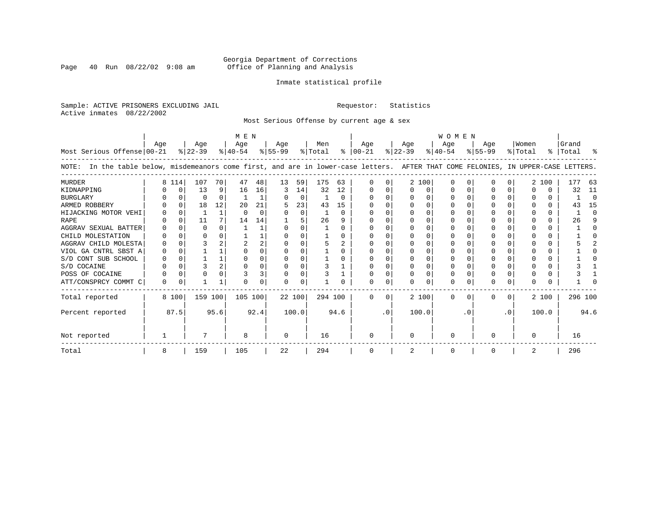Page 40 Run  $08/22/02$  9:08 am

### Inmate statistical profile

|  |                           | Sample: ACTIVE PRISONERS EXCLUDING JAIL |  |
|--|---------------------------|-----------------------------------------|--|
|  | Active inmates 08/22/2002 |                                         |  |

Requestor: Statistics

Most Serious Offense by current age & sex

| Most Serious Offense 00-21                                                                                                            | Age      |          | Age<br>$ 22-39 $ |              | M E N<br>Age<br>$8 40-54$ |          | Age<br>$ 55-99 $ |          | Men<br>% Total |          | Age<br>$8   00 - 21$ |           | Age<br>$ 22-39 $ |       | <b>WOMEN</b><br>Age<br>$8 40-54$ |          | Age<br>$8155 - 99$ |           | Women<br>% Total |              | Grand<br>%   Total | ႜ        |
|---------------------------------------------------------------------------------------------------------------------------------------|----------|----------|------------------|--------------|---------------------------|----------|------------------|----------|----------------|----------|----------------------|-----------|------------------|-------|----------------------------------|----------|--------------------|-----------|------------------|--------------|--------------------|----------|
| In the table below, misdemeanors come first, and are in lower-case letters. AFTER THAT COME FELONIES, IN UPPER-CASE LETTERS.<br>NOTE: |          |          |                  |              |                           |          |                  |          |                |          |                      |           |                  |       |                                  |          |                    |           |                  |              |                    |          |
| MURDER                                                                                                                                | 8        | 114      | 107              | 70           | 47                        | 48       | 13               | 59       | 175            | 63       |                      |           |                  | 2 100 | $\Omega$                         | $\Omega$ | U                  | U         |                  | 2 100        | 177                | 63       |
| KIDNAPPING                                                                                                                            |          | 0        | 13               | 9            | 16                        | 16       | 3                | 14       | 32             | 12       | O                    |           | $\Omega$         | 0     |                                  | 0        |                    | $\Omega$  | O                | 0            | 32                 | 11       |
| <b>BURGLARY</b>                                                                                                                       |          | $\Omega$ | $\Omega$         | $\Omega$     |                           |          |                  | $\Omega$ |                | $\Omega$ |                      |           | $\Omega$         | 0     |                                  | $\Omega$ |                    | $\Omega$  | <sup>0</sup>     | $\Omega$     |                    | $\Omega$ |
| ARMED ROBBERY                                                                                                                         |          | $\Omega$ | 18               | 12           | 20                        | 21       |                  | 23       | 43             | 15       |                      |           |                  | O     |                                  |          |                    |           |                  | $\Omega$     | 43                 | 15       |
| HIJACKING MOTOR VEHI                                                                                                                  |          |          |                  | $\mathbf{1}$ | $\cap$                    | $\Omega$ |                  | $\Omega$ |                | $\Omega$ |                      |           | <sup>n</sup>     |       |                                  |          |                    |           |                  | 0            |                    | ∩        |
| RAPE                                                                                                                                  |          | $\Omega$ | 11               |              | 14                        | 14       |                  |          | 26             | q        |                      |           |                  |       |                                  |          |                    |           |                  | 0            | 26                 | 9        |
| AGGRAV SEXUAL BATTER                                                                                                                  |          |          | $\Omega$         |              |                           |          | U                |          |                | 0        |                      |           |                  |       |                                  |          |                    |           |                  | 0            |                    |          |
| CHILD MOLESTATION                                                                                                                     |          |          |                  |              |                           |          |                  |          |                |          |                      |           |                  |       |                                  |          |                    |           |                  |              |                    |          |
| AGGRAV CHILD MOLESTA                                                                                                                  |          |          |                  |              |                           | 2        |                  |          |                |          |                      |           |                  |       |                                  |          |                    |           |                  |              |                    |          |
| VIOL GA CNTRL SBST A                                                                                                                  |          |          |                  |              |                           |          |                  |          |                |          |                      |           |                  |       |                                  |          |                    |           |                  |              |                    |          |
| S/D CONT SUB SCHOOL                                                                                                                   |          |          |                  |              |                           |          |                  |          |                |          |                      |           |                  |       |                                  |          |                    |           |                  |              |                    |          |
| S/D COCAINE                                                                                                                           |          |          |                  |              |                           |          |                  |          | 3              |          |                      |           |                  |       |                                  |          |                    |           |                  |              |                    |          |
| POSS OF COCAINE                                                                                                                       |          |          |                  |              |                           | 3        |                  | O        |                |          |                      |           |                  |       |                                  |          |                    |           |                  |              |                    |          |
| ATT/CONSPRCY COMMT C                                                                                                                  | $\Omega$ | $\Omega$ |                  |              | ∩                         |          | U                | $\Omega$ |                |          |                      | U         | $\Omega$         | U     | ∩                                |          | U                  | U         | <sup>0</sup>     | <sup>n</sup> |                    |          |
| Total reported                                                                                                                        |          | 8 100    | 159 100          |              | 105 100                   |          | 22 100           |          | 294 100        |          | $\cap$               | 0         |                  | 2 100 | $\Omega$                         | $\Omega$ | 0                  | $\Omega$  |                  | 2 100        | 296 100            |          |
| Percent reported                                                                                                                      |          | 87.5     |                  | 95.6         |                           | 92.4     |                  | 100.0    |                | 94.6     |                      | $\cdot$ 0 | 100.0            |       |                                  | . 0      |                    | $\cdot$ 0 |                  | 100.0        |                    | 94.6     |
| Not reported                                                                                                                          |          |          |                  |              | 8                         |          | $\Omega$         |          | 16             |          | $\Omega$             |           | $\Omega$         |       | $\Omega$                         |          | O                  |           | $\Omega$         |              | 16                 |          |
| Total                                                                                                                                 | 8        |          | 159              |              | 105                       |          | 22               |          | 294            |          |                      |           |                  |       |                                  |          |                    |           | 2                |              | 296                |          |